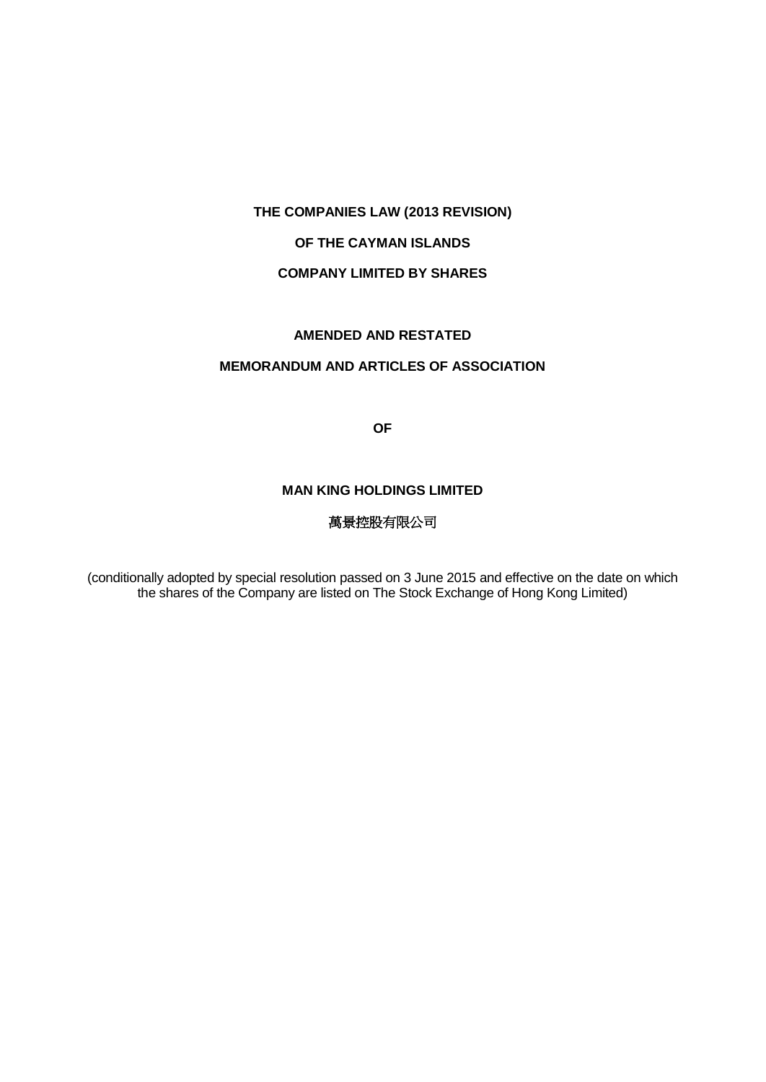## **OF THE CAYMAN ISLANDS**

## **COMPANY LIMITED BY SHARES**

## **AMENDED AND RESTATED**

## **MEMORANDUM AND ARTICLES OF ASSOCIATION**

**OF**

### **MAN KING HOLDINGS LIMITED**

# 萬景控股有限公司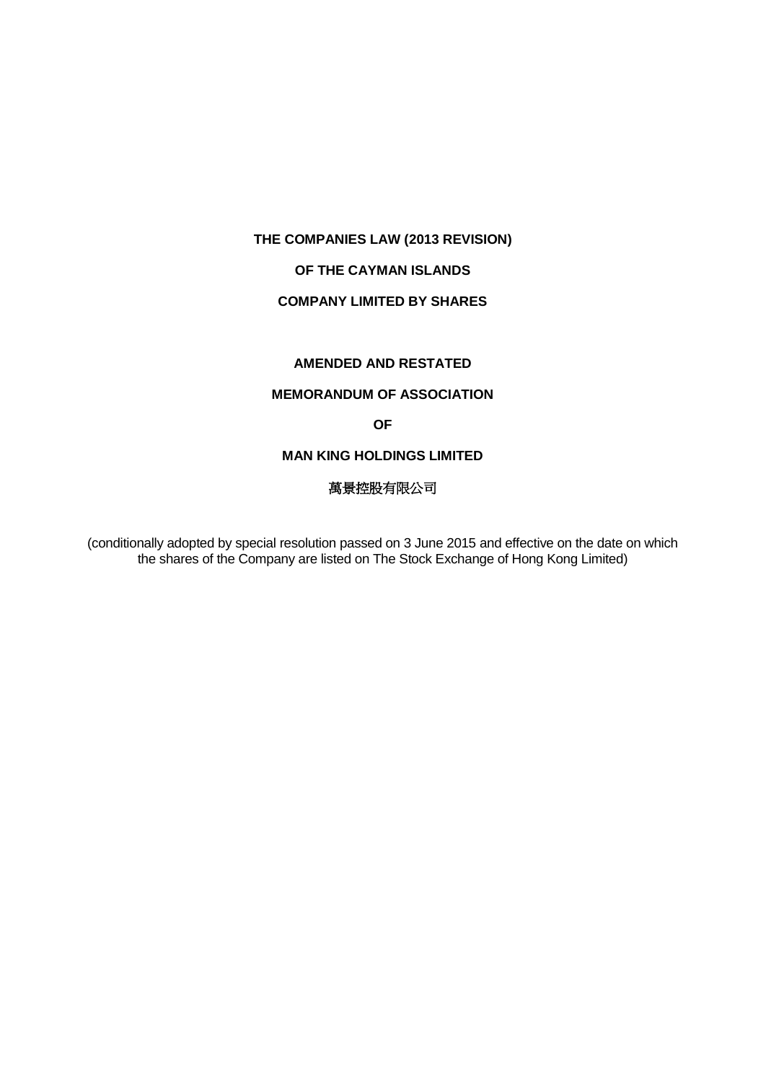# **OF THE CAYMAN ISLANDS**

# **COMPANY LIMITED BY SHARES**

## **AMENDED AND RESTATED**

#### **MEMORANDUM OF ASSOCIATION**

#### **OF**

#### **MAN KING HOLDINGS LIMITED**

# 萬景控股有限公司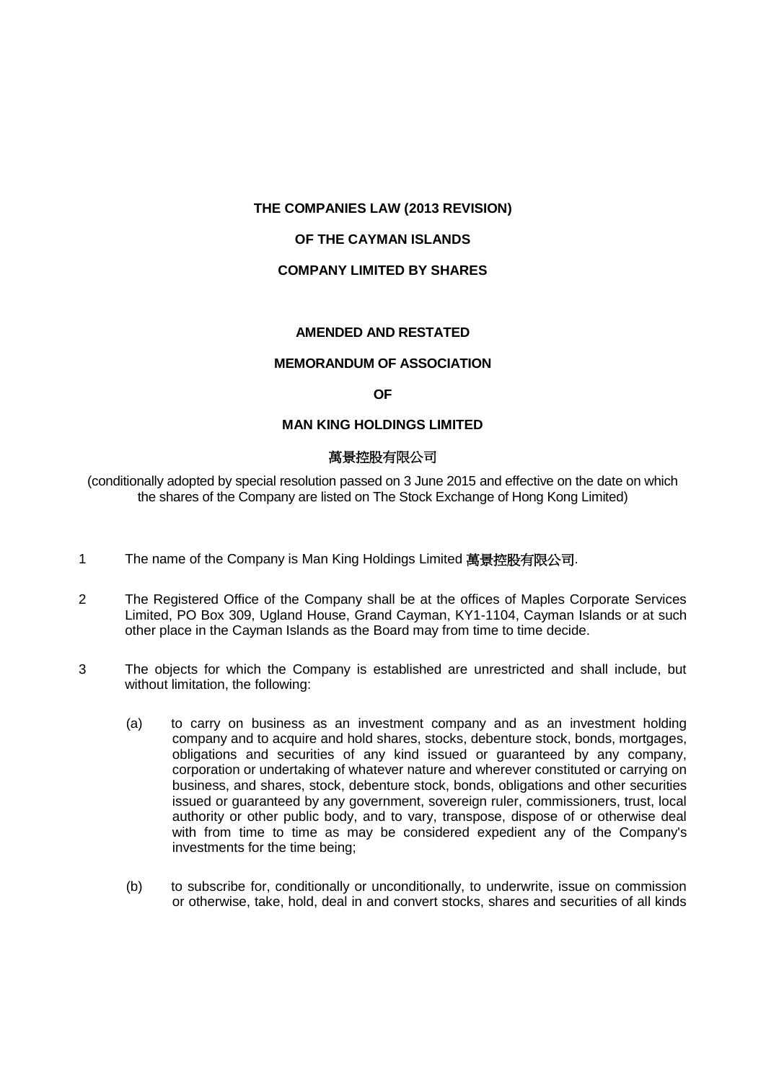#### **OF THE CAYMAN ISLANDS**

#### **COMPANY LIMITED BY SHARES**

#### **AMENDED AND RESTATED**

#### **MEMORANDUM OF ASSOCIATION**

#### **OF**

#### **MAN KING HOLDINGS LIMITED**

#### 萬景控股有限公司

- 1 The name of the Company is Man King Holdings Limited 萬景控股有限公司.
- 2 The Registered Office of the Company shall be at the offices of Maples Corporate Services Limited, PO Box 309, Ugland House, Grand Cayman, KY1-1104, Cayman Islands or at such other place in the Cayman Islands as the Board may from time to time decide.
- 3 The objects for which the Company is established are unrestricted and shall include, but without limitation, the following:
	- (a) to carry on business as an investment company and as an investment holding company and to acquire and hold shares, stocks, debenture stock, bonds, mortgages, obligations and securities of any kind issued or guaranteed by any company, corporation or undertaking of whatever nature and wherever constituted or carrying on business, and shares, stock, debenture stock, bonds, obligations and other securities issued or guaranteed by any government, sovereign ruler, commissioners, trust, local authority or other public body, and to vary, transpose, dispose of or otherwise deal with from time to time as may be considered expedient any of the Company's investments for the time being;
	- (b) to subscribe for, conditionally or unconditionally, to underwrite, issue on commission or otherwise, take, hold, deal in and convert stocks, shares and securities of all kinds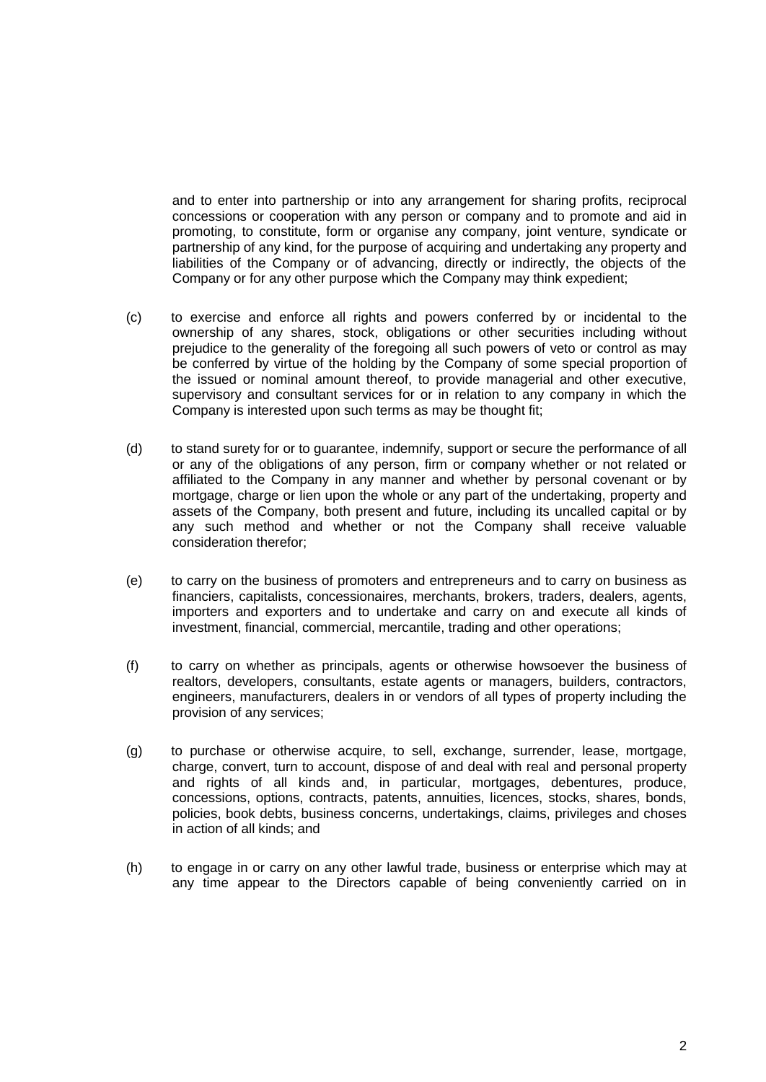and to enter into partnership or into any arrangement for sharing profits, reciprocal concessions or cooperation with any person or company and to promote and aid in promoting, to constitute, form or organise any company, joint venture, syndicate or partnership of any kind, for the purpose of acquiring and undertaking any property and liabilities of the Company or of advancing, directly or indirectly, the objects of the Company or for any other purpose which the Company may think expedient;

- (c) to exercise and enforce all rights and powers conferred by or incidental to the ownership of any shares, stock, obligations or other securities including without prejudice to the generality of the foregoing all such powers of veto or control as may be conferred by virtue of the holding by the Company of some special proportion of the issued or nominal amount thereof, to provide managerial and other executive, supervisory and consultant services for or in relation to any company in which the Company is interested upon such terms as may be thought fit;
- (d) to stand surety for or to guarantee, indemnify, support or secure the performance of all or any of the obligations of any person, firm or company whether or not related or affiliated to the Company in any manner and whether by personal covenant or by mortgage, charge or lien upon the whole or any part of the undertaking, property and assets of the Company, both present and future, including its uncalled capital or by any such method and whether or not the Company shall receive valuable consideration therefor;
- (e) to carry on the business of promoters and entrepreneurs and to carry on business as financiers, capitalists, concessionaires, merchants, brokers, traders, dealers, agents, importers and exporters and to undertake and carry on and execute all kinds of investment, financial, commercial, mercantile, trading and other operations;
- (f) to carry on whether as principals, agents or otherwise howsoever the business of realtors, developers, consultants, estate agents or managers, builders, contractors, engineers, manufacturers, dealers in or vendors of all types of property including the provision of any services;
- (g) to purchase or otherwise acquire, to sell, exchange, surrender, lease, mortgage, charge, convert, turn to account, dispose of and deal with real and personal property and rights of all kinds and, in particular, mortgages, debentures, produce, concessions, options, contracts, patents, annuities, licences, stocks, shares, bonds, policies, book debts, business concerns, undertakings, claims, privileges and choses in action of all kinds; and
- (h) to engage in or carry on any other lawful trade, business or enterprise which may at any time appear to the Directors capable of being conveniently carried on in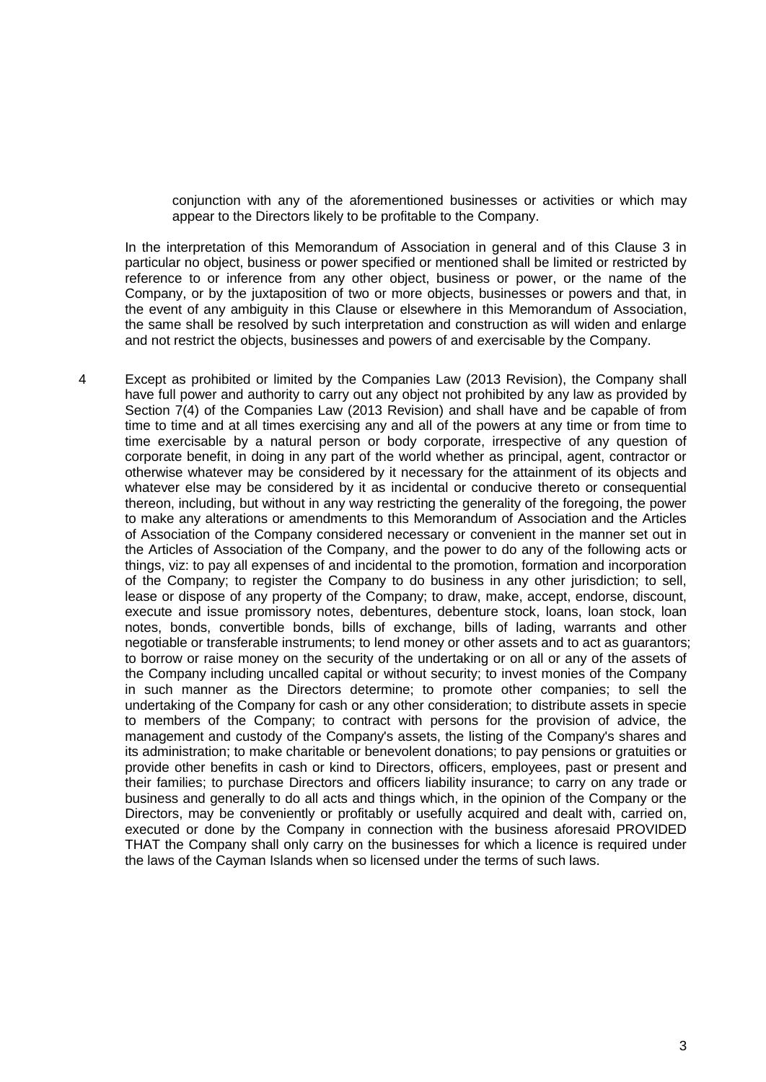conjunction with any of the aforementioned businesses or activities or which may appear to the Directors likely to be profitable to the Company.

In the interpretation of this Memorandum of Association in general and of this Clause 3 in particular no object, business or power specified or mentioned shall be limited or restricted by reference to or inference from any other object, business or power, or the name of the Company, or by the juxtaposition of two or more objects, businesses or powers and that, in the event of any ambiguity in this Clause or elsewhere in this Memorandum of Association, the same shall be resolved by such interpretation and construction as will widen and enlarge and not restrict the objects, businesses and powers of and exercisable by the Company.

4 Except as prohibited or limited by the Companies Law (2013 Revision), the Company shall have full power and authority to carry out any object not prohibited by any law as provided by Section 7(4) of the Companies Law (2013 Revision) and shall have and be capable of from time to time and at all times exercising any and all of the powers at any time or from time to time exercisable by a natural person or body corporate, irrespective of any question of corporate benefit, in doing in any part of the world whether as principal, agent, contractor or otherwise whatever may be considered by it necessary for the attainment of its objects and whatever else may be considered by it as incidental or conducive thereto or consequential thereon, including, but without in any way restricting the generality of the foregoing, the power to make any alterations or amendments to this Memorandum of Association and the Articles of Association of the Company considered necessary or convenient in the manner set out in the Articles of Association of the Company, and the power to do any of the following acts or things, viz: to pay all expenses of and incidental to the promotion, formation and incorporation of the Company; to register the Company to do business in any other jurisdiction; to sell, lease or dispose of any property of the Company; to draw, make, accept, endorse, discount, execute and issue promissory notes, debentures, debenture stock, loans, loan stock, loan notes, bonds, convertible bonds, bills of exchange, bills of lading, warrants and other negotiable or transferable instruments; to lend money or other assets and to act as guarantors; to borrow or raise money on the security of the undertaking or on all or any of the assets of the Company including uncalled capital or without security; to invest monies of the Company in such manner as the Directors determine; to promote other companies; to sell the undertaking of the Company for cash or any other consideration; to distribute assets in specie to members of the Company; to contract with persons for the provision of advice, the management and custody of the Company's assets, the listing of the Company's shares and its administration; to make charitable or benevolent donations; to pay pensions or gratuities or provide other benefits in cash or kind to Directors, officers, employees, past or present and their families; to purchase Directors and officers liability insurance; to carry on any trade or business and generally to do all acts and things which, in the opinion of the Company or the Directors, may be conveniently or profitably or usefully acquired and dealt with, carried on, executed or done by the Company in connection with the business aforesaid PROVIDED THAT the Company shall only carry on the businesses for which a licence is required under the laws of the Cayman Islands when so licensed under the terms of such laws.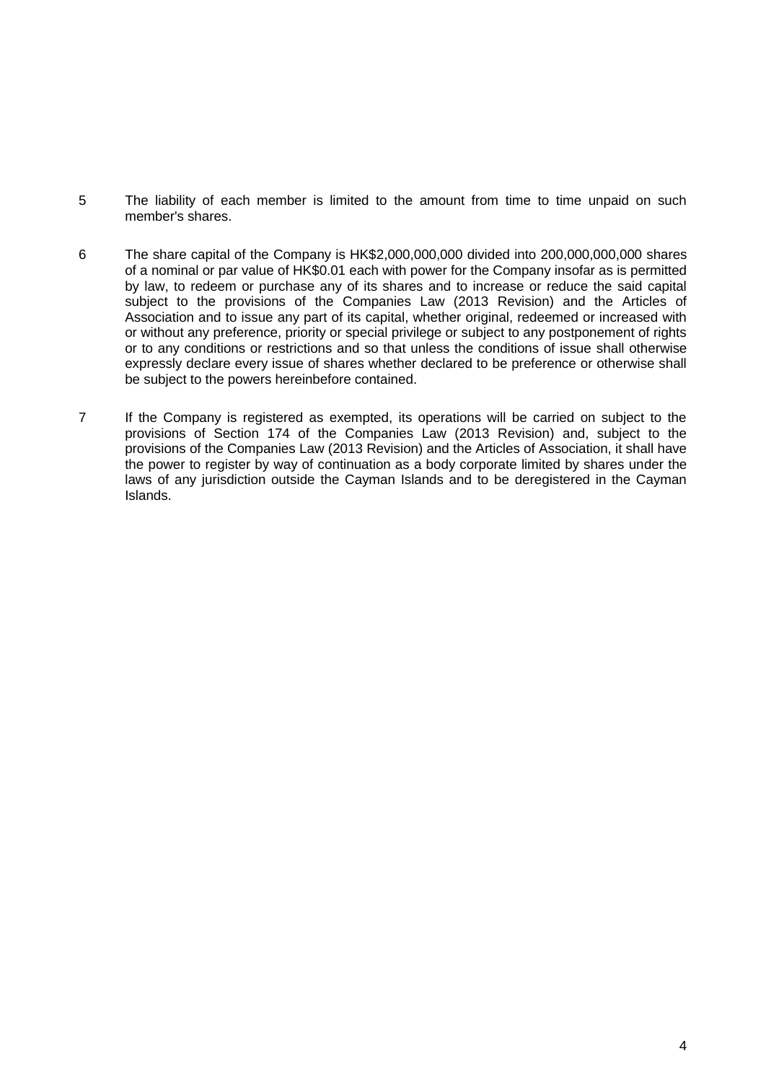- 5 The liability of each member is limited to the amount from time to time unpaid on such member's shares.
- 6 The share capital of the Company is HK\$2,000,000,000 divided into 200,000,000,000 shares of a nominal or par value of HK\$0.01 each with power for the Company insofar as is permitted by law, to redeem or purchase any of its shares and to increase or reduce the said capital subject to the provisions of the Companies Law (2013 Revision) and the Articles of Association and to issue any part of its capital, whether original, redeemed or increased with or without any preference, priority or special privilege or subject to any postponement of rights or to any conditions or restrictions and so that unless the conditions of issue shall otherwise expressly declare every issue of shares whether declared to be preference or otherwise shall be subject to the powers hereinbefore contained.
- 7 If the Company is registered as exempted, its operations will be carried on subject to the provisions of Section 174 of the Companies Law (2013 Revision) and, subject to the provisions of the Companies Law (2013 Revision) and the Articles of Association, it shall have the power to register by way of continuation as a body corporate limited by shares under the laws of any jurisdiction outside the Cayman Islands and to be deregistered in the Cayman Islands.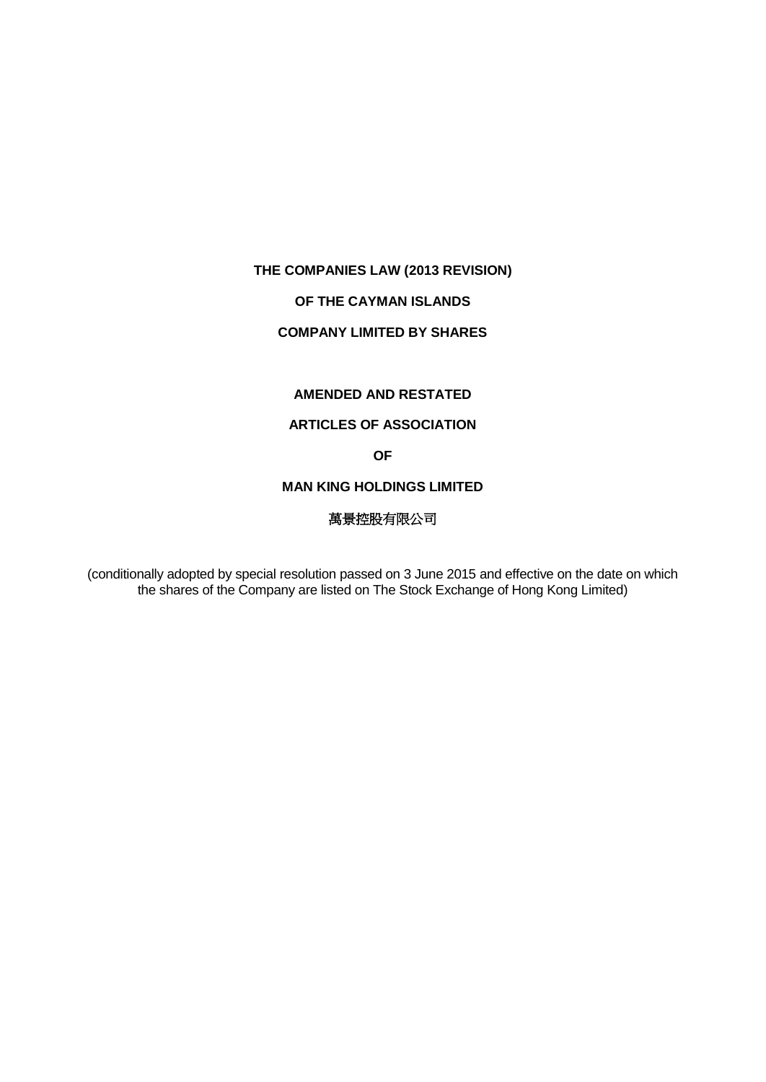# **OF THE CAYMAN ISLANDS**

## **COMPANY LIMITED BY SHARES**

# **AMENDED AND RESTATED**

# **ARTICLES OF ASSOCIATION**

# **OF**

#### **MAN KING HOLDINGS LIMITED**

# 萬景控股有限公司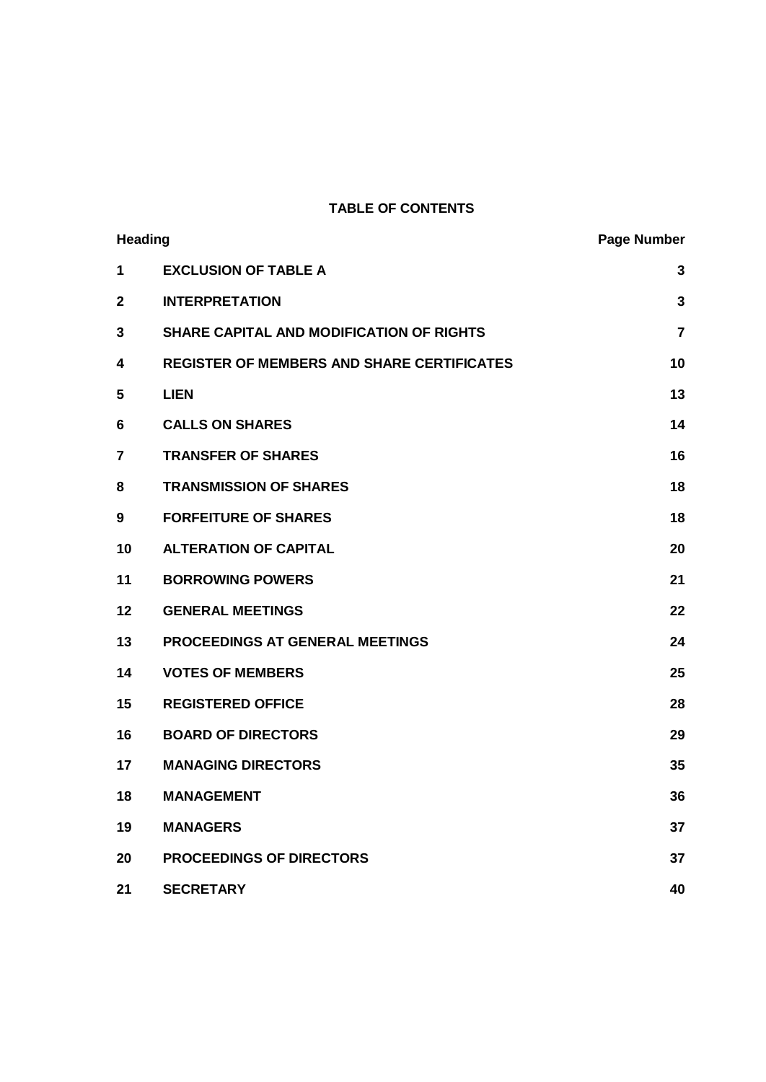# **TABLE OF CONTENTS**

| <b>Heading</b> |                                                   | <b>Page Number</b> |
|----------------|---------------------------------------------------|--------------------|
| 1              | <b>EXCLUSION OF TABLE A</b>                       | $\mathbf{3}$       |
| $\mathbf{2}$   | <b>INTERPRETATION</b>                             | 3                  |
| 3              | <b>SHARE CAPITAL AND MODIFICATION OF RIGHTS</b>   | 7                  |
| 4              | <b>REGISTER OF MEMBERS AND SHARE CERTIFICATES</b> | 10                 |
| 5              | <b>LIEN</b>                                       | 13                 |
| 6              | <b>CALLS ON SHARES</b>                            | 14                 |
| $\overline{7}$ | <b>TRANSFER OF SHARES</b>                         | 16                 |
| 8              | <b>TRANSMISSION OF SHARES</b>                     | 18                 |
| 9              | <b>FORFEITURE OF SHARES</b>                       | 18                 |
| 10             | <b>ALTERATION OF CAPITAL</b>                      | 20                 |
| 11             | <b>BORROWING POWERS</b>                           | 21                 |
| 12             | <b>GENERAL MEETINGS</b>                           | 22                 |
| 13             | PROCEEDINGS AT GENERAL MEETINGS                   | 24                 |
| 14             | <b>VOTES OF MEMBERS</b>                           | 25                 |
| 15             | <b>REGISTERED OFFICE</b>                          | 28                 |
| 16             | <b>BOARD OF DIRECTORS</b>                         | 29                 |
| 17             | <b>MANAGING DIRECTORS</b>                         | 35                 |
| 18             | <b>MANAGEMENT</b>                                 | 36                 |
| 19             | <b>MANAGERS</b>                                   | 37                 |
| 20             | <b>PROCEEDINGS OF DIRECTORS</b>                   | 37                 |
| 21             | <b>SECRETARY</b>                                  | 40                 |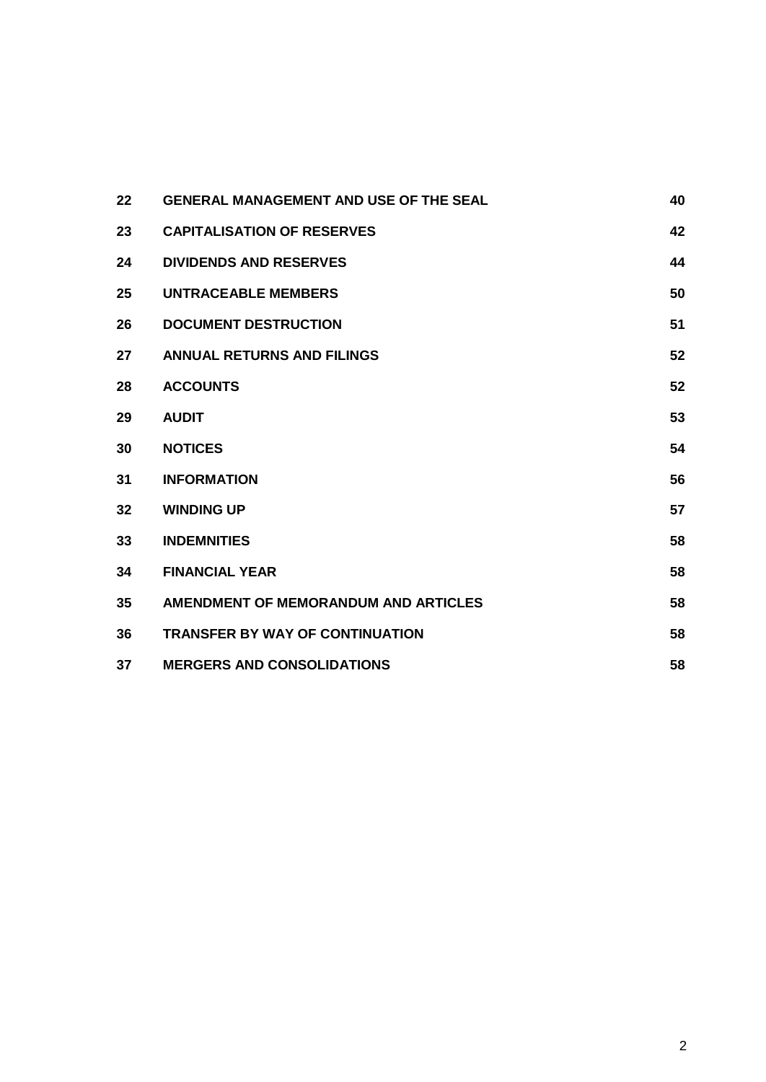| 22 | <b>GENERAL MANAGEMENT AND USE OF THE SEAL</b> | 40 |
|----|-----------------------------------------------|----|
| 23 | <b>CAPITALISATION OF RESERVES</b>             | 42 |
| 24 | <b>DIVIDENDS AND RESERVES</b>                 | 44 |
| 25 | <b>UNTRACEABLE MEMBERS</b>                    | 50 |
| 26 | <b>DOCUMENT DESTRUCTION</b>                   | 51 |
| 27 | <b>ANNUAL RETURNS AND FILINGS</b>             | 52 |
| 28 | <b>ACCOUNTS</b>                               | 52 |
| 29 | <b>AUDIT</b>                                  | 53 |
| 30 | <b>NOTICES</b>                                | 54 |
| 31 | <b>INFORMATION</b>                            | 56 |
| 32 | <b>WINDING UP</b>                             | 57 |
| 33 | <b>INDEMNITIES</b>                            | 58 |
| 34 | <b>FINANCIAL YEAR</b>                         | 58 |
| 35 | AMENDMENT OF MEMORANDUM AND ARTICLES          | 58 |
| 36 | <b>TRANSFER BY WAY OF CONTINUATION</b>        | 58 |
| 37 | <b>MERGERS AND CONSOLIDATIONS</b>             | 58 |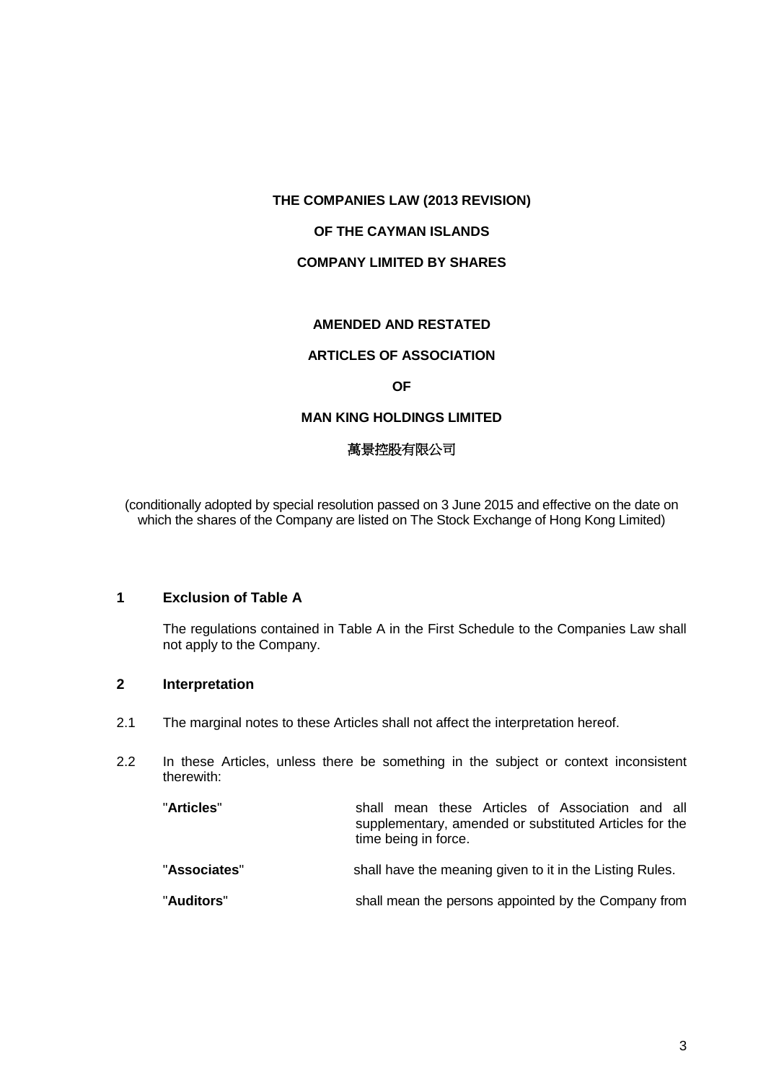## **OF THE CAYMAN ISLANDS**

## **COMPANY LIMITED BY SHARES**

## **AMENDED AND RESTATED**

#### **ARTICLES OF ASSOCIATION**

#### **OF**

## **MAN KING HOLDINGS LIMITED**

## 萬景控股有限公司

(conditionally adopted by special resolution passed on 3 June 2015 and effective on the date on which the shares of the Company are listed on The Stock Exchange of Hong Kong Limited)

## <span id="page-9-0"></span>**1 Exclusion of Table A**

The regulations contained in Table A in the First Schedule to the Companies Law shall not apply to the Company.

# <span id="page-9-1"></span>**2 Interpretation**

- 2.1 The marginal notes to these Articles shall not affect the interpretation hereof.
- 2.2 In these Articles, unless there be something in the subject or context inconsistent therewith:

| "Articles"   | shall mean these Articles of Association and all<br>supplementary, amended or substituted Articles for the<br>time being in force. |
|--------------|------------------------------------------------------------------------------------------------------------------------------------|
| "Associates" | shall have the meaning given to it in the Listing Rules.                                                                           |
| "Auditors"   | shall mean the persons appointed by the Company from                                                                               |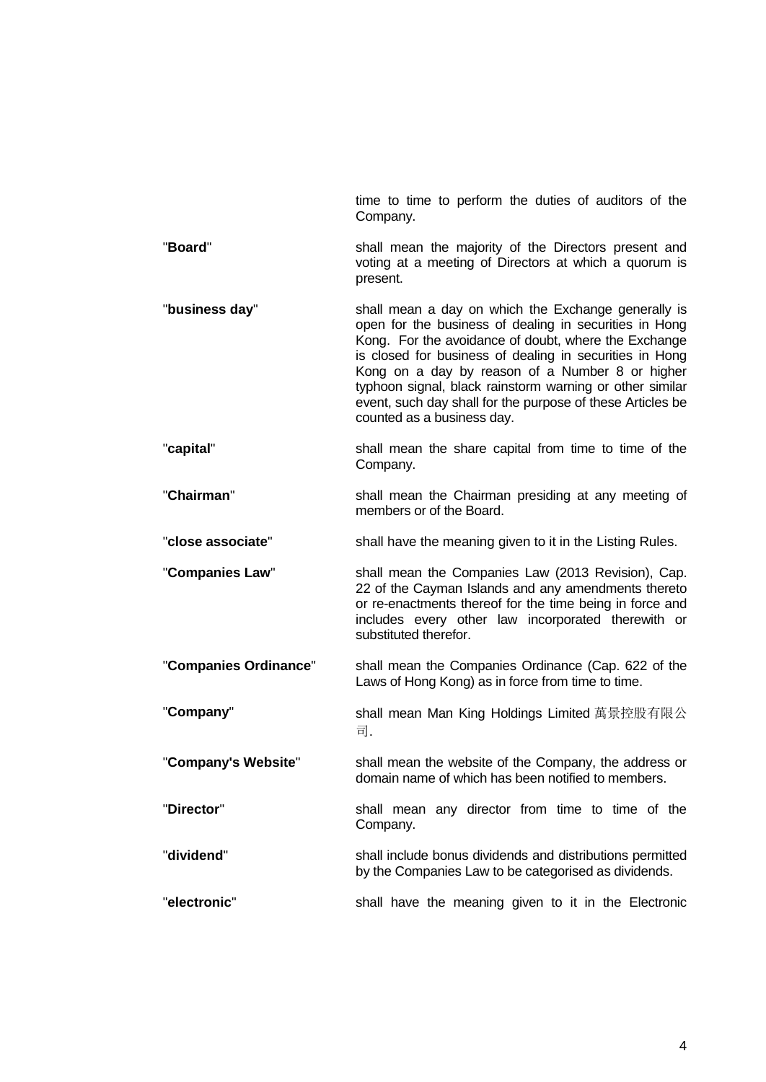|                       | Company.                                                                                                                                                                                                                                                                                                                                                                                                                                    |
|-----------------------|---------------------------------------------------------------------------------------------------------------------------------------------------------------------------------------------------------------------------------------------------------------------------------------------------------------------------------------------------------------------------------------------------------------------------------------------|
| "Board"               | shall mean the majority of the Directors present and<br>voting at a meeting of Directors at which a quorum is<br>present.                                                                                                                                                                                                                                                                                                                   |
| "business day"        | shall mean a day on which the Exchange generally is<br>open for the business of dealing in securities in Hong<br>Kong. For the avoidance of doubt, where the Exchange<br>is closed for business of dealing in securities in Hong<br>Kong on a day by reason of a Number 8 or higher<br>typhoon signal, black rainstorm warning or other similar<br>event, such day shall for the purpose of these Articles be<br>counted as a business day. |
| "capital"             | shall mean the share capital from time to time of the<br>Company.                                                                                                                                                                                                                                                                                                                                                                           |
| "Chairman"            | shall mean the Chairman presiding at any meeting of<br>members or of the Board.                                                                                                                                                                                                                                                                                                                                                             |
| "close associate"     | shall have the meaning given to it in the Listing Rules.                                                                                                                                                                                                                                                                                                                                                                                    |
| "Companies Law"       | shall mean the Companies Law (2013 Revision), Cap.<br>22 of the Cayman Islands and any amendments thereto<br>or re-enactments thereof for the time being in force and<br>includes every other law incorporated therewith or<br>substituted therefor.                                                                                                                                                                                        |
| "Companies Ordinance" | shall mean the Companies Ordinance (Cap. 622 of the<br>Laws of Hong Kong) as in force from time to time.                                                                                                                                                                                                                                                                                                                                    |
| "Company"             | shall mean Man King Holdings Limited 萬景控股有限公<br>司.                                                                                                                                                                                                                                                                                                                                                                                          |
| "Company's Website"   | shall mean the website of the Company, the address or<br>domain name of which has been notified to members.                                                                                                                                                                                                                                                                                                                                 |
| "Director"            | shall mean any director from time to time of the<br>Company.                                                                                                                                                                                                                                                                                                                                                                                |
| "dividend"            | shall include bonus dividends and distributions permitted<br>by the Companies Law to be categorised as dividends.                                                                                                                                                                                                                                                                                                                           |
| "electronic"          | shall have the meaning given to it in the Electronic                                                                                                                                                                                                                                                                                                                                                                                        |

time to time to perform the duties of auditors of the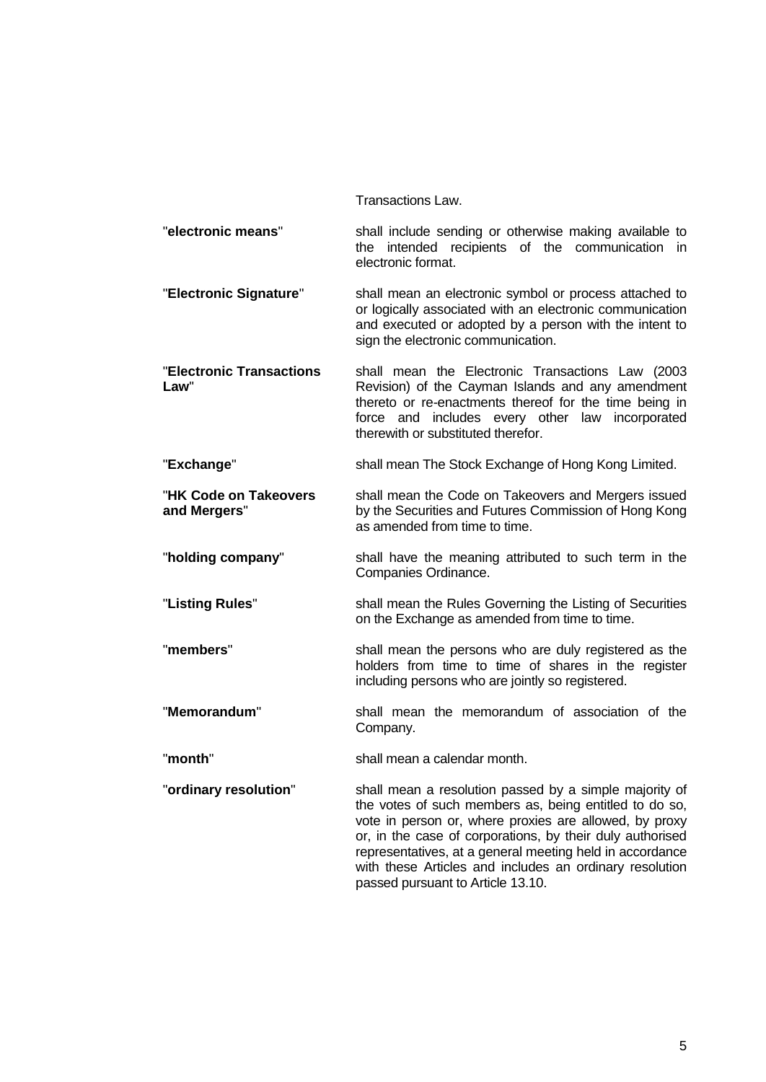Transactions Law.

"**electronic means**" shall include sending or otherwise making available to the intended recipients of the communication in electronic format.

"**Electronic Signature**" shall mean an electronic symbol or process attached to or logically associated with an electronic communication and executed or adopted by a person with the intent to sign the electronic communication.

"**Electronic Transactions Law**" shall mean the Electronic Transactions Law (2003 Revision) of the Cayman Islands and any amendment thereto or re-enactments thereof for the time being in force and includes every other law incorporated therewith or substituted therefor.

**"Exchange"** shall mean The Stock Exchange of Hong Kong Limited.

"**HK Code on Takeovers and Mergers**" shall mean the Code on Takeovers and Mergers issued by the Securities and Futures Commission of Hong Kong as amended from time to time.

"**holding company**" shall have the meaning attributed to such term in the Companies Ordinance.

"**Listing Rules**" shall mean the Rules Governing the Listing of Securities on the Exchange as amended from time to time.

"**members**" shall mean the persons who are duly registered as the holders from time to time of shares in the register including persons who are jointly so registered.

"**Memorandum**" shall mean the memorandum of association of the Company.

"**month**" shall mean a calendar month.

"**ordinary resolution**" shall mean a resolution passed by a simple majority of the votes of such members as, being entitled to do so, vote in person or, where proxies are allowed, by proxy or, in the case of corporations, by their duly authorised representatives, at a general meeting held in accordance with these Articles and includes an ordinary resolution passed pursuant to Article [13.10.](#page-31-1)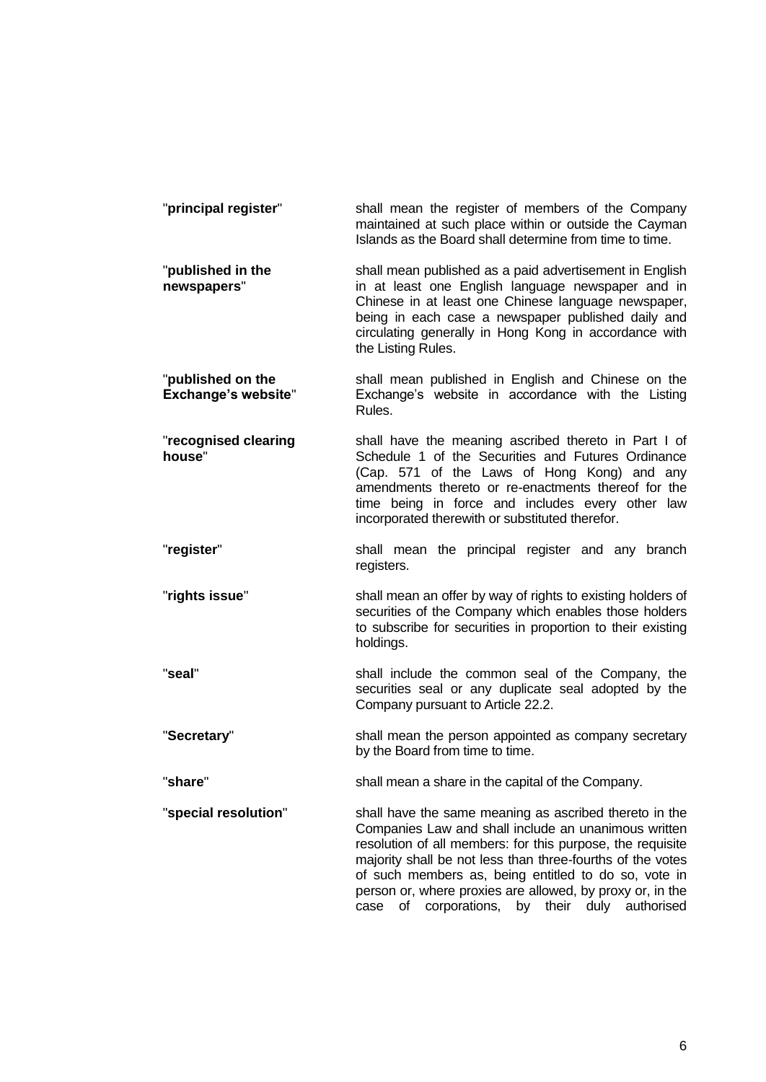| "principal register"                            | shall mean the register of members of the Company<br>maintained at such place within or outside the Cayman<br>Islands as the Board shall determine from time to time.                                                                                                                                                                                                                                                |
|-------------------------------------------------|----------------------------------------------------------------------------------------------------------------------------------------------------------------------------------------------------------------------------------------------------------------------------------------------------------------------------------------------------------------------------------------------------------------------|
| "published in the<br>newspapers"                | shall mean published as a paid advertisement in English<br>in at least one English language newspaper and in<br>Chinese in at least one Chinese language newspaper,<br>being in each case a newspaper published daily and<br>circulating generally in Hong Kong in accordance with<br>the Listing Rules.                                                                                                             |
| "published on the<br><b>Exchange's website"</b> | shall mean published in English and Chinese on the<br>Exchange's website in accordance with the Listing<br>Rules.                                                                                                                                                                                                                                                                                                    |
| "recognised clearing<br>house"                  | shall have the meaning ascribed thereto in Part I of<br>Schedule 1 of the Securities and Futures Ordinance<br>(Cap. 571 of the Laws of Hong Kong) and any<br>amendments thereto or re-enactments thereof for the<br>time being in force and includes every other law<br>incorporated therewith or substituted therefor.                                                                                              |
| "register"                                      | shall mean the principal register and any branch<br>registers.                                                                                                                                                                                                                                                                                                                                                       |
| "rights issue"                                  | shall mean an offer by way of rights to existing holders of<br>securities of the Company which enables those holders<br>to subscribe for securities in proportion to their existing<br>holdings.                                                                                                                                                                                                                     |
| "seal"                                          | shall include the common seal of the Company, the<br>securities seal or any duplicate seal adopted by the<br>Company pursuant to Article 22.2.                                                                                                                                                                                                                                                                       |
| "Secretary"                                     | shall mean the person appointed as company secretary<br>by the Board from time to time.                                                                                                                                                                                                                                                                                                                              |
| "share"                                         | shall mean a share in the capital of the Company.                                                                                                                                                                                                                                                                                                                                                                    |
| "special resolution"                            | shall have the same meaning as ascribed thereto in the<br>Companies Law and shall include an unanimous written<br>resolution of all members: for this purpose, the requisite<br>majority shall be not less than three-fourths of the votes<br>of such members as, being entitled to do so, vote in<br>person or, where proxies are allowed, by proxy or, in the<br>of corporations, by their duly authorised<br>case |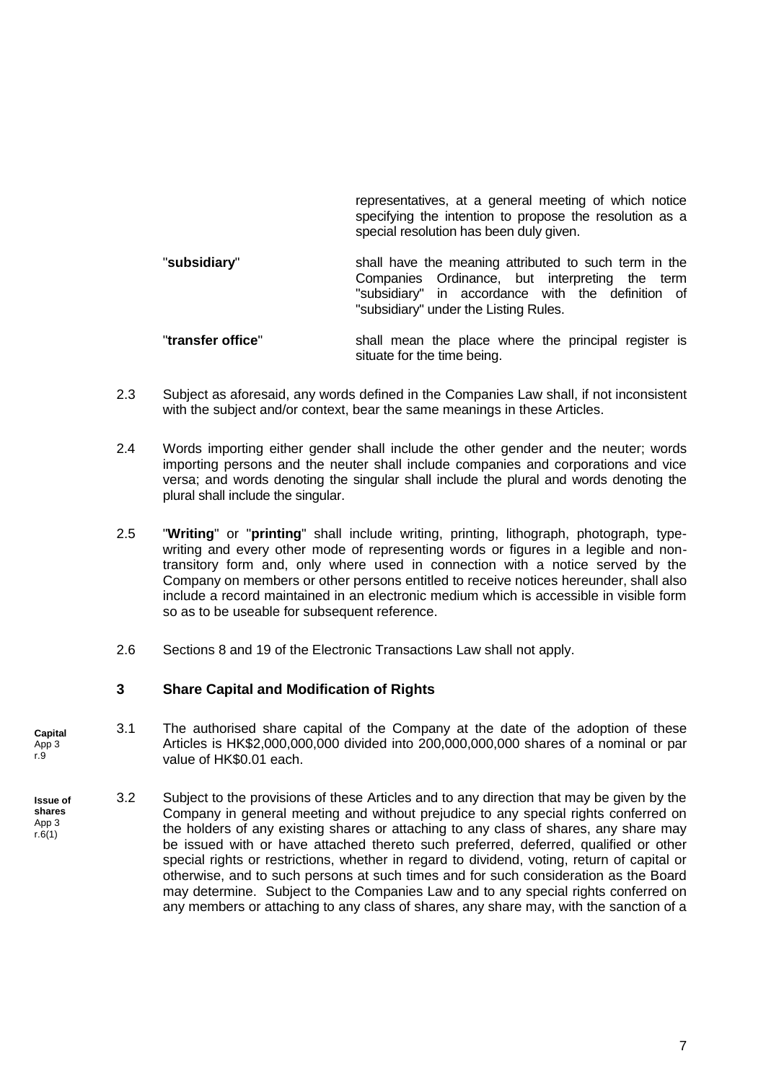representatives, at a general meeting of which notice specifying the intention to propose the resolution as a special resolution has been duly given. "**subsidiary**" shall have the meaning attributed to such term in the Companies Ordinance, but interpreting the term "subsidiary" in accordance with the definition of "subsidiary" under the Listing Rules.

"**transfer office**" shall mean the place where the principal register is situate for the time being.

- 2.3 Subject as aforesaid, any words defined in the Companies Law shall, if not inconsistent with the subject and/or context, bear the same meanings in these Articles.
- 2.4 Words importing either gender shall include the other gender and the neuter; words importing persons and the neuter shall include companies and corporations and vice versa; and words denoting the singular shall include the plural and words denoting the plural shall include the singular.
- 2.5 "**Writing**" or "**printing**" shall include writing, printing, lithograph, photograph, typewriting and every other mode of representing words or figures in a legible and nontransitory form and, only where used in connection with a notice served by the Company on members or other persons entitled to receive notices hereunder, shall also include a record maintained in an electronic medium which is accessible in visible form so as to be useable for subsequent reference.
- 2.6 Sections 8 and 19 of the Electronic Transactions Law shall not apply.

# <span id="page-13-0"></span>**3 Share Capital and Modification of Rights**

- 3.1 The authorised share capital of the Company at the date of the adoption of these Articles is HK\$2,000,000,000 divided into 200,000,000,000 shares of a nominal or par value of HK\$0.01 each. **Capital** App 3 r.9
- 3.2 Subject to the provisions of these Articles and to any direction that may be given by the Company in general meeting and without prejudice to any special rights conferred on the holders of any existing shares or attaching to any class of shares, any share may be issued with or have attached thereto such preferred, deferred, qualified or other special rights or restrictions, whether in regard to dividend, voting, return of capital or otherwise, and to such persons at such times and for such consideration as the Board may determine. Subject to the Companies Law and to any special rights conferred on any members or attaching to any class of shares, any share may, with the sanction of a **Issue of shares** App 3 r.6(1)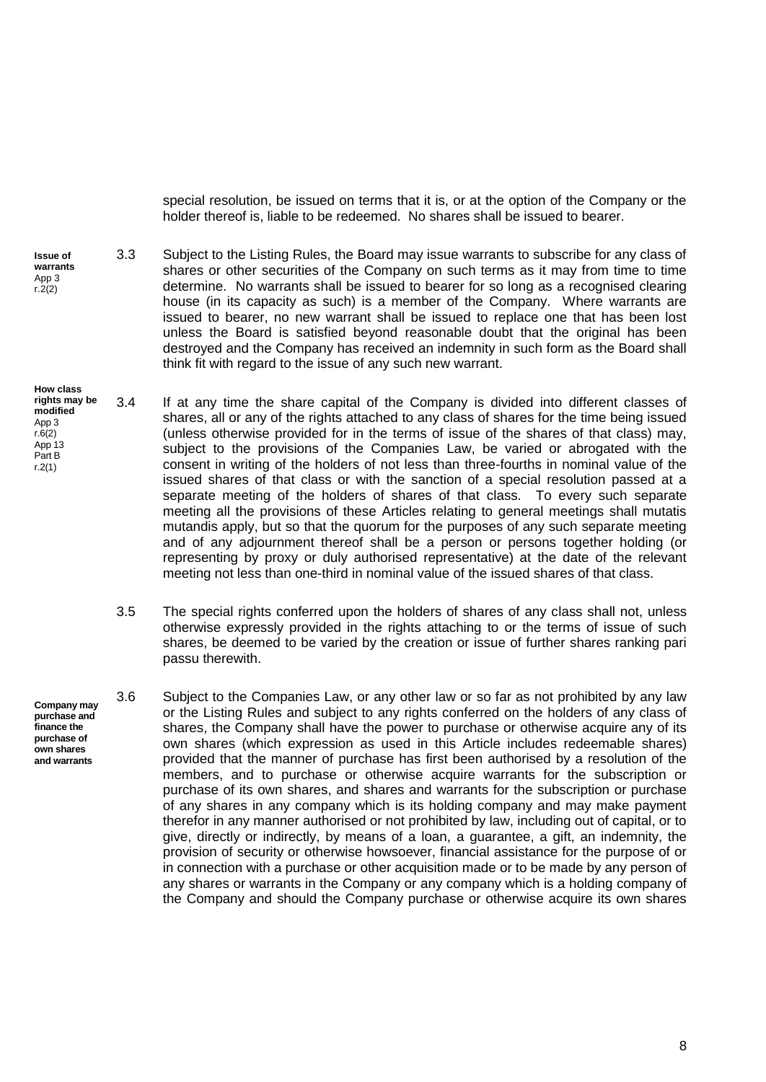special resolution, be issued on terms that it is, or at the option of the Company or the holder thereof is, liable to be redeemed. No shares shall be issued to bearer.

3.3 Subject to the Listing Rules, the Board may issue warrants to subscribe for any class of shares or other securities of the Company on such terms as it may from time to time determine. No warrants shall be issued to bearer for so long as a recognised clearing house (in its capacity as such) is a member of the Company. Where warrants are issued to bearer, no new warrant shall be issued to replace one that has been lost unless the Board is satisfied beyond reasonable doubt that the original has been destroyed and the Company has received an indemnity in such form as the Board shall think fit with regard to the issue of any such new warrant. **Issue of warrants** App 3 r.2(2)

**How class** 

**finance the purchase of own shares** 

- 3.4 If at any time the share capital of the Company is divided into different classes of shares, all or any of the rights attached to any class of shares for the time being issued (unless otherwise provided for in the terms of issue of the shares of that class) may, subject to the provisions of the Companies Law, be varied or abrogated with the consent in writing of the holders of not less than three-fourths in nominal value of the issued shares of that class or with the sanction of a special resolution passed at a separate meeting of the holders of shares of that class. To every such separate meeting all the provisions of these Articles relating to general meetings shall mutatis mutandis apply, but so that the quorum for the purposes of any such separate meeting and of any adjournment thereof shall be a person or persons together holding (or representing by proxy or duly authorised representative) at the date of the relevant meeting not less than one-third in nominal value of the issued shares of that class. **rights may be modified**  App 3 r.6(2) App 13 Part B r.2(1)
	- 3.5 The special rights conferred upon the holders of shares of any class shall not, unless otherwise expressly provided in the rights attaching to or the terms of issue of such shares, be deemed to be varied by the creation or issue of further shares ranking pari passu therewith.
- 3.6 Subject to the Companies Law, or any other law or so far as not prohibited by any law or the Listing Rules and subject to any rights conferred on the holders of any class of shares, the Company shall have the power to purchase or otherwise acquire any of its own shares (which expression as used in this Article includes redeemable shares) provided that the manner of purchase has first been authorised by a resolution of the members, and to purchase or otherwise acquire warrants for the subscription or purchase of its own shares, and shares and warrants for the subscription or purchase of any shares in any company which is its holding company and may make payment therefor in any manner authorised or not prohibited by law, including out of capital, or to give, directly or indirectly, by means of a loan, a guarantee, a gift, an indemnity, the provision of security or otherwise howsoever, financial assistance for the purpose of or in connection with a purchase or other acquisition made or to be made by any person of any shares or warrants in the Company or any company which is a holding company of the Company and should the Company purchase or otherwise acquire its own shares **Company may purchase and and warrants**

8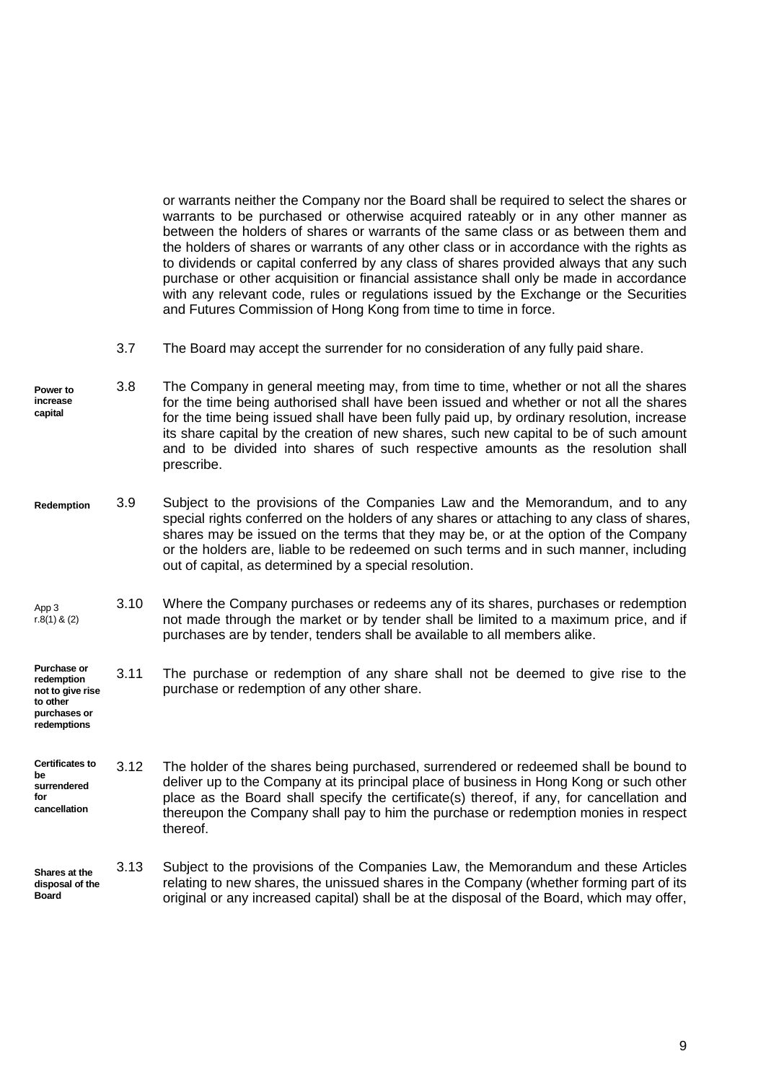or warrants neither the Company nor the Board shall be required to select the shares or warrants to be purchased or otherwise acquired rateably or in any other manner as between the holders of shares or warrants of the same class or as between them and the holders of shares or warrants of any other class or in accordance with the rights as to dividends or capital conferred by any class of shares provided always that any such purchase or other acquisition or financial assistance shall only be made in accordance with any relevant code, rules or regulations issued by the Exchange or the Securities and Futures Commission of Hong Kong from time to time in force.

- 3.7 The Board may accept the surrender for no consideration of any fully paid share.
- 3.8 The Company in general meeting may, from time to time, whether or not all the shares for the time being authorised shall have been issued and whether or not all the shares for the time being issued shall have been fully paid up, by ordinary resolution, increase its share capital by the creation of new shares, such new capital to be of such amount and to be divided into shares of such respective amounts as the resolution shall prescribe. **Power to increase capital**
- 3.9 Subject to the provisions of the Companies Law and the Memorandum, and to any special rights conferred on the holders of any shares or attaching to any class of shares, shares may be issued on the terms that they may be, or at the option of the Company or the holders are, liable to be redeemed on such terms and in such manner, including out of capital, as determined by a special resolution. **Redemption**
- App 3 r.8(1) & (2) 3.10 Where the Company purchases or redeems any of its shares, purchases or redemption not made through the market or by tender shall be limited to a maximum price, and if purchases are by tender, tenders shall be available to all members alike.
- **Purchase or redemption not to give rise to other**  3.11 The purchase or redemption of any share shall not be deemed to give rise to the purchase or redemption of any other share.

**Certificates to be surrendered for cancellation** 3.12 The holder of the shares being purchased, surrendered or redeemed shall be bound to deliver up to the Company at its principal place of business in Hong Kong or such other place as the Board shall specify the certificate(s) thereof, if any, for cancellation and thereupon the Company shall pay to him the purchase or redemption monies in respect thereof.

**purchases or redemptions**

3.13 Subject to the provisions of the Companies Law, the Memorandum and these Articles relating to new shares, the unissued shares in the Company (whether forming part of its original or any increased capital) shall be at the disposal of the Board, which may offer, **Shares at the disposal of the Board**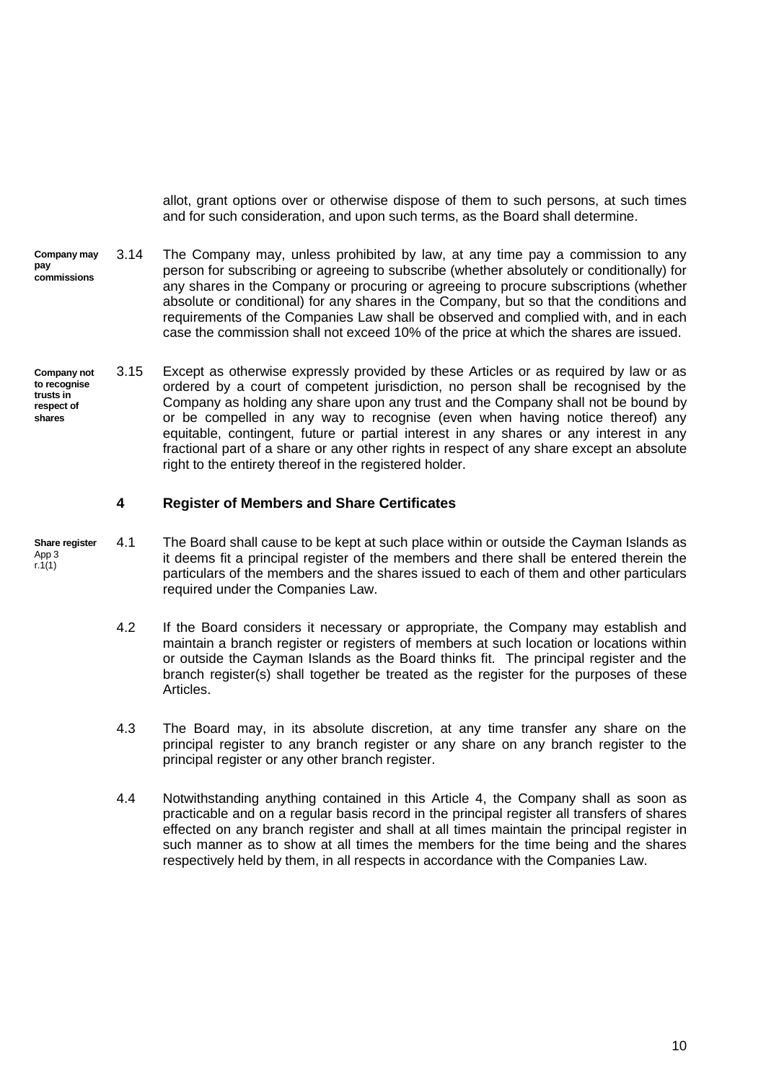allot, grant options over or otherwise dispose of them to such persons, at such times and for such consideration, and upon such terms, as the Board shall determine.

- 3.14 The Company may, unless prohibited by law, at any time pay a commission to any person for subscribing or agreeing to subscribe (whether absolutely or conditionally) for any shares in the Company or procuring or agreeing to procure subscriptions (whether absolute or conditional) for any shares in the Company, but so that the conditions and requirements of the Companies Law shall be observed and complied with, and in each case the commission shall not exceed 10% of the price at which the shares are issued. **Company may pay commissions**
- 3.15 Except as otherwise expressly provided by these Articles or as required by law or as ordered by a court of competent jurisdiction, no person shall be recognised by the Company as holding any share upon any trust and the Company shall not be bound by or be compelled in any way to recognise (even when having notice thereof) any equitable, contingent, future or partial interest in any shares or any interest in any fractional part of a share or any other rights in respect of any share except an absolute right to the entirety thereof in the registered holder. **Company not to recognise trusts in respect of shares**

#### <span id="page-16-0"></span>**4 Register of Members and Share Certificates**

- 4.1 The Board shall cause to be kept at such place within or outside the Cayman Islands as it deems fit a principal register of the members and there shall be entered therein the particulars of the members and the shares issued to each of them and other particulars required under the Companies Law. **Share register** App 3 r.1(1)
	- 4.2 If the Board considers it necessary or appropriate, the Company may establish and maintain a branch register or registers of members at such location or locations within or outside the Cayman Islands as the Board thinks fit. The principal register and the branch register(s) shall together be treated as the register for the purposes of these Articles.
	- 4.3 The Board may, in its absolute discretion, at any time transfer any share on the principal register to any branch register or any share on any branch register to the principal register or any other branch register.
	- 4.4 Notwithstanding anything contained in this Article [4,](#page-16-0) the Company shall as soon as practicable and on a regular basis record in the principal register all transfers of shares effected on any branch register and shall at all times maintain the principal register in such manner as to show at all times the members for the time being and the shares respectively held by them, in all respects in accordance with the Companies Law.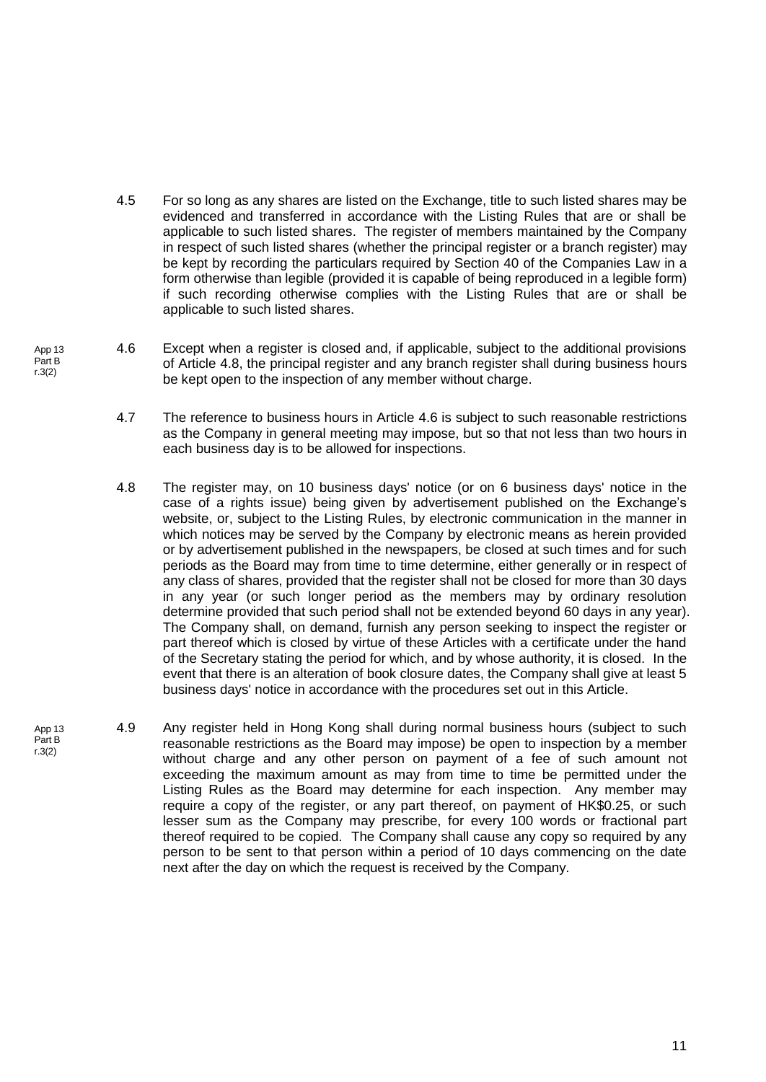- 4.5 For so long as any shares are listed on the Exchange, title to such listed shares may be evidenced and transferred in accordance with the Listing Rules that are or shall be applicable to such listed shares. The register of members maintained by the Company in respect of such listed shares (whether the principal register or a branch register) may be kept by recording the particulars required by Section 40 of the Companies Law in a form otherwise than legible (provided it is capable of being reproduced in a legible form) if such recording otherwise complies with the Listing Rules that are or shall be applicable to such listed shares.
- <span id="page-17-1"></span><span id="page-17-0"></span>4.6 Except when a register is closed and, if applicable, subject to the additional provisions of Article [4.8,](#page-17-0) the principal register and any branch register shall during business hours be kept open to the inspection of any member without charge.
	- 4.7 The reference to business hours in Article [4.6](#page-17-1) is subject to such reasonable restrictions as the Company in general meeting may impose, but so that not less than two hours in each business day is to be allowed for inspections.
	- 4.8 The register may, on 10 business days' notice (or on 6 business days' notice in the case of a rights issue) being given by advertisement published on the Exchange's website, or, subject to the Listing Rules, by electronic communication in the manner in which notices may be served by the Company by electronic means as herein provided or by advertisement published in the newspapers, be closed at such times and for such periods as the Board may from time to time determine, either generally or in respect of any class of shares, provided that the register shall not be closed for more than 30 days in any year (or such longer period as the members may by ordinary resolution determine provided that such period shall not be extended beyond 60 days in any year). The Company shall, on demand, furnish any person seeking to inspect the register or part thereof which is closed by virtue of these Articles with a certificate under the hand of the Secretary stating the period for which, and by whose authority, it is closed. In the event that there is an alteration of book closure dates, the Company shall give at least 5 business days' notice in accordance with the procedures set out in this Article.
- 4.9 Any register held in Hong Kong shall during normal business hours (subject to such reasonable restrictions as the Board may impose) be open to inspection by a member without charge and any other person on payment of a fee of such amount not exceeding the maximum amount as may from time to time be permitted under the Listing Rules as the Board may determine for each inspection. Any member may require a copy of the register, or any part thereof, on payment of HK\$0.25, or such lesser sum as the Company may prescribe, for every 100 words or fractional part thereof required to be copied. The Company shall cause any copy so required by any person to be sent to that person within a period of 10 days commencing on the date next after the day on which the request is received by the Company.

App 13 Part B r.3(2)

App 13 Part B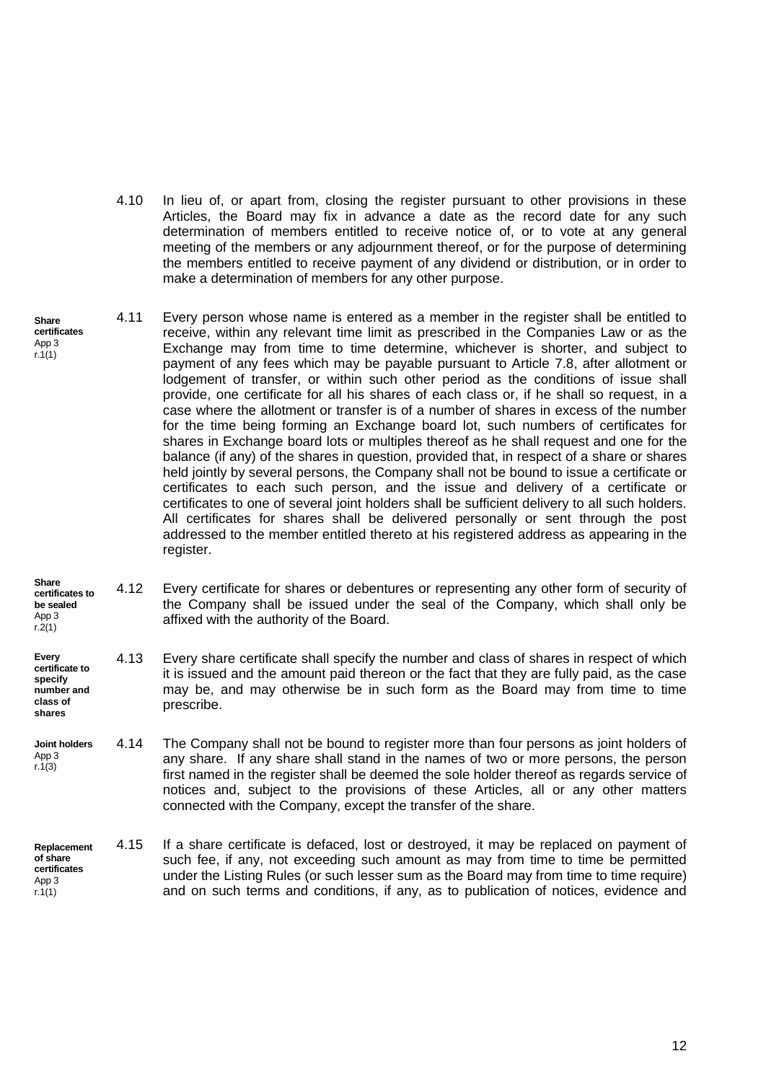- 4.10 In lieu of, or apart from, closing the register pursuant to other provisions in these Articles, the Board may fix in advance a date as the record date for any such determination of members entitled to receive notice of, or to vote at any general meeting of the members or any adjournment thereof, or for the purpose of determining the members entitled to receive payment of any dividend or distribution, or in order to make a determination of members for any other purpose.
- **certificates** 4.11 Every person whose name is entered as a member in the register shall be entitled to receive, within any relevant time limit as prescribed in the Companies Law or as the Exchange may from time to time determine, whichever is shorter, and subject to payment of any fees which may be payable pursuant to Article [7.8,](#page-23-0) after allotment or lodgement of transfer, or within such other period as the conditions of issue shall provide, one certificate for all his shares of each class or, if he shall so request, in a case where the allotment or transfer is of a number of shares in excess of the number for the time being forming an Exchange board lot, such numbers of certificates for shares in Exchange board lots or multiples thereof as he shall request and one for the balance (if any) of the shares in question, provided that, in respect of a share or shares held jointly by several persons, the Company shall not be bound to issue a certificate or certificates to each such person, and the issue and delivery of a certificate or certificates to one of several joint holders shall be sufficient delivery to all such holders. All certificates for shares shall be delivered personally or sent through the post addressed to the member entitled thereto at his registered address as appearing in the register.
- **Share certificates to be sealed** App 3  $r.2(1)$ 4.12 Every certificate for shares or debentures or representing any other form of security of the Company shall be issued under the seal of the Company, which shall only be affixed with the authority of the Board.
- **Every certificate to specify number and class of shares** 4.13 Every share certificate shall specify the number and class of shares in respect of which it is issued and the amount paid thereon or the fact that they are fully paid, as the case may be, and may otherwise be in such form as the Board may from time to time prescribe.
- 4.14 The Company shall not be bound to register more than four persons as joint holders of any share. If any share shall stand in the names of two or more persons, the person first named in the register shall be deemed the sole holder thereof as regards service of notices and, subject to the provisions of these Articles, all or any other matters connected with the Company, except the transfer of the share. **Joint holders** App 3 r.1(3)
- 4.15 If a share certificate is defaced, lost or destroyed, it may be replaced on payment of such fee, if any, not exceeding such amount as may from time to time be permitted under the Listing Rules (or such lesser sum as the Board may from time to time require) and on such terms and conditions, if any, as to publication of notices, evidence and **Replacement of share certificates** App 3 r.1(1)

**Share** 

App 3  $r.1(1)$ 

12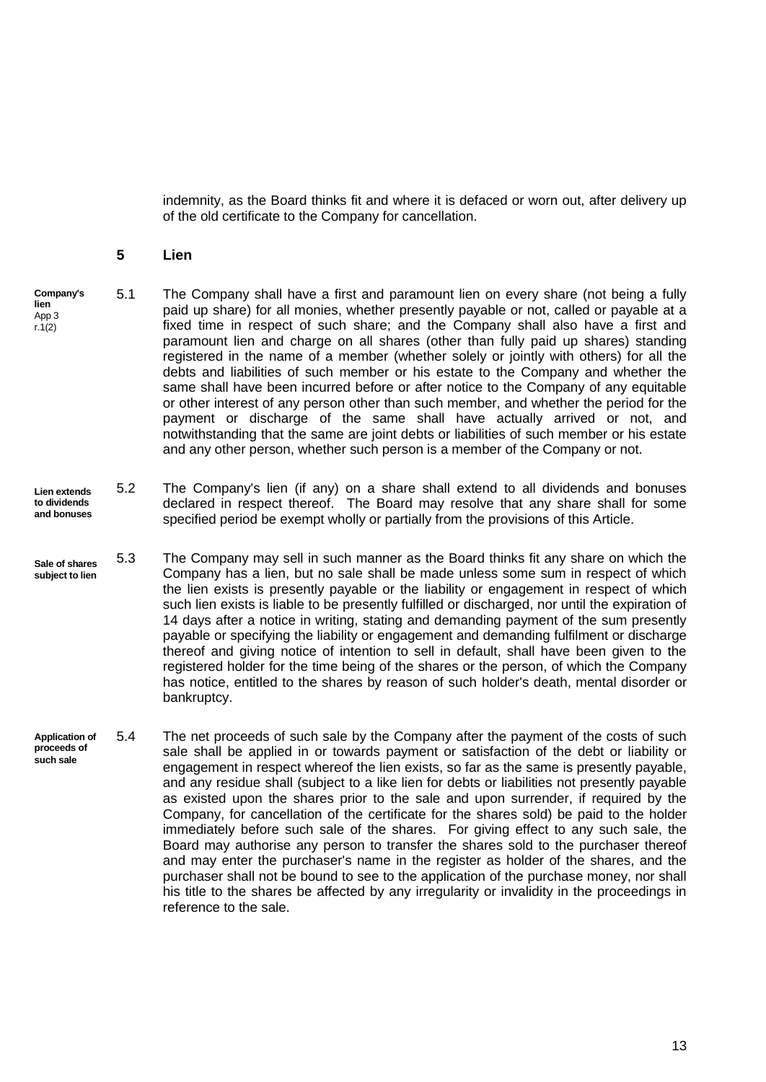indemnity, as the Board thinks fit and where it is defaced or worn out, after delivery up of the old certificate to the Company for cancellation.

#### <span id="page-19-0"></span>**5 Lien**

- 5.1 The Company shall have a first and paramount lien on every share (not being a fully paid up share) for all monies, whether presently payable or not, called or payable at a fixed time in respect of such share; and the Company shall also have a first and paramount lien and charge on all shares (other than fully paid up shares) standing registered in the name of a member (whether solely or jointly with others) for all the debts and liabilities of such member or his estate to the Company and whether the same shall have been incurred before or after notice to the Company of any equitable or other interest of any person other than such member, and whether the period for the payment or discharge of the same shall have actually arrived or not, and notwithstanding that the same are joint debts or liabilities of such member or his estate and any other person, whether such person is a member of the Company or not. **Company's lien** App 3 r.1(2)
- 5.2 The Company's lien (if any) on a share shall extend to all dividends and bonuses declared in respect thereof. The Board may resolve that any share shall for some specified period be exempt wholly or partially from the provisions of this Article. **Lien extends to dividends and bonuses**
- 5.3 The Company may sell in such manner as the Board thinks fit any share on which the Company has a lien, but no sale shall be made unless some sum in respect of which the lien exists is presently payable or the liability or engagement in respect of which such lien exists is liable to be presently fulfilled or discharged, nor until the expiration of 14 days after a notice in writing, stating and demanding payment of the sum presently payable or specifying the liability or engagement and demanding fulfilment or discharge thereof and giving notice of intention to sell in default, shall have been given to the registered holder for the time being of the shares or the person, of which the Company has notice, entitled to the shares by reason of such holder's death, mental disorder or bankruptcy. **Sale of shares subject to lien**
- **Application of proceeds of such sale**  5.4 The net proceeds of such sale by the Company after the payment of the costs of such sale shall be applied in or towards payment or satisfaction of the debt or liability or engagement in respect whereof the lien exists, so far as the same is presently payable, and any residue shall (subject to a like lien for debts or liabilities not presently payable as existed upon the shares prior to the sale and upon surrender, if required by the Company, for cancellation of the certificate for the shares sold) be paid to the holder immediately before such sale of the shares. For giving effect to any such sale, the Board may authorise any person to transfer the shares sold to the purchaser thereof and may enter the purchaser's name in the register as holder of the shares, and the purchaser shall not be bound to see to the application of the purchase money, nor shall his title to the shares be affected by any irregularity or invalidity in the proceedings in reference to the sale.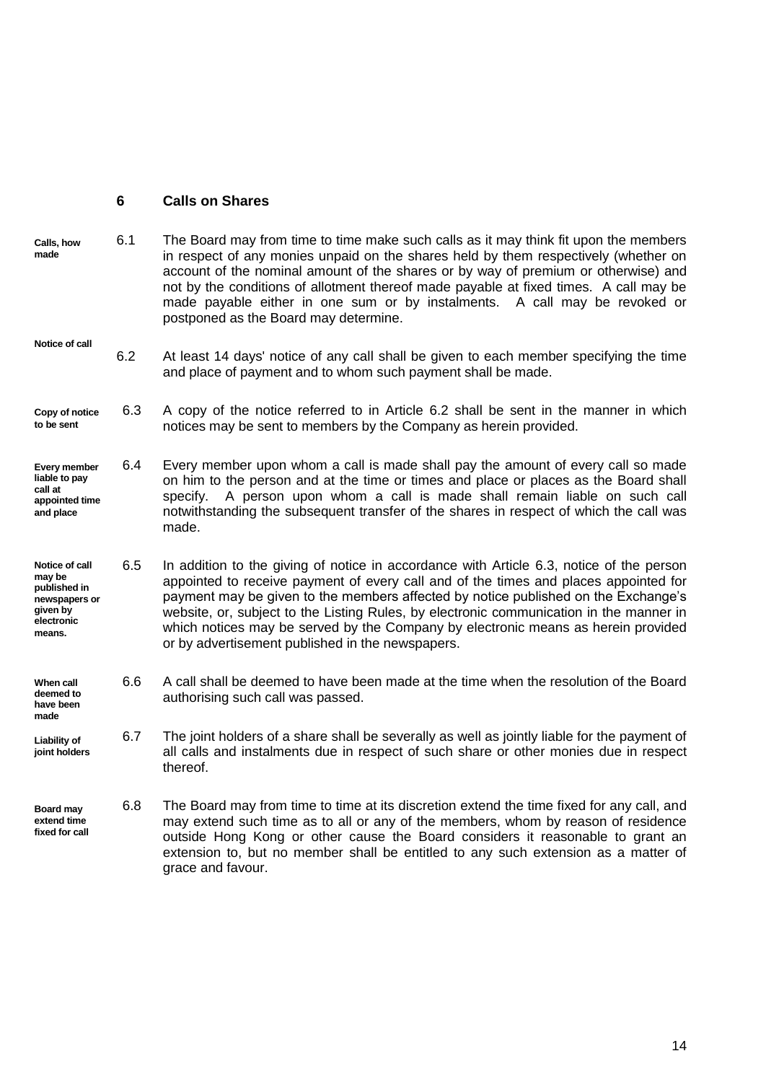#### <span id="page-20-0"></span>**6 Calls on Shares**

**made**

- **Calls, how made** 6.1 The Board may from time to time make such calls as it may think fit upon the members in respect of any monies unpaid on the shares held by them respectively (whether on account of the nominal amount of the shares or by way of premium or otherwise) and not by the conditions of allotment thereof made payable at fixed times. A call may be made payable either in one sum or by instalments. A call may be revoked or postponed as the Board may determine.
- <span id="page-20-1"></span>**Notice of call** 6.2 At least 14 days' notice of any call shall be given to each member specifying the time and place of payment and to whom such payment shall be made.
- <span id="page-20-2"></span>**Copy of notice to be sent** 6.3 A copy of the notice referred to in Article [6.2](#page-20-1) shall be sent in the manner in which notices may be sent to members by the Company as herein provided.
- **Every member liable to pay call at appointed time and place** 6.4 Every member upon whom a call is made shall pay the amount of every call so made on him to the person and at the time or times and place or places as the Board shall specify. A person upon whom a call is made shall remain liable on such call notwithstanding the subsequent transfer of the shares in respect of which the call was made.
- **Notice of call may be published in newspapers or given by electronic means.** 6.5 In addition to the giving of notice in accordance with Article [6.3,](#page-20-2) notice of the person appointed to receive payment of every call and of the times and places appointed for payment may be given to the members affected by notice published on the Exchange's website, or, subject to the Listing Rules, by electronic communication in the manner in which notices may be served by the Company by electronic means as herein provided or by advertisement published in the newspapers.
- **When call deemed to have been**  6.6 A call shall be deemed to have been made at the time when the resolution of the Board authorising such call was passed.
- **Liability of joint holders** 6.7 The joint holders of a share shall be severally as well as jointly liable for the payment of all calls and instalments due in respect of such share or other monies due in respect thereof.
- **Board may extend time fixed for call** 6.8 The Board may from time to time at its discretion extend the time fixed for any call, and may extend such time as to all or any of the members, whom by reason of residence outside Hong Kong or other cause the Board considers it reasonable to grant an extension to, but no member shall be entitled to any such extension as a matter of grace and favour.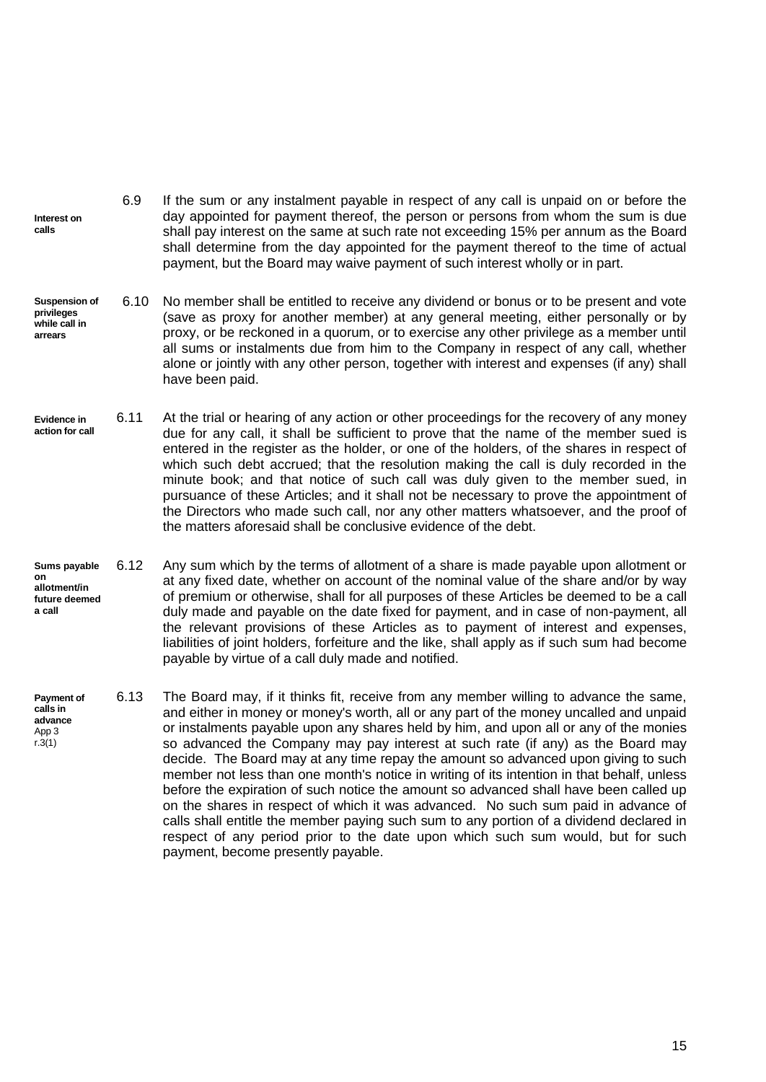- 6.9 If the sum or any instalment payable in respect of any call is unpaid on or before the day appointed for payment thereof, the person or persons from whom the sum is due shall pay interest on the same at such rate not exceeding 15% per annum as the Board shall determine from the day appointed for the payment thereof to the time of actual payment, but the Board may waive payment of such interest wholly or in part. **Interest on calls**
- <span id="page-21-0"></span>6.10 No member shall be entitled to receive any dividend or bonus or to be present and vote (save as proxy for another member) at any general meeting, either personally or by proxy, or be reckoned in a quorum, or to exercise any other privilege as a member until all sums or instalments due from him to the Company in respect of any call, whether alone or jointly with any other person, together with interest and expenses (if any) shall have been paid. **Suspension of privileges while call in arrears**
- **Evidence in action for call** 6.11 At the trial or hearing of any action or other proceedings for the recovery of any money due for any call, it shall be sufficient to prove that the name of the member sued is entered in the register as the holder, or one of the holders, of the shares in respect of which such debt accrued; that the resolution making the call is duly recorded in the minute book; and that notice of such call was duly given to the member sued, in pursuance of these Articles; and it shall not be necessary to prove the appointment of the Directors who made such call, nor any other matters whatsoever, and the proof of the matters aforesaid shall be conclusive evidence of the debt.
- 6.12 Any sum which by the terms of allotment of a share is made payable upon allotment or at any fixed date, whether on account of the nominal value of the share and/or by way of premium or otherwise, shall for all purposes of these Articles be deemed to be a call duly made and payable on the date fixed for payment, and in case of non-payment, all the relevant provisions of these Articles as to payment of interest and expenses, liabilities of joint holders, forfeiture and the like, shall apply as if such sum had become payable by virtue of a call duly made and notified. **Sums payable on allotment/in future deemed a call**
- **Payment of calls in advance** App 3 r.3(1) 6.13 The Board may, if it thinks fit, receive from any member willing to advance the same, and either in money or money's worth, all or any part of the money uncalled and unpaid or instalments payable upon any shares held by him, and upon all or any of the monies so advanced the Company may pay interest at such rate (if any) as the Board may decide. The Board may at any time repay the amount so advanced upon giving to such member not less than one month's notice in writing of its intention in that behalf, unless before the expiration of such notice the amount so advanced shall have been called up on the shares in respect of which it was advanced. No such sum paid in advance of calls shall entitle the member paying such sum to any portion of a dividend declared in respect of any period prior to the date upon which such sum would, but for such payment, become presently payable.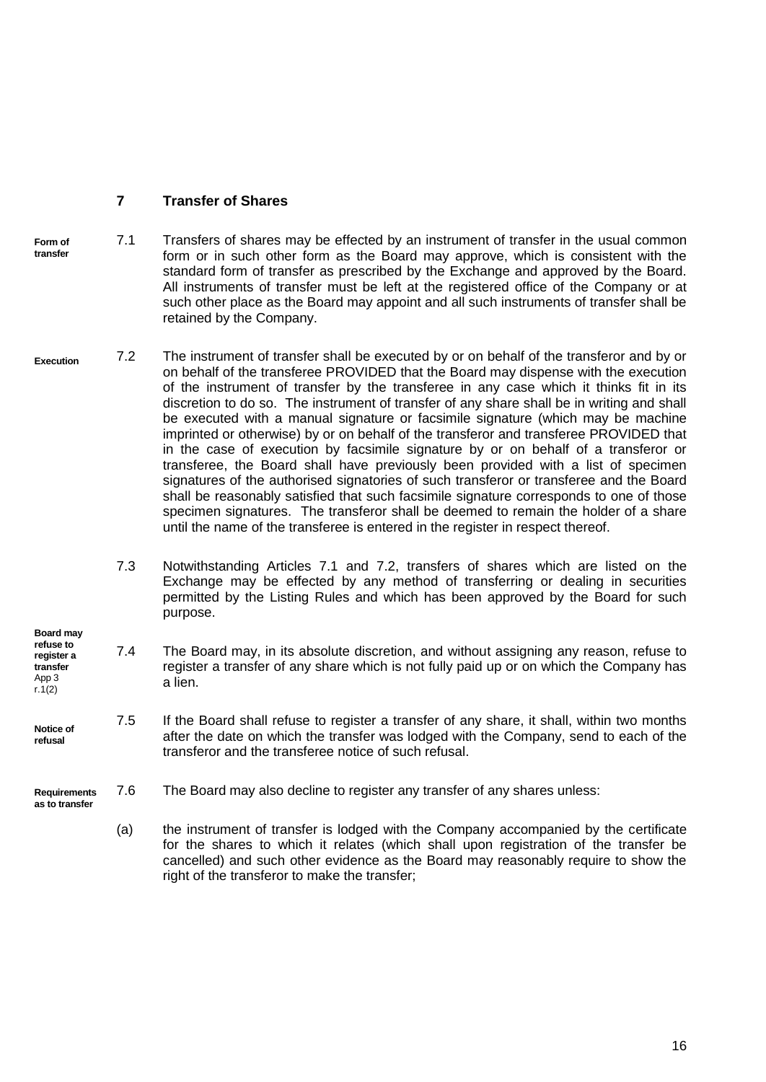# <span id="page-22-1"></span><span id="page-22-0"></span>**7 Transfer of Shares**

- **Form of transfer** 7.1 Transfers of shares may be effected by an instrument of transfer in the usual common form or in such other form as the Board may approve, which is consistent with the standard form of transfer as prescribed by the Exchange and approved by the Board. All instruments of transfer must be left at the registered office of the Company or at such other place as the Board may appoint and all such instruments of transfer shall be retained by the Company.
- <span id="page-22-2"></span>**Execution** 7.2 The instrument of transfer shall be executed by or on behalf of the transferor and by or on behalf of the transferee PROVIDED that the Board may dispense with the execution of the instrument of transfer by the transferee in any case which it thinks fit in its discretion to do so. The instrument of transfer of any share shall be in writing and shall be executed with a manual signature or facsimile signature (which may be machine imprinted or otherwise) by or on behalf of the transferor and transferee PROVIDED that in the case of execution by facsimile signature by or on behalf of a transferor or transferee, the Board shall have previously been provided with a list of specimen signatures of the authorised signatories of such transferor or transferee and the Board shall be reasonably satisfied that such facsimile signature corresponds to one of those specimen signatures. The transferor shall be deemed to remain the holder of a share until the name of the transferee is entered in the register in respect thereof.
	- 7.3 Notwithstanding Articles [7.1](#page-22-1) and [7.2,](#page-22-2) transfers of shares which are listed on the Exchange may be effected by any method of transferring or dealing in securities permitted by the Listing Rules and which has been approved by the Board for such purpose.
- **refuse to register a transfer** App 3  $r.1(2)$ 7.4 The Board may, in its absolute discretion, and without assigning any reason, refuse to register a transfer of any share which is not fully paid up or on which the Company has a lien.
- **Notice of refusal** 7.5 If the Board shall refuse to register a transfer of any share, it shall, within two months after the date on which the transfer was lodged with the Company, send to each of the transferor and the transferee notice of such refusal.
- **Requirements as to transfer** 7.6 The Board may also decline to register any transfer of any shares unless:

**Board may** 

(a) the instrument of transfer is lodged with the Company accompanied by the certificate for the shares to which it relates (which shall upon registration of the transfer be cancelled) and such other evidence as the Board may reasonably require to show the right of the transferor to make the transfer;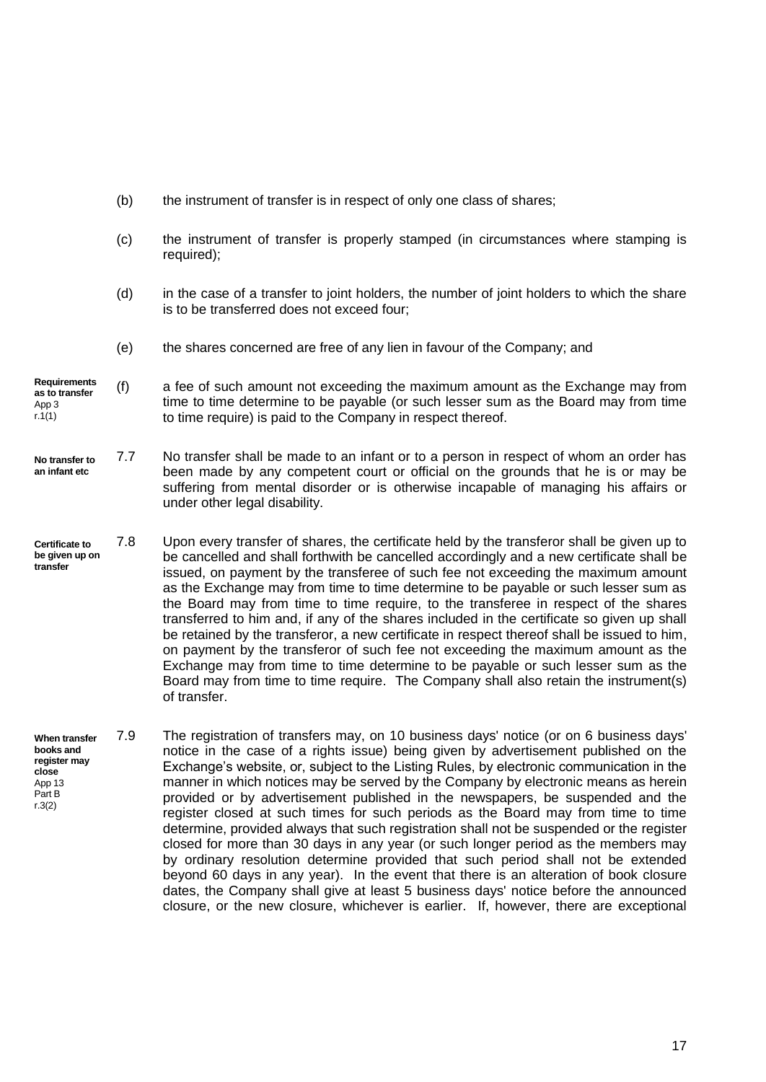- (b) the instrument of transfer is in respect of only one class of shares;
- (c) the instrument of transfer is properly stamped (in circumstances where stamping is required):
- (d) in the case of a transfer to joint holders, the number of joint holders to which the share is to be transferred does not exceed four;
- (e) the shares concerned are free of any lien in favour of the Company; and
- **Requirements as to transfer** App 3 r.1(1) (f) a fee of such amount not exceeding the maximum amount as the Exchange may from time to time determine to be payable (or such lesser sum as the Board may from time to time require) is paid to the Company in respect thereof.
- **No transfer to an infant etc** 7.7 No transfer shall be made to an infant or to a person in respect of whom an order has been made by any competent court or official on the grounds that he is or may be suffering from mental disorder or is otherwise incapable of managing his affairs or under other legal disability.
- <span id="page-23-0"></span>**Certificate to be given up on transfer** 7.8 Upon every transfer of shares, the certificate held by the transferor shall be given up to be cancelled and shall forthwith be cancelled accordingly and a new certificate shall be issued, on payment by the transferee of such fee not exceeding the maximum amount as the Exchange may from time to time determine to be payable or such lesser sum as the Board may from time to time require, to the transferee in respect of the shares transferred to him and, if any of the shares included in the certificate so given up shall be retained by the transferor, a new certificate in respect thereof shall be issued to him, on payment by the transferor of such fee not exceeding the maximum amount as the Exchange may from time to time determine to be payable or such lesser sum as the Board may from time to time require. The Company shall also retain the instrument(s) of transfer.
- **When transfer books and register may close** App 13 Part B r.3(2) 7.9 The registration of transfers may, on 10 business days' notice (or on 6 business days' notice in the case of a rights issue) being given by advertisement published on the Exchange's website, or, subject to the Listing Rules, by electronic communication in the manner in which notices may be served by the Company by electronic means as herein provided or by advertisement published in the newspapers, be suspended and the register closed at such times for such periods as the Board may from time to time determine, provided always that such registration shall not be suspended or the register closed for more than 30 days in any year (or such longer period as the members may by ordinary resolution determine provided that such period shall not be extended beyond 60 days in any year). In the event that there is an alteration of book closure dates, the Company shall give at least 5 business days' notice before the announced closure, or the new closure, whichever is earlier. If, however, there are exceptional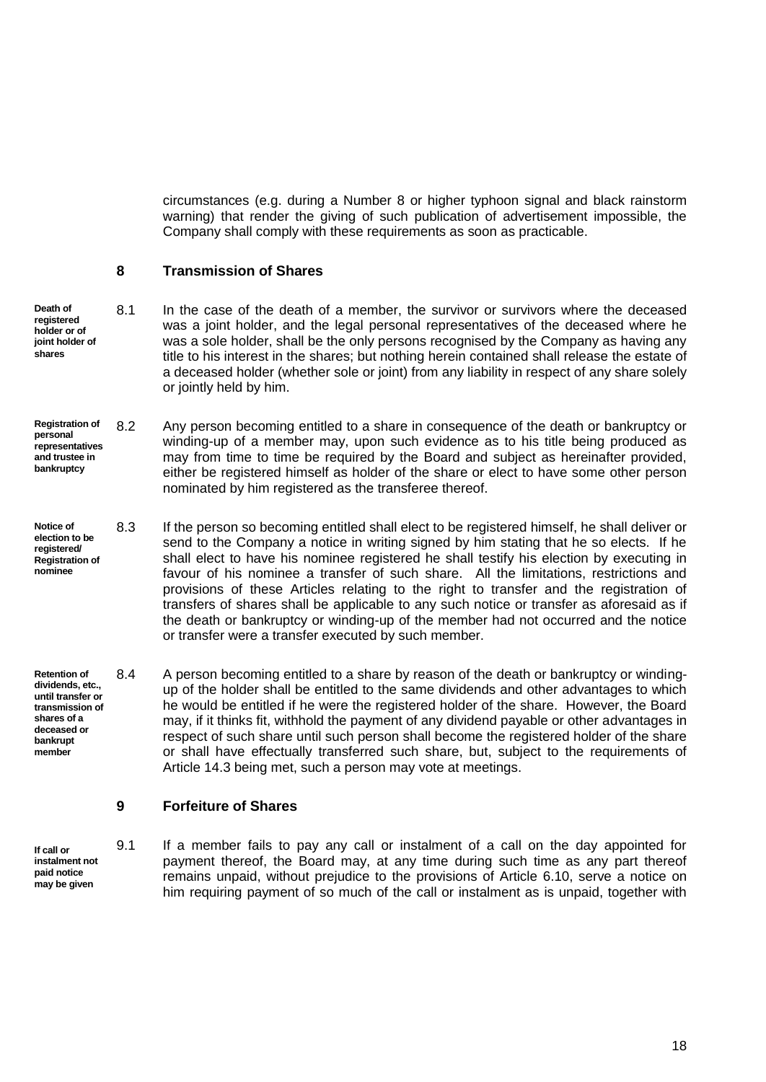circumstances (e.g. during a Number 8 or higher typhoon signal and black rainstorm warning) that render the giving of such publication of advertisement impossible, the Company shall comply with these requirements as soon as practicable.

#### <span id="page-24-0"></span>**8 Transmission of Shares**

- **Death of registered holder or of joint holder of shares** 8.1 In the case of the death of a member, the survivor or survivors where the deceased was a joint holder, and the legal personal representatives of the deceased where he was a sole holder, shall be the only persons recognised by the Company as having any title to his interest in the shares; but nothing herein contained shall release the estate of a deceased holder (whether sole or joint) from any liability in respect of any share solely or jointly held by him.
- <span id="page-24-2"></span>**Registration of personal representatives and trustee in bankruptcy** 8.2 Any person becoming entitled to a share in consequence of the death or bankruptcy or winding-up of a member may, upon such evidence as to his title being produced as may from time to time be required by the Board and subject as hereinafter provided, either be registered himself as holder of the share or elect to have some other person nominated by him registered as the transferee thereof.
- **Notice of election to be registered/ Registration of nominee** 8.3 If the person so becoming entitled shall elect to be registered himself, he shall deliver or send to the Company a notice in writing signed by him stating that he so elects. If he shall elect to have his nominee registered he shall testify his election by executing in favour of his nominee a transfer of such share. All the limitations, restrictions and provisions of these Articles relating to the right to transfer and the registration of transfers of shares shall be applicable to any such notice or transfer as aforesaid as if the death or bankruptcy or winding-up of the member had not occurred and the notice or transfer were a transfer executed by such member.
- **Retention of dividends, etc., until transfer or transmission of shares of a deceased or bankrupt member** 8.4 A person becoming entitled to a share by reason of the death or bankruptcy or windingup of the holder shall be entitled to the same dividends and other advantages to which he would be entitled if he were the registered holder of the share. However, the Board may, if it thinks fit, withhold the payment of any dividend payable or other advantages in respect of such share until such person shall become the registered holder of the share or shall have effectually transferred such share, but, subject to the requirements of Article [14.3](#page-32-0) being met, such a person may vote at meetings.

# <span id="page-24-1"></span>**9 Forfeiture of Shares**

**If call or instalment not paid notice may be given**

9.1 If a member fails to pay any call or instalment of a call on the day appointed for payment thereof, the Board may, at any time during such time as any part thereof remains unpaid, without prejudice to the provisions of Article [6.10,](#page-21-0) serve a notice on him requiring payment of so much of the call or instalment as is unpaid, together with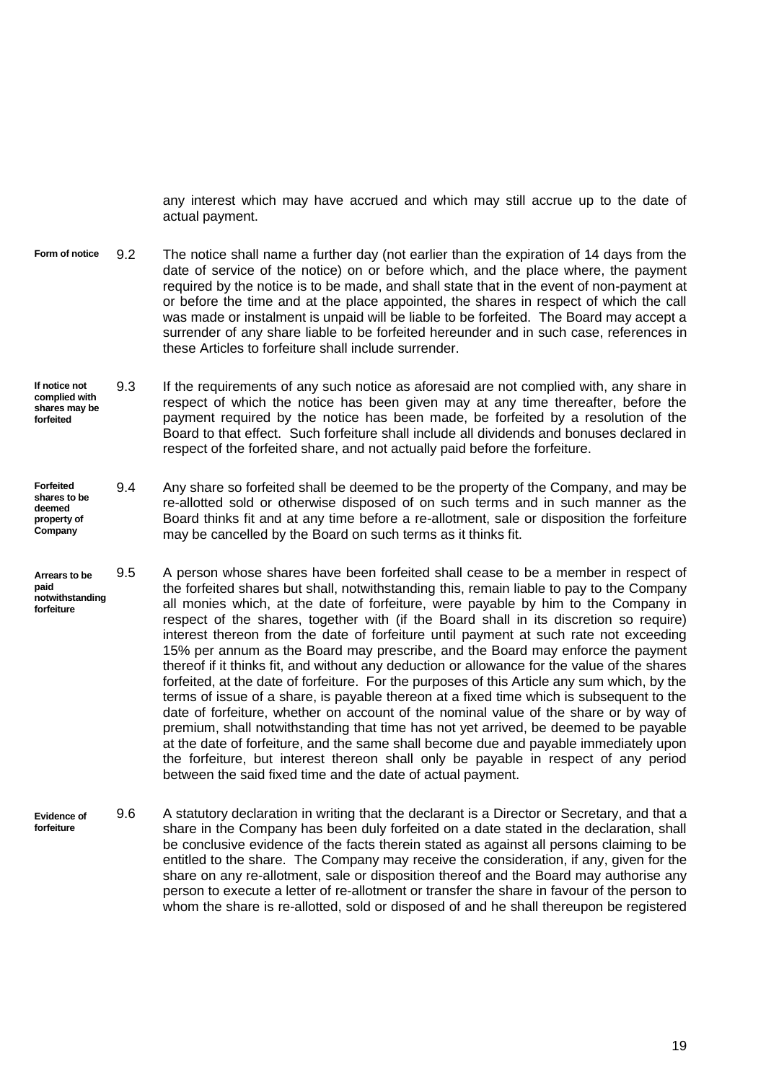any interest which may have accrued and which may still accrue up to the date of actual payment.

- **Form of notice** 9.2 The notice shall name a further day (not earlier than the expiration of 14 days from the date of service of the notice) on or before which, and the place where, the payment required by the notice is to be made, and shall state that in the event of non-payment at or before the time and at the place appointed, the shares in respect of which the call was made or instalment is unpaid will be liable to be forfeited. The Board may accept a surrender of any share liable to be forfeited hereunder and in such case, references in these Articles to forfeiture shall include surrender.
- **If notice not complied with shares may be forfeited** 9.3 If the requirements of any such notice as aforesaid are not complied with, any share in respect of which the notice has been given may at any time thereafter, before the payment required by the notice has been made, be forfeited by a resolution of the Board to that effect. Such forfeiture shall include all dividends and bonuses declared in respect of the forfeited share, and not actually paid before the forfeiture.
- **Forfeited shares to be deemed property of Company** 9.4 Any share so forfeited shall be deemed to be the property of the Company, and may be re-allotted sold or otherwise disposed of on such terms and in such manner as the Board thinks fit and at any time before a re-allotment, sale or disposition the forfeiture may be cancelled by the Board on such terms as it thinks fit.
- **Arrears to be paid notwithstanding forfeiture** 9.5 A person whose shares have been forfeited shall cease to be a member in respect of the forfeited shares but shall, notwithstanding this, remain liable to pay to the Company all monies which, at the date of forfeiture, were payable by him to the Company in respect of the shares, together with (if the Board shall in its discretion so require) interest thereon from the date of forfeiture until payment at such rate not exceeding 15% per annum as the Board may prescribe, and the Board may enforce the payment thereof if it thinks fit, and without any deduction or allowance for the value of the shares forfeited, at the date of forfeiture. For the purposes of this Article any sum which, by the terms of issue of a share, is payable thereon at a fixed time which is subsequent to the date of forfeiture, whether on account of the nominal value of the share or by way of premium, shall notwithstanding that time has not yet arrived, be deemed to be payable at the date of forfeiture, and the same shall become due and payable immediately upon the forfeiture, but interest thereon shall only be payable in respect of any period between the said fixed time and the date of actual payment.
- **Evidence of forfeiture** 9.6 A statutory declaration in writing that the declarant is a Director or Secretary, and that a share in the Company has been duly forfeited on a date stated in the declaration, shall be conclusive evidence of the facts therein stated as against all persons claiming to be entitled to the share. The Company may receive the consideration, if any, given for the share on any re-allotment, sale or disposition thereof and the Board may authorise any person to execute a letter of re-allotment or transfer the share in favour of the person to whom the share is re-allotted, sold or disposed of and he shall thereupon be registered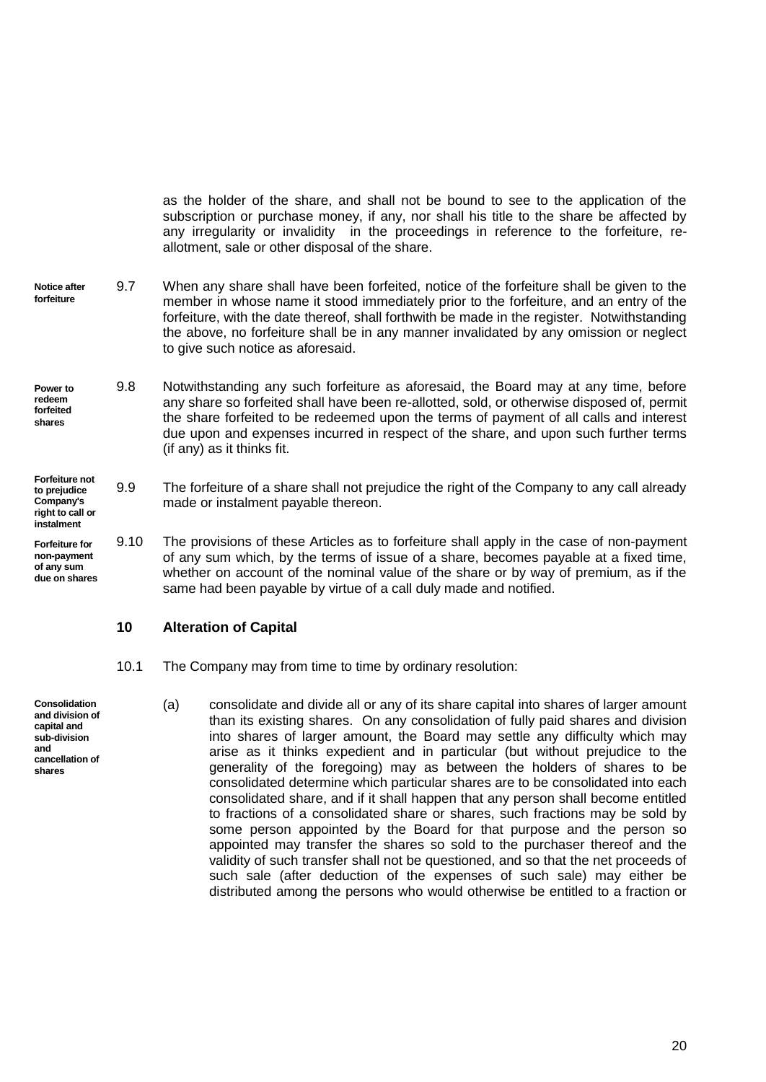as the holder of the share, and shall not be bound to see to the application of the subscription or purchase money, if any, nor shall his title to the share be affected by any irregularity or invalidity in the proceedings in reference to the forfeiture, reallotment, sale or other disposal of the share.

- **Notice after forfeiture** 9.7 When any share shall have been forfeited, notice of the forfeiture shall be given to the member in whose name it stood immediately prior to the forfeiture, and an entry of the forfeiture, with the date thereof, shall forthwith be made in the register. Notwithstanding the above, no forfeiture shall be in any manner invalidated by any omission or neglect to give such notice as aforesaid.
- **Power to redeem forfeited shares** 9.8 Notwithstanding any such forfeiture as aforesaid, the Board may at any time, before any share so forfeited shall have been re-allotted, sold, or otherwise disposed of, permit the share forfeited to be redeemed upon the terms of payment of all calls and interest due upon and expenses incurred in respect of the share, and upon such further terms (if any) as it thinks fit.
- **Forfeiture not to prejudice Company's right to call or**  9.9 The forfeiture of a share shall not prejudice the right of the Company to any call already made or instalment payable thereon.
- **Forfeiture for non-payment of any sum due on shares** 9.10 The provisions of these Articles as to forfeiture shall apply in the case of non-payment of any sum which, by the terms of issue of a share, becomes payable at a fixed time, whether on account of the nominal value of the share or by way of premium, as if the same had been payable by virtue of a call duly made and notified.

#### <span id="page-26-0"></span>**10 Alteration of Capital**

**instalment**

**Consolidation and division of capital and sub-division and cancellation of shares**

- 10.1 The Company may from time to time by ordinary resolution:
- (a) consolidate and divide all or any of its share capital into shares of larger amount than its existing shares. On any consolidation of fully paid shares and division into shares of larger amount, the Board may settle any difficulty which may arise as it thinks expedient and in particular (but without prejudice to the generality of the foregoing) may as between the holders of shares to be consolidated determine which particular shares are to be consolidated into each consolidated share, and if it shall happen that any person shall become entitled to fractions of a consolidated share or shares, such fractions may be sold by some person appointed by the Board for that purpose and the person so appointed may transfer the shares so sold to the purchaser thereof and the validity of such transfer shall not be questioned, and so that the net proceeds of such sale (after deduction of the expenses of such sale) may either be distributed among the persons who would otherwise be entitled to a fraction or

20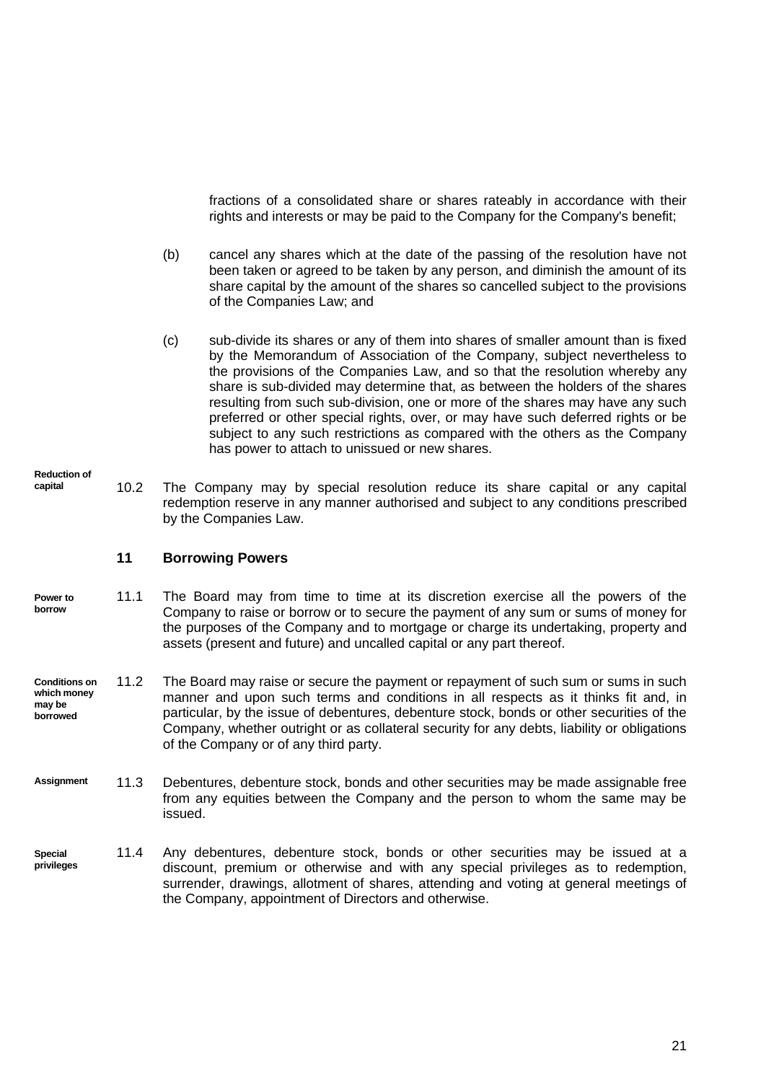fractions of a consolidated share or shares rateably in accordance with their rights and interests or may be paid to the Company for the Company's benefit;

- (b) cancel any shares which at the date of the passing of the resolution have not been taken or agreed to be taken by any person, and diminish the amount of its share capital by the amount of the shares so cancelled subject to the provisions of the Companies Law; and
- (c) sub-divide its shares or any of them into shares of smaller amount than is fixed by the Memorandum of Association of the Company, subject nevertheless to the provisions of the Companies Law, and so that the resolution whereby any share is sub-divided may determine that, as between the holders of the shares resulting from such sub-division, one or more of the shares may have any such preferred or other special rights, over, or may have such deferred rights or be subject to any such restrictions as compared with the others as the Company has power to attach to unissued or new shares.
- **Reduction of capital** 10.2 The Company may by special resolution reduce its share capital or any capital redemption reserve in any manner authorised and subject to any conditions prescribed by the Companies Law.

## <span id="page-27-0"></span>**11 Borrowing Powers**

- 11.1 The Board may from time to time at its discretion exercise all the powers of the Company to raise or borrow or to secure the payment of any sum or sums of money for the purposes of the Company and to mortgage or charge its undertaking, property and assets (present and future) and uncalled capital or any part thereof. **Power to borrow**
- **Conditions on which money may be borrowed** 11.2 The Board may raise or secure the payment or repayment of such sum or sums in such manner and upon such terms and conditions in all respects as it thinks fit and, in particular, by the issue of debentures, debenture stock, bonds or other securities of the Company, whether outright or as collateral security for any debts, liability or obligations of the Company or of any third party.
- 11.3 Debentures, debenture stock, bonds and other securities may be made assignable free from any equities between the Company and the person to whom the same may be issued. **Assignment**
- 11.4 Any debentures, debenture stock, bonds or other securities may be issued at a discount, premium or otherwise and with any special privileges as to redemption, surrender, drawings, allotment of shares, attending and voting at general meetings of the Company, appointment of Directors and otherwise. **Special privileges**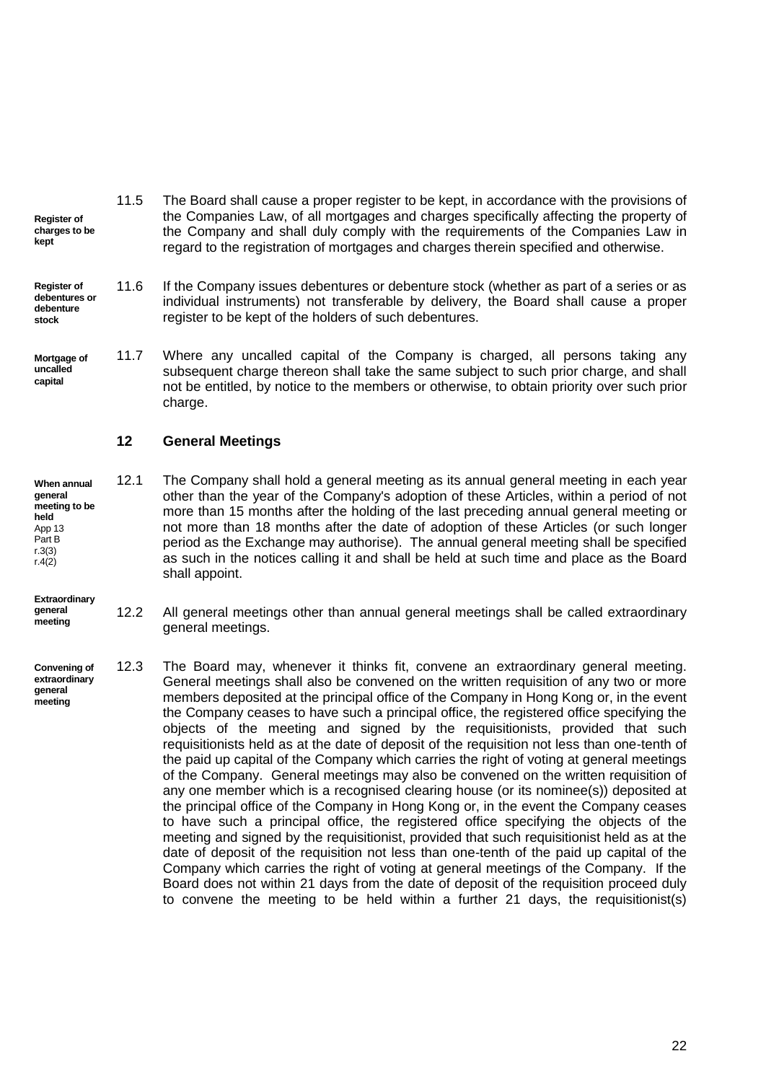- 11.5 The Board shall cause a proper register to be kept, in accordance with the provisions of the Companies Law, of all mortgages and charges specifically affecting the property of the Company and shall duly comply with the requirements of the Companies Law in regard to the registration of mortgages and charges therein specified and otherwise. **Register of charges to be**
- 11.6 If the Company issues debentures or debenture stock (whether as part of a series or as individual instruments) not transferable by delivery, the Board shall cause a proper register to be kept of the holders of such debentures. **Register of debentures or debenture stock**
- 11.7 Where any uncalled capital of the Company is charged, all persons taking any subsequent charge thereon shall take the same subject to such prior charge, and shall not be entitled, by notice to the members or otherwise, to obtain priority over such prior charge. **Mortgage of uncalled capital**

## <span id="page-28-0"></span>**12 General Meetings**

**When annual general meeting to be held** App 13 Part B r.3(3) r.4(2) 12.1 The Company shall hold a general meeting as its annual general meeting in each year other than the year of the Company's adoption of these Articles, within a period of not more than 15 months after the holding of the last preceding annual general meeting or not more than 18 months after the date of adoption of these Articles (or such longer period as the Exchange may authorise). The annual general meeting shall be specified as such in the notices calling it and shall be held at such time and place as the Board shall appoint.

**Extraordinary general** 

**meeting**

**kept**

- 12.2 All general meetings other than annual general meetings shall be called extraordinary general meetings.
- **Convening of extraordinary general meeting** 12.3 The Board may, whenever it thinks fit, convene an extraordinary general meeting. General meetings shall also be convened on the written requisition of any two or more members deposited at the principal office of the Company in Hong Kong or, in the event the Company ceases to have such a principal office, the registered office specifying the objects of the meeting and signed by the requisitionists, provided that such requisitionists held as at the date of deposit of the requisition not less than one-tenth of the paid up capital of the Company which carries the right of voting at general meetings of the Company. General meetings may also be convened on the written requisition of any one member which is a recognised clearing house (or its nominee(s)) deposited at the principal office of the Company in Hong Kong or, in the event the Company ceases to have such a principal office, the registered office specifying the objects of the meeting and signed by the requisitionist, provided that such requisitionist held as at the date of deposit of the requisition not less than one-tenth of the paid up capital of the Company which carries the right of voting at general meetings of the Company. If the Board does not within 21 days from the date of deposit of the requisition proceed duly to convene the meeting to be held within a further 21 days, the requisitionist(s)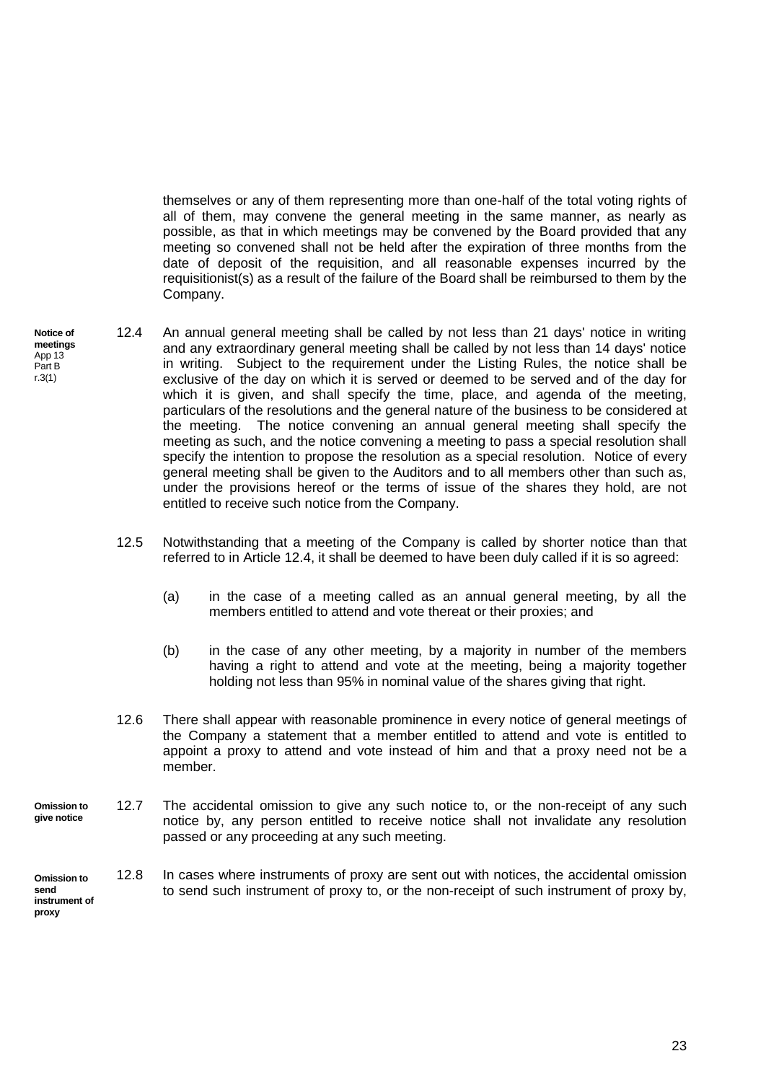themselves or any of them representing more than one-half of the total voting rights of all of them, may convene the general meeting in the same manner, as nearly as possible, as that in which meetings may be convened by the Board provided that any meeting so convened shall not be held after the expiration of three months from the date of deposit of the requisition, and all reasonable expenses incurred by the requisitionist(s) as a result of the failure of the Board shall be reimbursed to them by the Company.

- <span id="page-29-0"></span>**Notice of**  12.4 An annual general meeting shall be called by not less than 21 days' notice in writing and any extraordinary general meeting shall be called by not less than 14 days' notice in writing. Subject to the requirement under the Listing Rules, the notice shall be exclusive of the day on which it is served or deemed to be served and of the day for which it is given, and shall specify the time, place, and agenda of the meeting, particulars of the resolutions and the general nature of the business to be considered at the meeting. The notice convening an annual general meeting shall specify the meeting as such, and the notice convening a meeting to pass a special resolution shall specify the intention to propose the resolution as a special resolution. Notice of every general meeting shall be given to the Auditors and to all members other than such as, under the provisions hereof or the terms of issue of the shares they hold, are not entitled to receive such notice from the Company.
	- 12.5 Notwithstanding that a meeting of the Company is called by shorter notice than that referred to in Article [12.4,](#page-29-0) it shall be deemed to have been duly called if it is so agreed:
		- (a) in the case of a meeting called as an annual general meeting, by all the members entitled to attend and vote thereat or their proxies; and
		- (b) in the case of any other meeting, by a majority in number of the members having a right to attend and vote at the meeting, being a majority together holding not less than 95% in nominal value of the shares giving that right.
	- 12.6 There shall appear with reasonable prominence in every notice of general meetings of the Company a statement that a member entitled to attend and vote is entitled to appoint a proxy to attend and vote instead of him and that a proxy need not be a member.
- **Omission to give notice** 12.7 The accidental omission to give any such notice to, or the non-receipt of any such notice by, any person entitled to receive notice shall not invalidate any resolution passed or any proceeding at any such meeting.
- **Omission to send instrument of proxy** 12.8 In cases where instruments of proxy are sent out with notices, the accidental omission to send such instrument of proxy to, or the non-receipt of such instrument of proxy by,

**meetings** App 13 Part B r.3(1)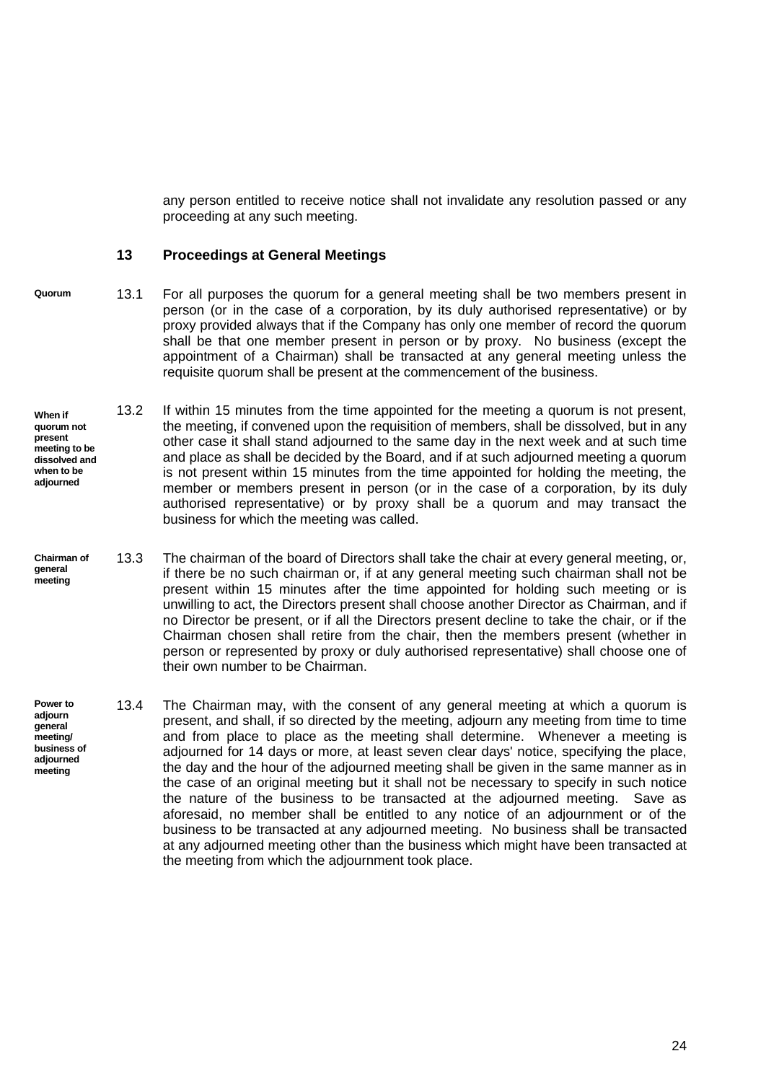any person entitled to receive notice shall not invalidate any resolution passed or any proceeding at any such meeting.

## <span id="page-30-0"></span>**13 Proceedings at General Meetings**

- **Quorum** 13.1 For all purposes the quorum for a general meeting shall be two members present in person (or in the case of a corporation, by its duly authorised representative) or by proxy provided always that if the Company has only one member of record the quorum shall be that one member present in person or by proxy. No business (except the appointment of a Chairman) shall be transacted at any general meeting unless the requisite quorum shall be present at the commencement of the business.
- **When if quorum not present meeting to be dissolved and when to be adjourned** 13.2 If within 15 minutes from the time appointed for the meeting a quorum is not present, the meeting, if convened upon the requisition of members, shall be dissolved, but in any other case it shall stand adjourned to the same day in the next week and at such time and place as shall be decided by the Board, and if at such adjourned meeting a quorum is not present within 15 minutes from the time appointed for holding the meeting, the member or members present in person (or in the case of a corporation, by its duly authorised representative) or by proxy shall be a quorum and may transact the business for which the meeting was called.
- 13.3 The chairman of the board of Directors shall take the chair at every general meeting, or, if there be no such chairman or, if at any general meeting such chairman shall not be present within 15 minutes after the time appointed for holding such meeting or is unwilling to act, the Directors present shall choose another Director as Chairman, and if no Director be present, or if all the Directors present decline to take the chair, or if the Chairman chosen shall retire from the chair, then the members present (whether in person or represented by proxy or duly authorised representative) shall choose one of their own number to be Chairman. **Chairman of general meeting**
- **Power to adjourn general meeting/ business of adjourned meeting** 13.4 The Chairman may, with the consent of any general meeting at which a quorum is present, and shall, if so directed by the meeting, adjourn any meeting from time to time and from place to place as the meeting shall determine. Whenever a meeting is adjourned for 14 days or more, at least seven clear days' notice, specifying the place, the day and the hour of the adjourned meeting shall be given in the same manner as in the case of an original meeting but it shall not be necessary to specify in such notice the nature of the business to be transacted at the adjourned meeting. Save as aforesaid, no member shall be entitled to any notice of an adjournment or of the business to be transacted at any adjourned meeting. No business shall be transacted at any adjourned meeting other than the business which might have been transacted at the meeting from which the adjournment took place.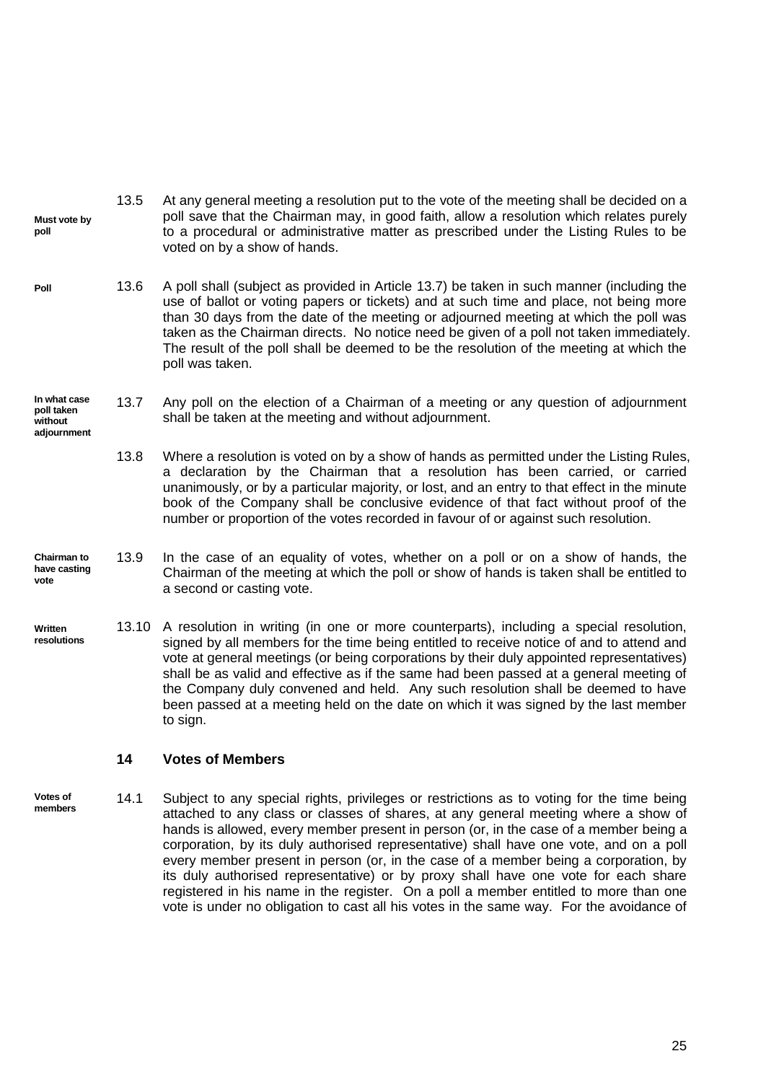- **Must vote by poll** 13.5 At any general meeting a resolution put to the vote of the meeting shall be decided on a poll save that the Chairman may, in good faith, allow a resolution which relates purely to a procedural or administrative matter as prescribed under the Listing Rules to be voted on by a show of hands.
- 13.6 A poll shall (subject as provided in Article [13.7\)](#page-31-2) be taken in such manner (including the use of ballot or voting papers or tickets) and at such time and place, not being more than 30 days from the date of the meeting or adjourned meeting at which the poll was taken as the Chairman directs. No notice need be given of a poll not taken immediately. The result of the poll shall be deemed to be the resolution of the meeting at which the poll was taken. **Poll**
- <span id="page-31-2"></span>**In what case poll taken without adjournment** 13.7 Any poll on the election of a Chairman of a meeting or any question of adjournment shall be taken at the meeting and without adjournment.
	- 13.8 Where a resolution is voted on by a show of hands as permitted under the Listing Rules, a declaration by the Chairman that a resolution has been carried, or carried unanimously, or by a particular majority, or lost, and an entry to that effect in the minute book of the Company shall be conclusive evidence of that fact without proof of the number or proportion of the votes recorded in favour of or against such resolution.
- **Chairman to have casting vote** 13.9 In the case of an equality of votes, whether on a poll or on a show of hands, the Chairman of the meeting at which the poll or show of hands is taken shall be entitled to a second or casting vote.
- <span id="page-31-1"></span>**Written resolutions** 13.10 A resolution in writing (in one or more counterparts), including a special resolution, signed by all members for the time being entitled to receive notice of and to attend and vote at general meetings (or being corporations by their duly appointed representatives) shall be as valid and effective as if the same had been passed at a general meeting of the Company duly convened and held. Any such resolution shall be deemed to have been passed at a meeting held on the date on which it was signed by the last member to sign.

#### <span id="page-31-0"></span>**14 Votes of Members**

**Votes of members** 14.1 Subject to any special rights, privileges or restrictions as to voting for the time being attached to any class or classes of shares, at any general meeting where a show of hands is allowed, every member present in person (or, in the case of a member being a corporation, by its duly authorised representative) shall have one vote, and on a poll every member present in person (or, in the case of a member being a corporation, by its duly authorised representative) or by proxy shall have one vote for each share registered in his name in the register. On a poll a member entitled to more than one vote is under no obligation to cast all his votes in the same way. For the avoidance of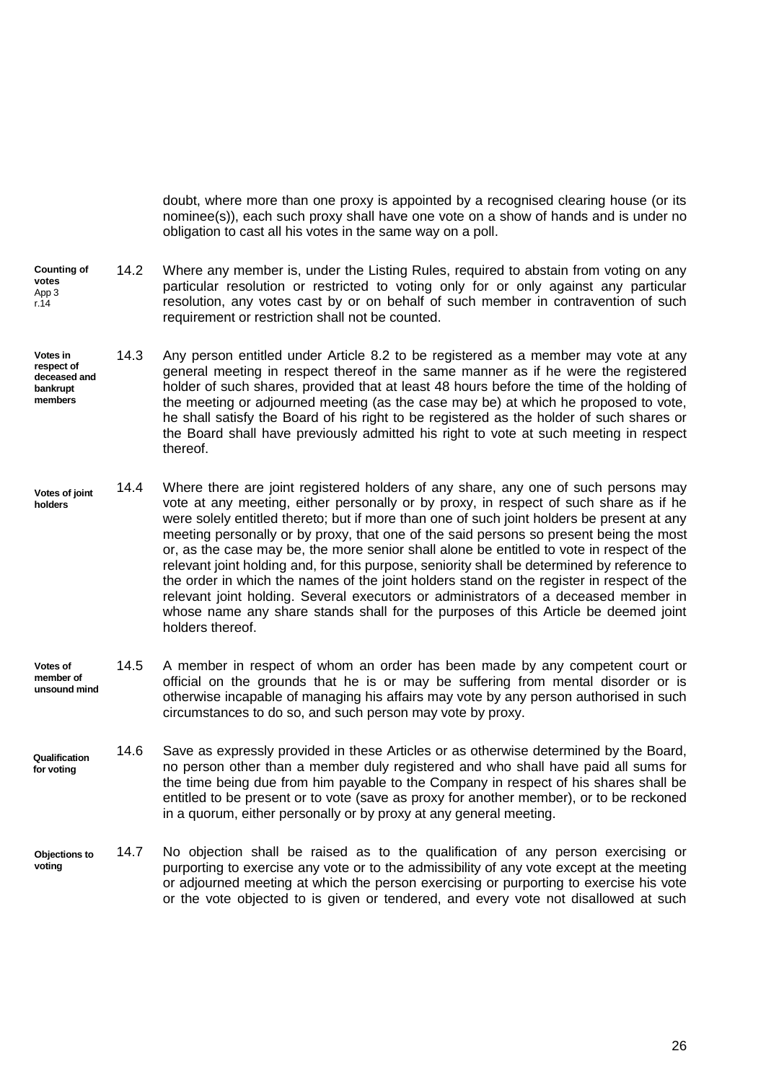doubt, where more than one proxy is appointed by a recognised clearing house (or its nominee(s)), each such proxy shall have one vote on a show of hands and is under no obligation to cast all his votes in the same way on a poll.

- **Counting of votes** App 3 r.14 14.2 Where any member is, under the Listing Rules, required to abstain from voting on any particular resolution or restricted to voting only for or only against any particular resolution, any votes cast by or on behalf of such member in contravention of such requirement or restriction shall not be counted.
- <span id="page-32-0"></span>**Votes in respect of deceased and bankrupt members** 14.3 Any person entitled under Article [8.2](#page-24-2) to be registered as a member may vote at any general meeting in respect thereof in the same manner as if he were the registered holder of such shares, provided that at least 48 hours before the time of the holding of the meeting or adjourned meeting (as the case may be) at which he proposed to vote, he shall satisfy the Board of his right to be registered as the holder of such shares or the Board shall have previously admitted his right to vote at such meeting in respect thereof.
- **Votes of joint holders** 14.4 Where there are joint registered holders of any share, any one of such persons may vote at any meeting, either personally or by proxy, in respect of such share as if he were solely entitled thereto; but if more than one of such joint holders be present at any meeting personally or by proxy, that one of the said persons so present being the most or, as the case may be, the more senior shall alone be entitled to vote in respect of the relevant joint holding and, for this purpose, seniority shall be determined by reference to the order in which the names of the joint holders stand on the register in respect of the relevant joint holding. Several executors or administrators of a deceased member in whose name any share stands shall for the purposes of this Article be deemed joint holders thereof.
- **Votes of member of unsound mind** 14.5 A member in respect of whom an order has been made by any competent court or official on the grounds that he is or may be suffering from mental disorder or is otherwise incapable of managing his affairs may vote by any person authorised in such circumstances to do so, and such person may vote by proxy.
- **Qualification for voting** 14.6 Save as expressly provided in these Articles or as otherwise determined by the Board, no person other than a member duly registered and who shall have paid all sums for the time being due from him payable to the Company in respect of his shares shall be entitled to be present or to vote (save as proxy for another member), or to be reckoned in a quorum, either personally or by proxy at any general meeting.
- **Objections to voting** 14.7 No objection shall be raised as to the qualification of any person exercising or purporting to exercise any vote or to the admissibility of any vote except at the meeting or adjourned meeting at which the person exercising or purporting to exercise his vote or the vote objected to is given or tendered, and every vote not disallowed at such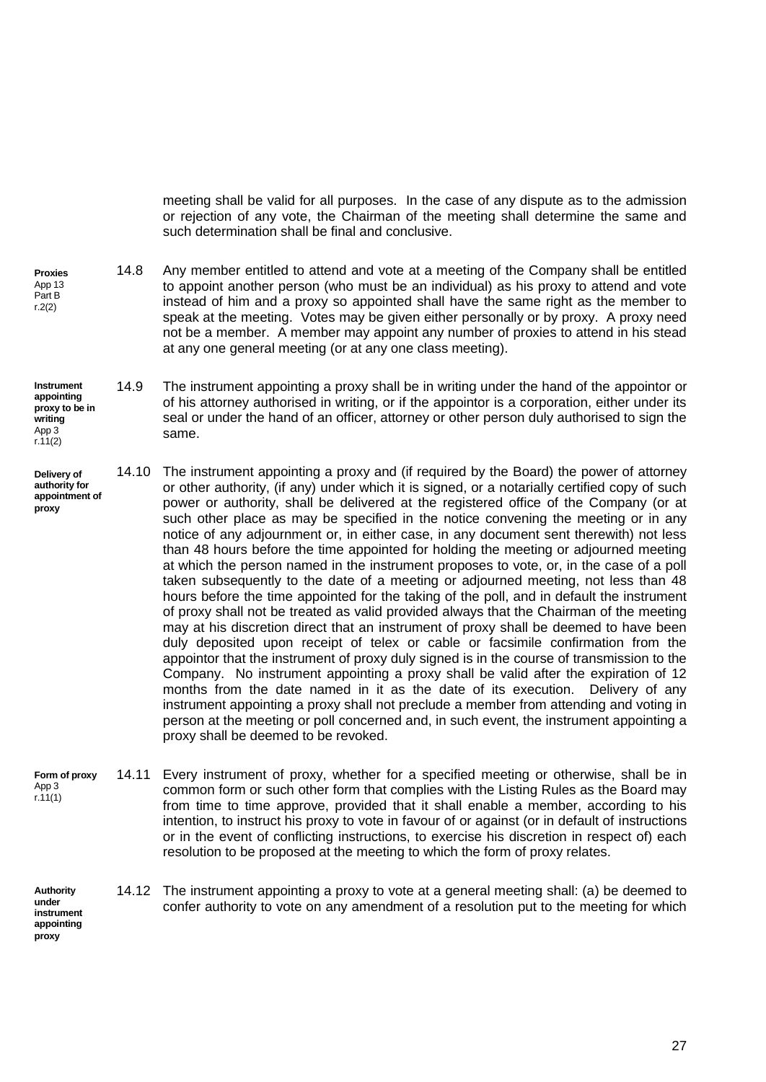<span id="page-33-1"></span>meeting shall be valid for all purposes. In the case of any dispute as to the admission or rejection of any vote, the Chairman of the meeting shall determine the same and such determination shall be final and conclusive.

- **Proxies** App 13 Part B r.2(2) 14.8 Any member entitled to attend and vote at a meeting of the Company shall be entitled to appoint another person (who must be an individual) as his proxy to attend and vote instead of him and a proxy so appointed shall have the same right as the member to speak at the meeting. Votes may be given either personally or by proxy. A proxy need not be a member. A member may appoint any number of proxies to attend in his stead at any one general meeting (or at any one class meeting).
- **Instrument appointing proxy to be in writing** App 3  $r.11(2)$ 14.9 The instrument appointing a proxy shall be in writing under the hand of the appointor or of his attorney authorised in writing, or if the appointor is a corporation, either under its seal or under the hand of an officer, attorney or other person duly authorised to sign the same.
- <span id="page-33-0"></span>**Delivery of authority for appointment of proxy** 14.10 The instrument appointing a proxy and (if required by the Board) the power of attorney or other authority, (if any) under which it is signed, or a notarially certified copy of such power or authority, shall be delivered at the registered office of the Company (or at such other place as may be specified in the notice convening the meeting or in any notice of any adjournment or, in either case, in any document sent therewith) not less than 48 hours before the time appointed for holding the meeting or adjourned meeting at which the person named in the instrument proposes to vote, or, in the case of a poll taken subsequently to the date of a meeting or adjourned meeting, not less than 48 hours before the time appointed for the taking of the poll, and in default the instrument of proxy shall not be treated as valid provided always that the Chairman of the meeting may at his discretion direct that an instrument of proxy shall be deemed to have been duly deposited upon receipt of telex or cable or facsimile confirmation from the appointor that the instrument of proxy duly signed is in the course of transmission to the Company. No instrument appointing a proxy shall be valid after the expiration of 12 months from the date named in it as the date of its execution. Delivery of any instrument appointing a proxy shall not preclude a member from attending and voting in person at the meeting or poll concerned and, in such event, the instrument appointing a proxy shall be deemed to be revoked.
- **Form of proxy** App 3 r.11(1) 14.11 Every instrument of proxy, whether for a specified meeting or otherwise, shall be in common form or such other form that complies with the Listing Rules as the Board may from time to time approve, provided that it shall enable a member, according to his intention, to instruct his proxy to vote in favour of or against (or in default of instructions or in the event of conflicting instructions, to exercise his discretion in respect of) each resolution to be proposed at the meeting to which the form of proxy relates.

14.12 The instrument appointing a proxy to vote at a general meeting shall: (a) be deemed to

confer authority to vote on any amendment of a resolution put to the meeting for which

**Authority under instrument appointing proxy**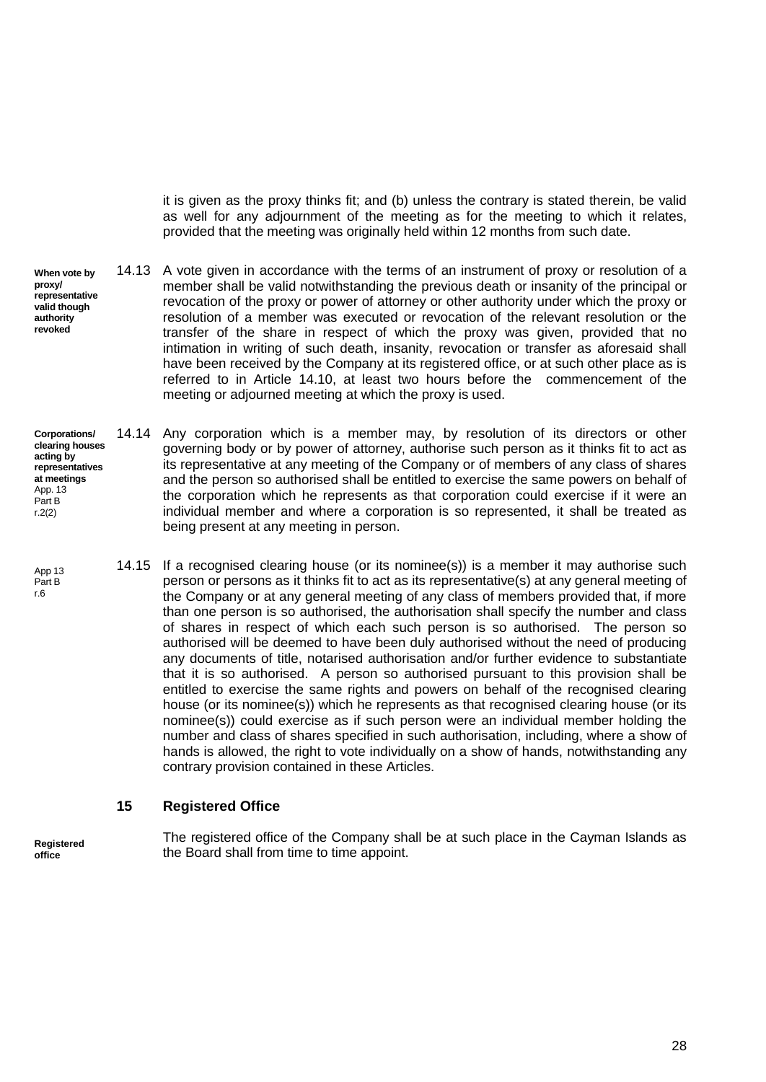<span id="page-34-1"></span>it is given as the proxy thinks fit; and (b) unless the contrary is stated therein, be valid as well for any adjournment of the meeting as for the meeting to which it relates, provided that the meeting was originally held within 12 months from such date.

- **When vote by proxy/ representative valid though authority revoked** 14.13 A vote given in accordance with the terms of an instrument of proxy or resolution of a member shall be valid notwithstanding the previous death or insanity of the principal or revocation of the proxy or power of attorney or other authority under which the proxy or resolution of a member was executed or revocation of the relevant resolution or the transfer of the share in respect of which the proxy was given, provided that no intimation in writing of such death, insanity, revocation or transfer as aforesaid shall have been received by the Company at its registered office, or at such other place as is referred to in Article [14.10,](#page-33-0) at least two hours before the commencement of the meeting or adjourned meeting at which the proxy is used.
- **Corporations/ clearing houses acting by representatives at meetings** App. 13 Part B r.2(2) 14.14 Any corporation which is a member may, by resolution of its directors or other governing body or by power of attorney, authorise such person as it thinks fit to act as its representative at any meeting of the Company or of members of any class of shares and the person so authorised shall be entitled to exercise the same powers on behalf of the corporation which he represents as that corporation could exercise if it were an individual member and where a corporation is so represented, it shall be treated as being present at any meeting in person.
- 14.15 If a recognised clearing house (or its nominee(s)) is a member it may authorise such person or persons as it thinks fit to act as its representative(s) at any general meeting of the Company or at any general meeting of any class of members provided that, if more than one person is so authorised, the authorisation shall specify the number and class of shares in respect of which each such person is so authorised. The person so authorised will be deemed to have been duly authorised without the need of producing any documents of title, notarised authorisation and/or further evidence to substantiate that it is so authorised. A person so authorised pursuant to this provision shall be entitled to exercise the same rights and powers on behalf of the recognised clearing house (or its nominee(s)) which he represents as that recognised clearing house (or its nominee(s)) could exercise as if such person were an individual member holding the number and class of shares specified in such authorisation, including, where a show of hands is allowed, the right to vote individually on a show of hands, notwithstanding any contrary provision contained in these Articles. App 13 Part B

#### <span id="page-34-0"></span>**15 Registered Office**

**Registered office**

r.6

The registered office of the Company shall be at such place in the Cayman Islands as the Board shall from time to time appoint.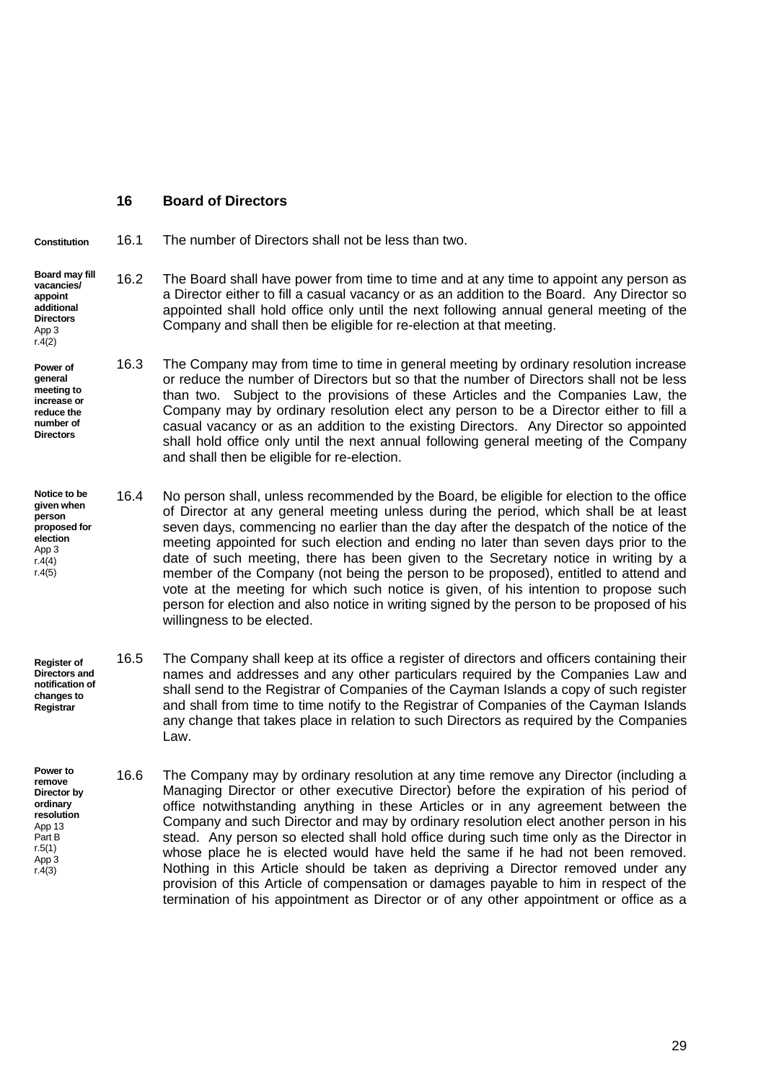## <span id="page-35-0"></span>**16 Board of Directors**

**Constitution** 16.1 The number of Directors shall not be less than two.

#### **Board may fill vacancies/ appoint additional Directors** App 3 r.4(2)

**Power of general** 

**meeting to increase or reduce the number of Directors** 16.3 The Company may from time to time in general meeting by ordinary resolution increase or reduce the number of Directors but so that the number of Directors shall not be less than two. Subject to the provisions of these Articles and the Companies Law, the Company may by ordinary resolution elect any person to be a Director either to fill a casual vacancy or as an addition to the existing Directors. Any Director so appointed shall hold office only until the next annual following general meeting of the Company and shall then be eligible for re-election.

<span id="page-35-3"></span>Company and shall then be eligible for re-election at that meeting.

<span id="page-35-2"></span>16.2 The Board shall have power from time to time and at any time to appoint any person as

a Director either to fill a casual vacancy or as an addition to the Board. Any Director so appointed shall hold office only until the next following annual general meeting of the

- **Notice to be given when person proposed for election** App 3 r.4(4) r.4(5) 16.4 No person shall, unless recommended by the Board, be eligible for election to the office of Director at any general meeting unless during the period, which shall be at least seven days, commencing no earlier than the day after the despatch of the notice of the meeting appointed for such election and ending no later than seven days prior to the date of such meeting, there has been given to the Secretary notice in writing by a member of the Company (not being the person to be proposed), entitled to attend and vote at the meeting for which such notice is given, of his intention to propose such person for election and also notice in writing signed by the person to be proposed of his willingness to be elected.
- **Register of Directors and notification of changes to Registrar** 16.5 The Company shall keep at its office a register of directors and officers containing their names and addresses and any other particulars required by the Companies Law and shall send to the Registrar of Companies of the Cayman Islands a copy of such register and shall from time to time notify to the Registrar of Companies of the Cayman Islands any change that takes place in relation to such Directors as required by the Companies Law.
- <span id="page-35-1"></span>**Power to remove Director by ordinary resolution** App 13 Part B r.5(1) App 3 r.4(3) 16.6 The Company may by ordinary resolution at any time remove any Director (including a Managing Director or other executive Director) before the expiration of his period of office notwithstanding anything in these Articles or in any agreement between the Company and such Director and may by ordinary resolution elect another person in his stead. Any person so elected shall hold office during such time only as the Director in whose place he is elected would have held the same if he had not been removed. Nothing in this Article should be taken as depriving a Director removed under any provision of this Article of compensation or damages payable to him in respect of the termination of his appointment as Director or of any other appointment or office as a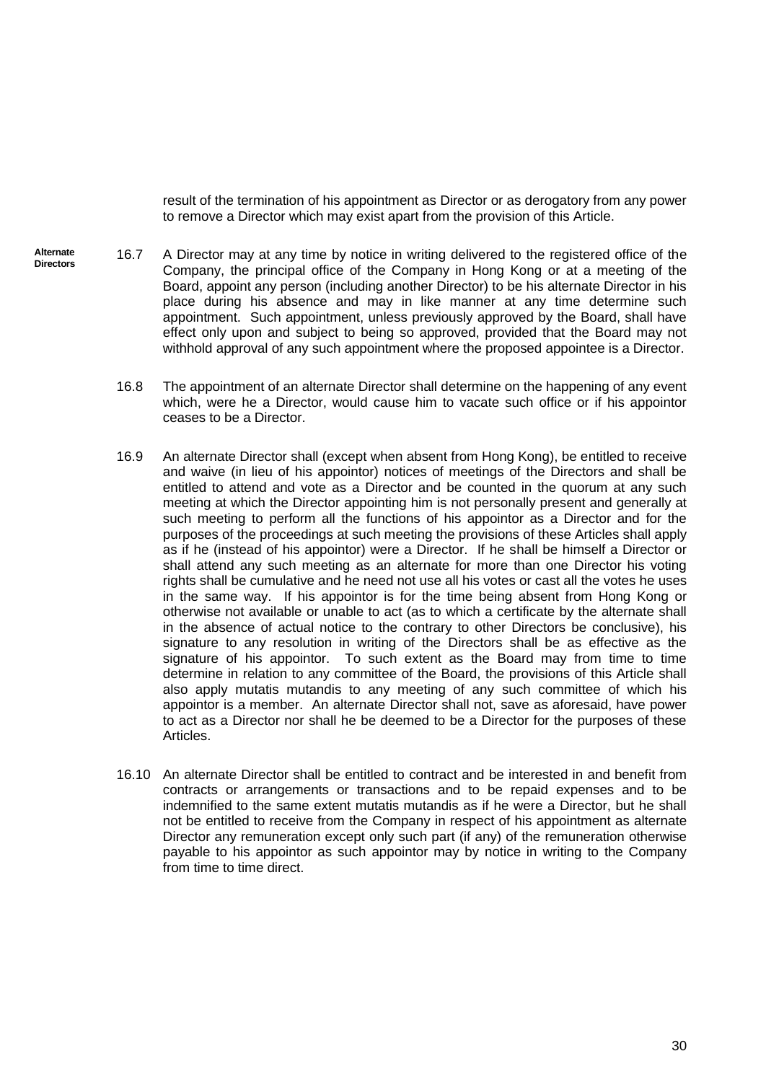<span id="page-36-0"></span>result of the termination of his appointment as Director or as derogatory from any power to remove a Director which may exist apart from the provision of this Article.

- <span id="page-36-2"></span><span id="page-36-1"></span>**Alternate Directors** 16.7 A Director may at any time by notice in writing delivered to the registered office of the Company, the principal office of the Company in Hong Kong or at a meeting of the Board, appoint any person (including another Director) to be his alternate Director in his place during his absence and may in like manner at any time determine such appointment. Such appointment, unless previously approved by the Board, shall have effect only upon and subject to being so approved, provided that the Board may not withhold approval of any such appointment where the proposed appointee is a Director.
	- 16.8 The appointment of an alternate Director shall determine on the happening of any event which, were he a Director, would cause him to vacate such office or if his appointor ceases to be a Director.
	- 16.9 An alternate Director shall (except when absent from Hong Kong), be entitled to receive and waive (in lieu of his appointor) notices of meetings of the Directors and shall be entitled to attend and vote as a Director and be counted in the quorum at any such meeting at which the Director appointing him is not personally present and generally at such meeting to perform all the functions of his appointor as a Director and for the purposes of the proceedings at such meeting the provisions of these Articles shall apply as if he (instead of his appointor) were a Director. If he shall be himself a Director or shall attend any such meeting as an alternate for more than one Director his voting rights shall be cumulative and he need not use all his votes or cast all the votes he uses in the same way. If his appointor is for the time being absent from Hong Kong or otherwise not available or unable to act (as to which a certificate by the alternate shall in the absence of actual notice to the contrary to other Directors be conclusive), his signature to any resolution in writing of the Directors shall be as effective as the signature of his appointor. To such extent as the Board may from time to time determine in relation to any committee of the Board, the provisions of this Article shall also apply mutatis mutandis to any meeting of any such committee of which his appointor is a member. An alternate Director shall not, save as aforesaid, have power to act as a Director nor shall he be deemed to be a Director for the purposes of these Articles.
	- 16.10 An alternate Director shall be entitled to contract and be interested in and benefit from contracts or arrangements or transactions and to be repaid expenses and to be indemnified to the same extent mutatis mutandis as if he were a Director, but he shall not be entitled to receive from the Company in respect of his appointment as alternate Director any remuneration except only such part (if any) of the remuneration otherwise payable to his appointor as such appointor may by notice in writing to the Company from time to time direct.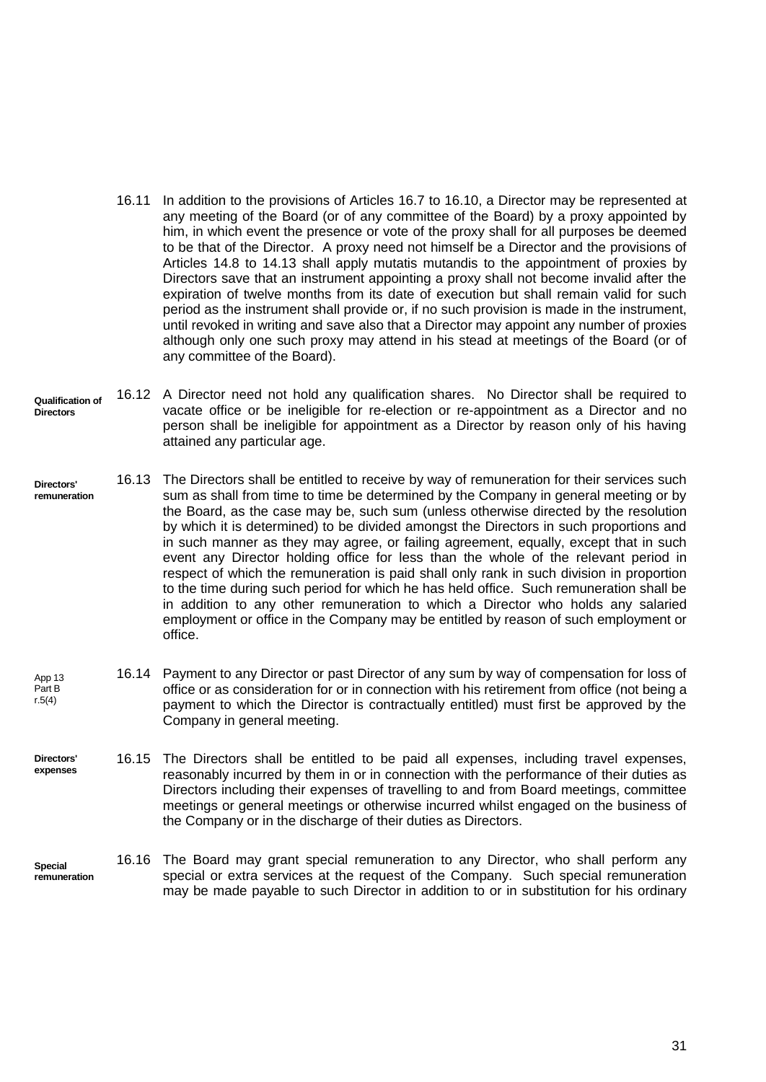- 16.11 In addition to the provisions of Articles [16.7](#page-36-0) to [16.10,](#page-36-1) a Director may be represented at any meeting of the Board (or of any committee of the Board) by a proxy appointed by him, in which event the presence or vote of the proxy shall for all purposes be deemed to be that of the Director. A proxy need not himself be a Director and the provisions of Articles [14.8](#page-33-1) to [14.13](#page-34-1) shall apply mutatis mutandis to the appointment of proxies by Directors save that an instrument appointing a proxy shall not become invalid after the expiration of twelve months from its date of execution but shall remain valid for such period as the instrument shall provide or, if no such provision is made in the instrument, until revoked in writing and save also that a Director may appoint any number of proxies although only one such proxy may attend in his stead at meetings of the Board (or of any committee of the Board).
- **Qualification of Directors** 16.12 A Director need not hold any qualification shares. No Director shall be required to vacate office or be ineligible for re-election or re-appointment as a Director and no person shall be ineligible for appointment as a Director by reason only of his having attained any particular age.
- **Directors' remuneration** 16.13 The Directors shall be entitled to receive by way of remuneration for their services such sum as shall from time to time be determined by the Company in general meeting or by the Board, as the case may be, such sum (unless otherwise directed by the resolution by which it is determined) to be divided amongst the Directors in such proportions and in such manner as they may agree, or failing agreement, equally, except that in such event any Director holding office for less than the whole of the relevant period in respect of which the remuneration is paid shall only rank in such division in proportion to the time during such period for which he has held office. Such remuneration shall be in addition to any other remuneration to which a Director who holds any salaried employment or office in the Company may be entitled by reason of such employment or office.
- App 13 Part B r.5(4) 16.14 Payment to any Director or past Director of any sum by way of compensation for loss of office or as consideration for or in connection with his retirement from office (not being a payment to which the Director is contractually entitled) must first be approved by the Company in general meeting.
- **Directors' expenses** 16.15 The Directors shall be entitled to be paid all expenses, including travel expenses, reasonably incurred by them in or in connection with the performance of their duties as Directors including their expenses of travelling to and from Board meetings, committee meetings or general meetings or otherwise incurred whilst engaged on the business of the Company or in the discharge of their duties as Directors.
- **Special remuneration** 16.16 The Board may grant special remuneration to any Director, who shall perform any special or extra services at the request of the Company. Such special remuneration may be made payable to such Director in addition to or in substitution for his ordinary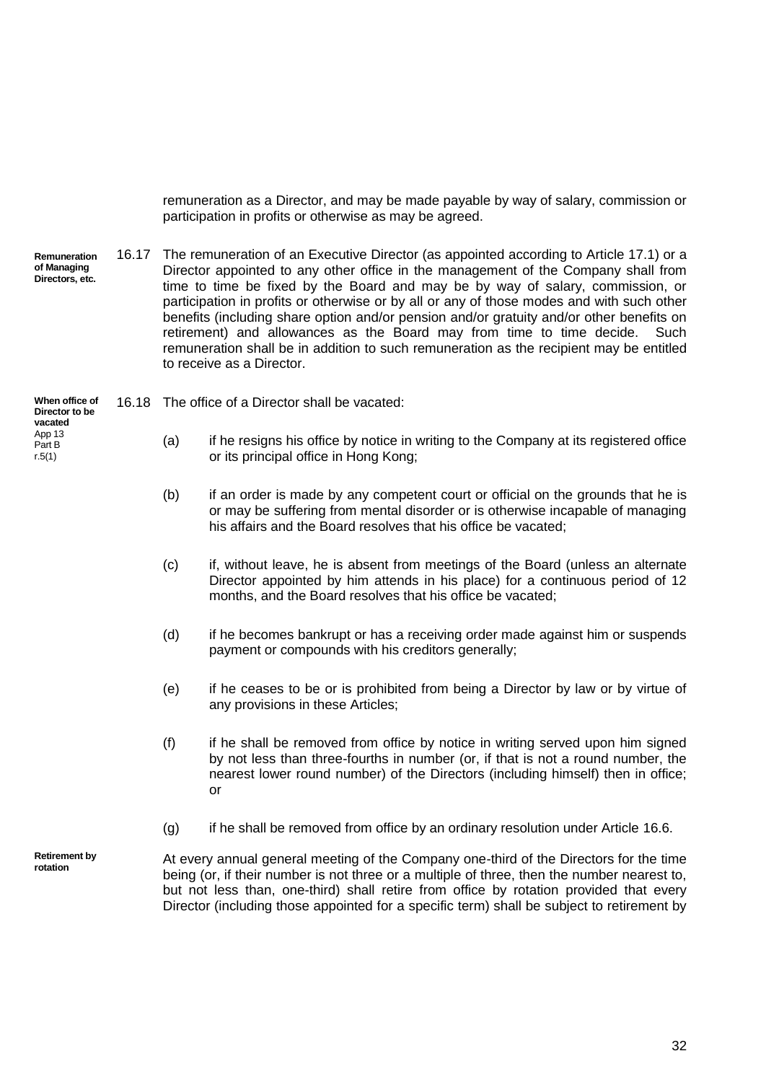<span id="page-38-0"></span>remuneration as a Director, and may be made payable by way of salary, commission or participation in profits or otherwise as may be agreed.

**Remuneration of Managing Directors, etc.** 16.17 The remuneration of an Executive Director (as appointed according to Article [17.1\)](#page-41-1) or a Director appointed to any other office in the management of the Company shall from time to time be fixed by the Board and may be by way of salary, commission, or participation in profits or otherwise or by all or any of those modes and with such other benefits (including share option and/or pension and/or gratuity and/or other benefits on retirement) and allowances as the Board may from time to time decide. Such remuneration shall be in addition to such remuneration as the recipient may be entitled to receive as a Director.

**When office of Director to be**  16.18 The office of a Director shall be vacated:

- (a) if he resigns his office by notice in writing to the Company at its registered office or its principal office in Hong Kong;
- (b) if an order is made by any competent court or official on the grounds that he is or may be suffering from mental disorder or is otherwise incapable of managing his affairs and the Board resolves that his office be vacated;
- (c) if, without leave, he is absent from meetings of the Board (unless an alternate Director appointed by him attends in his place) for a continuous period of 12 months, and the Board resolves that his office be vacated;
- (d) if he becomes bankrupt or has a receiving order made against him or suspends payment or compounds with his creditors generally;
- (e) if he ceases to be or is prohibited from being a Director by law or by virtue of any provisions in these Articles;
- (f) if he shall be removed from office by notice in writing served upon him signed by not less than three-fourths in number (or, if that is not a round number, the nearest lower round number) of the Directors (including himself) then in office; or
- $(q)$  if he shall be removed from office by an ordinary resolution under Article [16.6.](#page-35-1)

**Retirement by rotation**

**vacated** App 13 Part B r.5(1)

> At every annual general meeting of the Company one-third of the Directors for the time being (or, if their number is not three or a multiple of three, then the number nearest to, but not less than, one-third) shall retire from office by rotation provided that every Director (including those appointed for a specific term) shall be subject to retirement by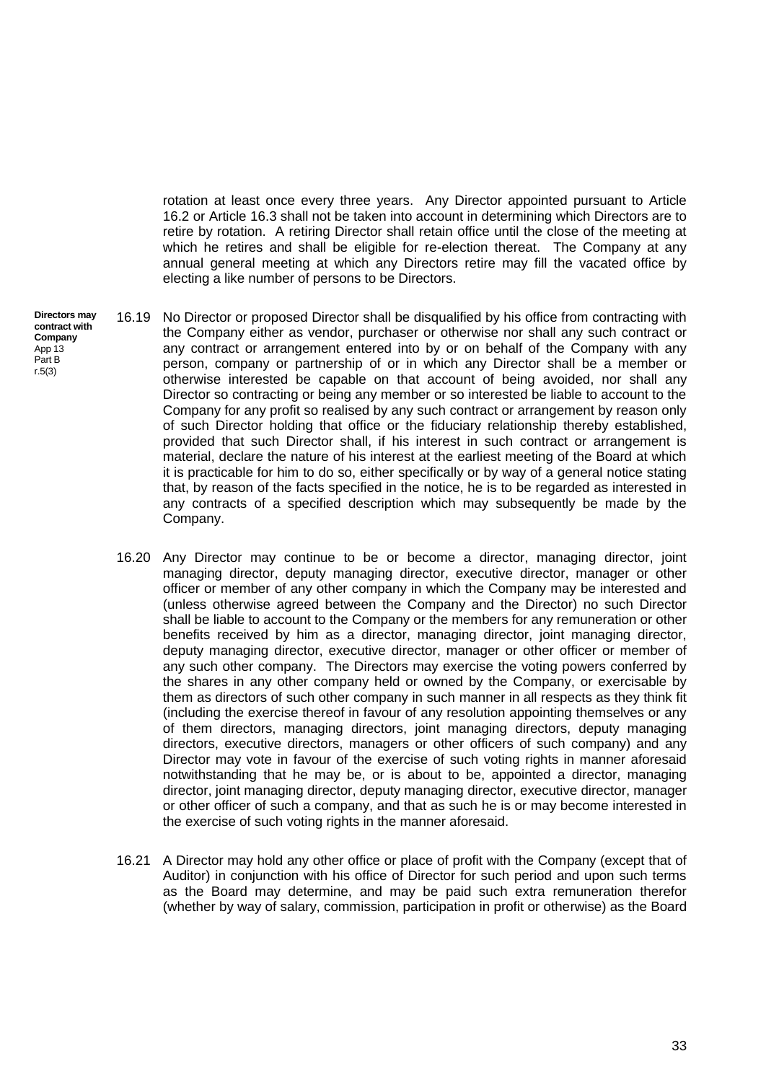rotation at least once every three years. Any Director appointed pursuant to Article [16.2](#page-35-2) or Article [16.3](#page-35-3) shall not be taken into account in determining which Directors are to retire by rotation. A retiring Director shall retain office until the close of the meeting at which he retires and shall be eligible for re-election thereat. The Company at any annual general meeting at which any Directors retire may fill the vacated office by electing a like number of persons to be Directors.

- <span id="page-39-0"></span>16.19 No Director or proposed Director shall be disqualified by his office from contracting with the Company either as vendor, purchaser or otherwise nor shall any such contract or any contract or arrangement entered into by or on behalf of the Company with any person, company or partnership of or in which any Director shall be a member or otherwise interested be capable on that account of being avoided, nor shall any Director so contracting or being any member or so interested be liable to account to the Company for any profit so realised by any such contract or arrangement by reason only of such Director holding that office or the fiduciary relationship thereby established, provided that such Director shall, if his interest in such contract or arrangement is material, declare the nature of his interest at the earliest meeting of the Board at which it is practicable for him to do so, either specifically or by way of a general notice stating that, by reason of the facts specified in the notice, he is to be regarded as interested in any contracts of a specified description which may subsequently be made by the Company.
	- 16.20 Any Director may continue to be or become a director, managing director, joint managing director, deputy managing director, executive director, manager or other officer or member of any other company in which the Company may be interested and (unless otherwise agreed between the Company and the Director) no such Director shall be liable to account to the Company or the members for any remuneration or other benefits received by him as a director, managing director, joint managing director, deputy managing director, executive director, manager or other officer or member of any such other company. The Directors may exercise the voting powers conferred by the shares in any other company held or owned by the Company, or exercisable by them as directors of such other company in such manner in all respects as they think fit (including the exercise thereof in favour of any resolution appointing themselves or any of them directors, managing directors, joint managing directors, deputy managing directors, executive directors, managers or other officers of such company) and any Director may vote in favour of the exercise of such voting rights in manner aforesaid notwithstanding that he may be, or is about to be, appointed a director, managing director, joint managing director, deputy managing director, executive director, manager or other officer of such a company, and that as such he is or may become interested in the exercise of such voting rights in the manner aforesaid.
	- 16.21 A Director may hold any other office or place of profit with the Company (except that of Auditor) in conjunction with his office of Director for such period and upon such terms as the Board may determine, and may be paid such extra remuneration therefor (whether by way of salary, commission, participation in profit or otherwise) as the Board

**Directors may contract with Company** App 13 Part B r.5(3)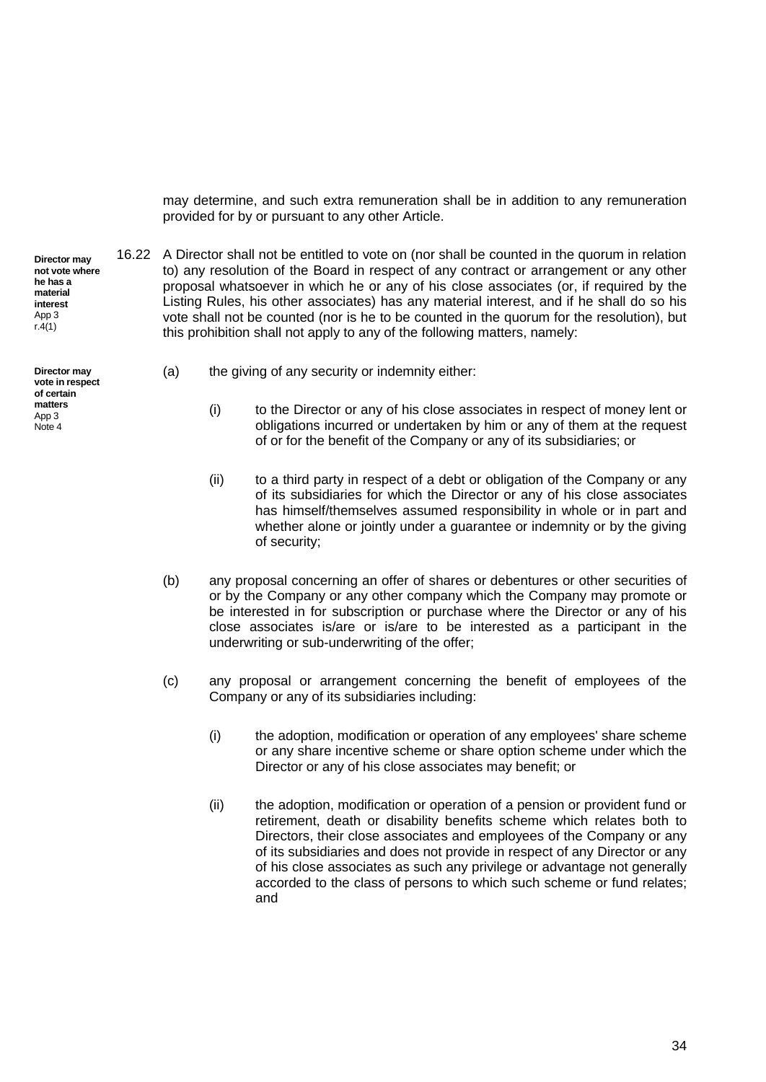may determine, and such extra remuneration shall be in addition to any remuneration provided for by or pursuant to any other Article.

to) any resolution of the Board in respect of any contract or arrangement or any other proposal whatsoever in which he or any of his close associates (or, if required by the Listing Rules, his other associates) has any material interest, and if he shall do so his vote shall not be counted (nor is he to be counted in the quorum for the resolution), but

16.22 A Director shall not be entitled to vote on (nor shall be counted in the quorum in relation

**Director may not vote where he has a material interest** App 3 r.4(1)

**Director may vote in respect of certain matters** App 3 Note 4

<span id="page-40-0"></span>(a) the giving of any security or indemnity either:

this prohibition shall not apply to any of the following matters, namely:

- (i) to the Director or any of his close associates in respect of money lent or obligations incurred or undertaken by him or any of them at the request of or for the benefit of the Company or any of its subsidiaries; or
- (ii) to a third party in respect of a debt or obligation of the Company or any of its subsidiaries for which the Director or any of his close associates has himself/themselves assumed responsibility in whole or in part and whether alone or jointly under a guarantee or indemnity or by the giving of security;
- (b) any proposal concerning an offer of shares or debentures or other securities of or by the Company or any other company which the Company may promote or be interested in for subscription or purchase where the Director or any of his close associates is/are or is/are to be interested as a participant in the underwriting or sub-underwriting of the offer;
- (c) any proposal or arrangement concerning the benefit of employees of the Company or any of its subsidiaries including:
	- (i) the adoption, modification or operation of any employees' share scheme or any share incentive scheme or share option scheme under which the Director or any of his close associates may benefit; or
	- (ii) the adoption, modification or operation of a pension or provident fund or retirement, death or disability benefits scheme which relates both to Directors, their close associates and employees of the Company or any of its subsidiaries and does not provide in respect of any Director or any of his close associates as such any privilege or advantage not generally accorded to the class of persons to which such scheme or fund relates; and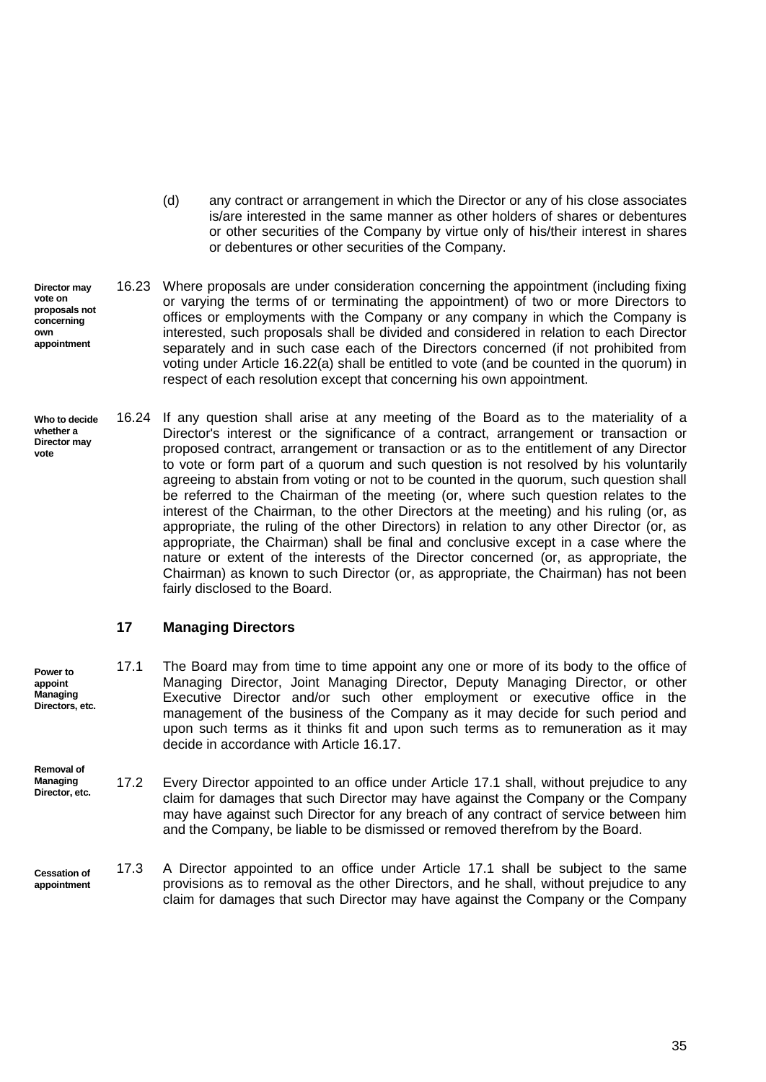- (d) any contract or arrangement in which the Director or any of his close associates is/are interested in the same manner as other holders of shares or debentures or other securities of the Company by virtue only of his/their interest in shares or debentures or other securities of the Company.
- **Director may vote on proposals not concerning own appointment** 16.23 Where proposals are under consideration concerning the appointment (including fixing or varying the terms of or terminating the appointment) of two or more Directors to offices or employments with the Company or any company in which the Company is interested, such proposals shall be divided and considered in relation to each Director separately and in such case each of the Directors concerned (if not prohibited from voting under Article [16.22\(a\)](#page-40-0) shall be entitled to vote (and be counted in the quorum) in respect of each resolution except that concerning his own appointment.
- <span id="page-41-2"></span>**Who to decide whether a Director may vote** 16.24 If any question shall arise at any meeting of the Board as to the materiality of a Director's interest or the significance of a contract, arrangement or transaction or proposed contract, arrangement or transaction or as to the entitlement of any Director to vote or form part of a quorum and such question is not resolved by his voluntarily agreeing to abstain from voting or not to be counted in the quorum, such question shall be referred to the Chairman of the meeting (or, where such question relates to the interest of the Chairman, to the other Directors at the meeting) and his ruling (or, as appropriate, the ruling of the other Directors) in relation to any other Director (or, as appropriate, the Chairman) shall be final and conclusive except in a case where the nature or extent of the interests of the Director concerned (or, as appropriate, the Chairman) as known to such Director (or, as appropriate, the Chairman) has not been fairly disclosed to the Board.

# <span id="page-41-1"></span><span id="page-41-0"></span>**17 Managing Directors**

**Removal of** 

- **Power to appoint Managing Directors, etc.** 17.1 The Board may from time to time appoint any one or more of its body to the office of Managing Director, Joint Managing Director, Deputy Managing Director, or other Executive Director and/or such other employment or executive office in the management of the business of the Company as it may decide for such period and upon such terms as it thinks fit and upon such terms as to remuneration as it may decide in accordance with Article [16.17.](#page-38-0)
- **Managing Director, etc.** 17.2 Every Director appointed to an office under Article [17.1](#page-41-1) shall, without prejudice to any claim for damages that such Director may have against the Company or the Company may have against such Director for any breach of any contract of service between him and the Company, be liable to be dismissed or removed therefrom by the Board.
- **Cessation of appointment**  17.3 A Director appointed to an office under Article [17.1](#page-41-1) shall be subject to the same provisions as to removal as the other Directors, and he shall, without prejudice to any claim for damages that such Director may have against the Company or the Company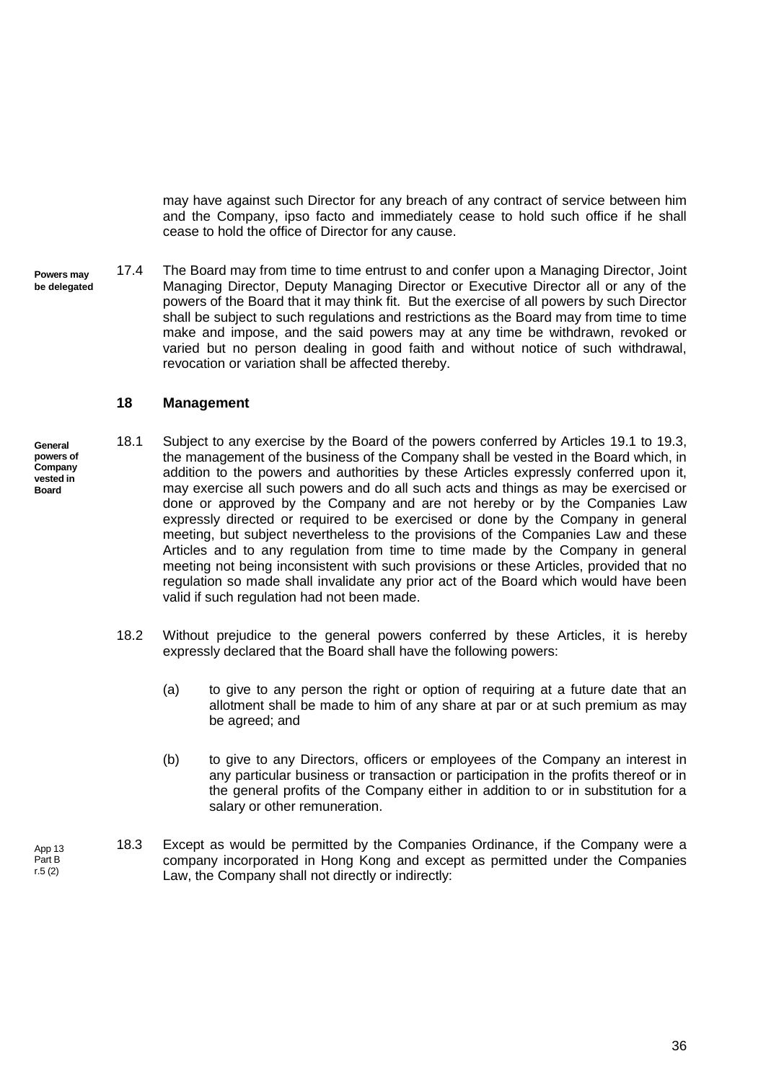may have against such Director for any breach of any contract of service between him and the Company, ipso facto and immediately cease to hold such office if he shall cease to hold the office of Director for any cause.

**Powers may be delegated** 17.4 The Board may from time to time entrust to and confer upon a Managing Director, Joint Managing Director, Deputy Managing Director or Executive Director all or any of the powers of the Board that it may think fit. But the exercise of all powers by such Director shall be subject to such regulations and restrictions as the Board may from time to time make and impose, and the said powers may at any time be withdrawn, revoked or varied but no person dealing in good faith and without notice of such withdrawal, revocation or variation shall be affected thereby.

## <span id="page-42-0"></span>**18 Management**

- **General**  18.1 Subject to any exercise by the Board of the powers conferred by Articles [19.1](#page-43-2) to [19.3,](#page-43-3) the management of the business of the Company shall be vested in the Board which, in addition to the powers and authorities by these Articles expressly conferred upon it, may exercise all such powers and do all such acts and things as may be exercised or done or approved by the Company and are not hereby or by the Companies Law expressly directed or required to be exercised or done by the Company in general meeting, but subject nevertheless to the provisions of the Companies Law and these Articles and to any regulation from time to time made by the Company in general meeting not being inconsistent with such provisions or these Articles, provided that no regulation so made shall invalidate any prior act of the Board which would have been valid if such regulation had not been made.
	- 18.2 Without prejudice to the general powers conferred by these Articles, it is hereby expressly declared that the Board shall have the following powers:
		- (a) to give to any person the right or option of requiring at a future date that an allotment shall be made to him of any share at par or at such premium as may be agreed; and
		- (b) to give to any Directors, officers or employees of the Company an interest in any particular business or transaction or participation in the profits thereof or in the general profits of the Company either in addition to or in substitution for a salary or other remuneration.
	- 18.3 Except as would be permitted by the Companies Ordinance, if the Company were a company incorporated in Hong Kong and except as permitted under the Companies Law, the Company shall not directly or indirectly:

**powers of Company vested in Board**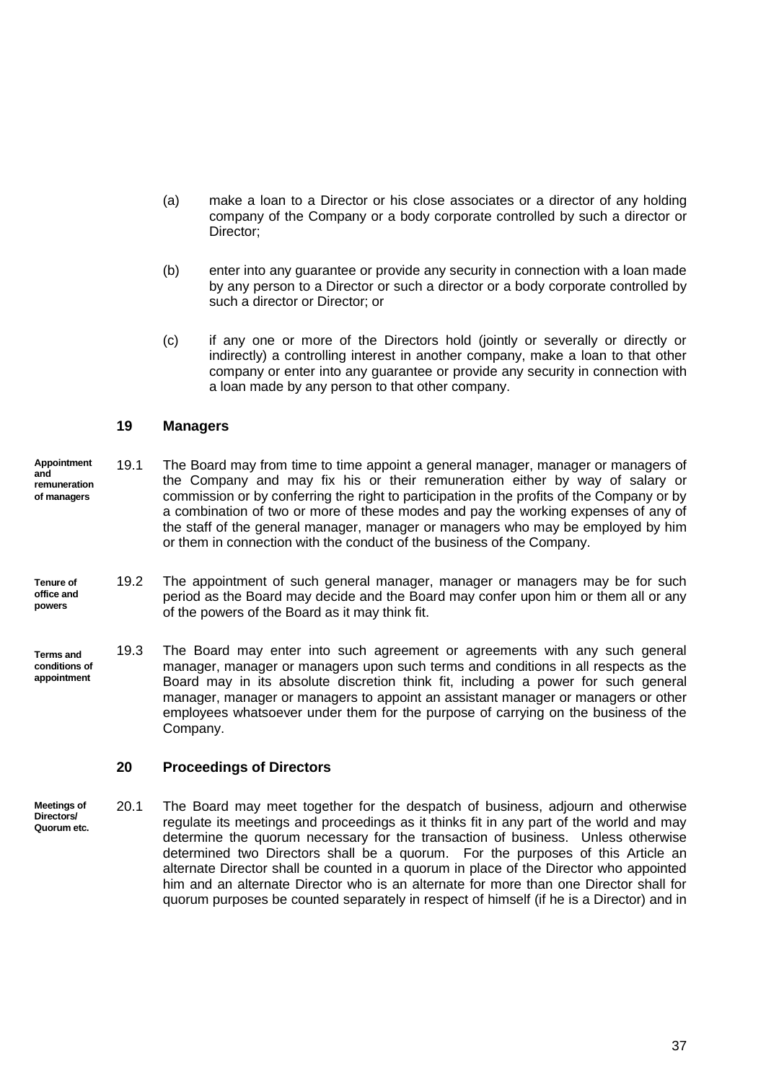- (a) make a loan to a Director or his close associates or a director of any holding company of the Company or a body corporate controlled by such a director or Director:
- (b) enter into any guarantee or provide any security in connection with a loan made by any person to a Director or such a director or a body corporate controlled by such a director or Director; or
- (c) if any one or more of the Directors hold (jointly or severally or directly or indirectly) a controlling interest in another company, make a loan to that other company or enter into any guarantee or provide any security in connection with a loan made by any person to that other company.

# <span id="page-43-2"></span><span id="page-43-0"></span>**19 Managers**

- **Appointment and remuneration of managers** 19.1 The Board may from time to time appoint a general manager, manager or managers of the Company and may fix his or their remuneration either by way of salary or commission or by conferring the right to participation in the profits of the Company or by a combination of two or more of these modes and pay the working expenses of any of the staff of the general manager, manager or managers who may be employed by him or them in connection with the conduct of the business of the Company.
- **Tenure of office and powers** 19.2 The appointment of such general manager, manager or managers may be for such period as the Board may decide and the Board may confer upon him or them all or any of the powers of the Board as it may think fit.
- <span id="page-43-3"></span>**Terms and conditions of appointment** 19.3 The Board may enter into such agreement or agreements with any such general manager, manager or managers upon such terms and conditions in all respects as the Board may in its absolute discretion think fit, including a power for such general manager, manager or managers to appoint an assistant manager or managers or other employees whatsoever under them for the purpose of carrying on the business of the Company.

#### <span id="page-43-1"></span>**20 Proceedings of Directors**

**Meetings of Directors/ Quorum etc.** 20.1 The Board may meet together for the despatch of business, adjourn and otherwise regulate its meetings and proceedings as it thinks fit in any part of the world and may determine the quorum necessary for the transaction of business. Unless otherwise determined two Directors shall be a quorum. For the purposes of this Article an alternate Director shall be counted in a quorum in place of the Director who appointed him and an alternate Director who is an alternate for more than one Director shall for quorum purposes be counted separately in respect of himself (if he is a Director) and in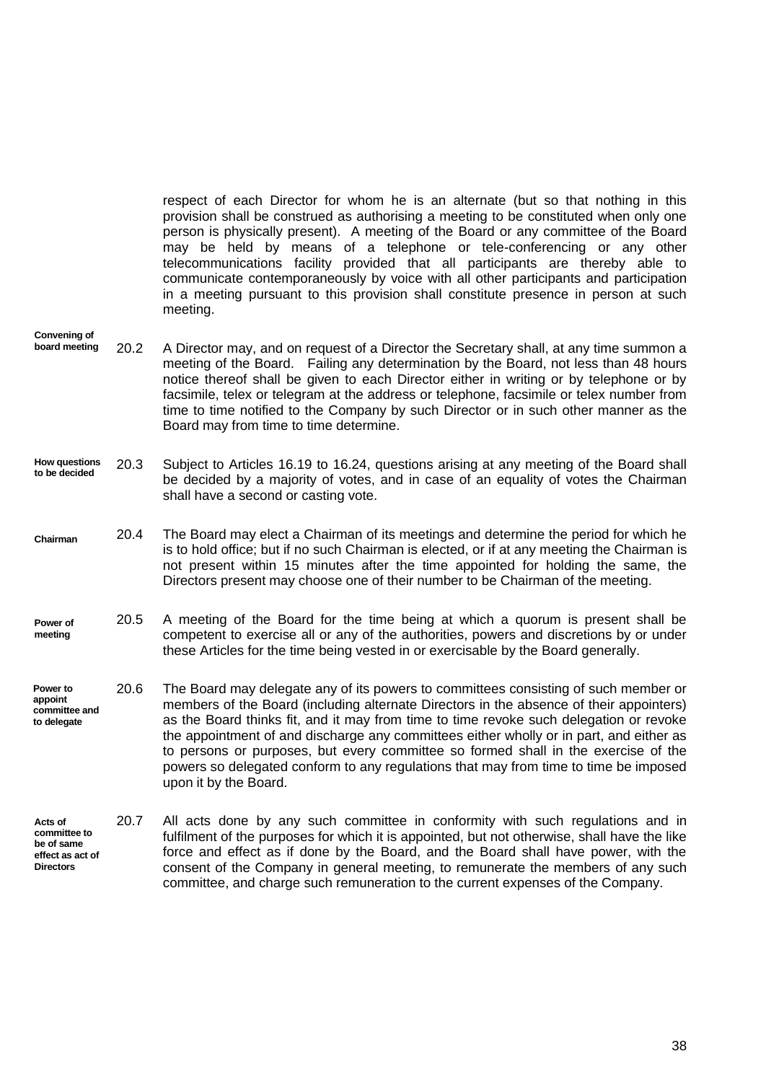respect of each Director for whom he is an alternate (but so that nothing in this provision shall be construed as authorising a meeting to be constituted when only one person is physically present). A meeting of the Board or any committee of the Board may be held by means of a telephone or tele-conferencing or any other telecommunications facility provided that all participants are thereby able to communicate contemporaneously by voice with all other participants and participation in a meeting pursuant to this provision shall constitute presence in person at such meeting.

- **Convening of board meeting** 20.2 A Director may, and on request of a Director the Secretary shall, at any time summon a meeting of the Board. Failing any determination by the Board, not less than 48 hours notice thereof shall be given to each Director either in writing or by telephone or by facsimile, telex or telegram at the address or telephone, facsimile or telex number from time to time notified to the Company by such Director or in such other manner as the Board may from time to time determine.
- **How questions to be decided**  20.3 Subject to Articles [16.19](#page-39-0) to [16.24,](#page-41-2) questions arising at any meeting of the Board shall be decided by a majority of votes, and in case of an equality of votes the Chairman shall have a second or casting vote.
- **Chairman** 20.4 The Board may elect a Chairman of its meetings and determine the period for which he is to hold office; but if no such Chairman is elected, or if at any meeting the Chairman is not present within 15 minutes after the time appointed for holding the same, the Directors present may choose one of their number to be Chairman of the meeting.
- **Power of meeting** 20.5 A meeting of the Board for the time being at which a quorum is present shall be competent to exercise all or any of the authorities, powers and discretions by or under these Articles for the time being vested in or exercisable by the Board generally.
- <span id="page-44-0"></span>**Power to appoint committee and to delegate** 20.6 The Board may delegate any of its powers to committees consisting of such member or members of the Board (including alternate Directors in the absence of their appointers) as the Board thinks fit, and it may from time to time revoke such delegation or revoke the appointment of and discharge any committees either wholly or in part, and either as to persons or purposes, but every committee so formed shall in the exercise of the powers so delegated conform to any regulations that may from time to time be imposed upon it by the Board.
- **Acts of committee to be of same effect as act of Directors** 20.7 All acts done by any such committee in conformity with such regulations and in fulfilment of the purposes for which it is appointed, but not otherwise, shall have the like force and effect as if done by the Board, and the Board shall have power, with the consent of the Company in general meeting, to remunerate the members of any such committee, and charge such remuneration to the current expenses of the Company.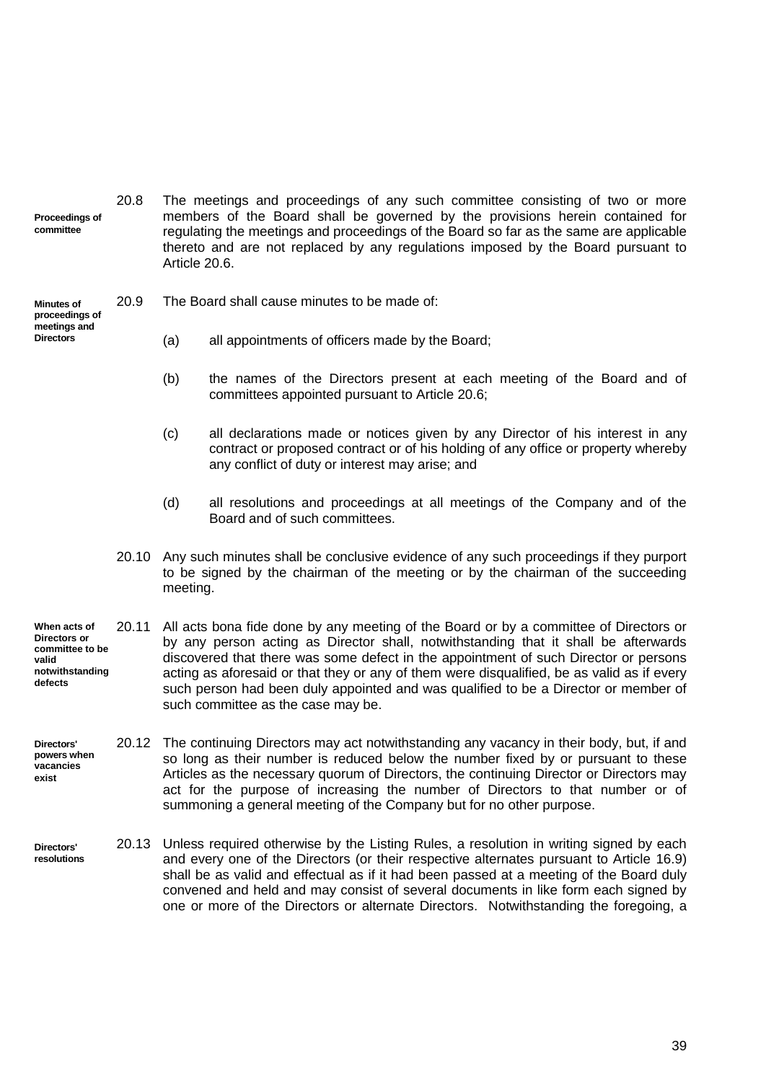**Proceedings of committee** 20.8 The meetings and proceedings of any such committee consisting of two or more members of the Board shall be governed by the provisions herein contained for regulating the meetings and proceedings of the Board so far as the same are applicable thereto and are not replaced by any regulations imposed by the Board pursuant to Article [20.6.](#page-44-0)

#### **Minutes of proceedings of meetings and**

**Directors**

20.9 The Board shall cause minutes to be made of:

- (a) all appointments of officers made by the Board;
- (b) the names of the Directors present at each meeting of the Board and of committees appointed pursuant to Article [20.6;](#page-44-0)
- (c) all declarations made or notices given by any Director of his interest in any contract or proposed contract or of his holding of any office or property whereby any conflict of duty or interest may arise; and
- (d) all resolutions and proceedings at all meetings of the Company and of the Board and of such committees.
- 20.10 Any such minutes shall be conclusive evidence of any such proceedings if they purport to be signed by the chairman of the meeting or by the chairman of the succeeding meeting.
- **When acts of Directors or committee to be valid notwithstanding defects** 20.11 All acts bona fide done by any meeting of the Board or by a committee of Directors or by any person acting as Director shall, notwithstanding that it shall be afterwards discovered that there was some defect in the appointment of such Director or persons acting as aforesaid or that they or any of them were disqualified, be as valid as if every such person had been duly appointed and was qualified to be a Director or member of such committee as the case may be.
- **Directors' powers when vacancies exist** 20.12 The continuing Directors may act notwithstanding any vacancy in their body, but, if and so long as their number is reduced below the number fixed by or pursuant to these Articles as the necessary quorum of Directors, the continuing Director or Directors may act for the purpose of increasing the number of Directors to that number or of summoning a general meeting of the Company but for no other purpose.
- **Directors' resolutions** 20.13 Unless required otherwise by the Listing Rules, a resolution in writing signed by each and every one of the Directors (or their respective alternates pursuant to Article [16.9\)](#page-36-2) shall be as valid and effectual as if it had been passed at a meeting of the Board duly convened and held and may consist of several documents in like form each signed by one or more of the Directors or alternate Directors. Notwithstanding the foregoing, a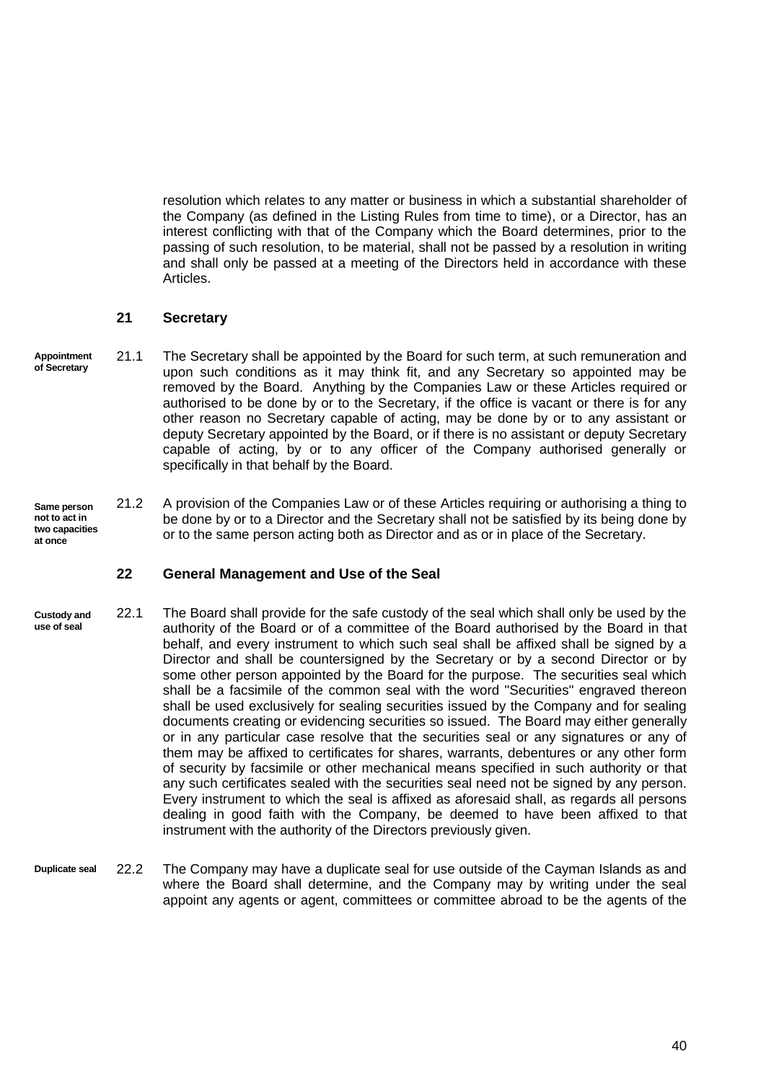resolution which relates to any matter or business in which a substantial shareholder of the Company (as defined in the Listing Rules from time to time), or a Director, has an interest conflicting with that of the Company which the Board determines, prior to the passing of such resolution, to be material, shall not be passed by a resolution in writing and shall only be passed at a meeting of the Directors held in accordance with these Articles.

## <span id="page-46-0"></span>**21 Secretary**

- **Appointment of Secretary** 21.1 The Secretary shall be appointed by the Board for such term, at such remuneration and upon such conditions as it may think fit, and any Secretary so appointed may be removed by the Board. Anything by the Companies Law or these Articles required or authorised to be done by or to the Secretary, if the office is vacant or there is for any other reason no Secretary capable of acting, may be done by or to any assistant or deputy Secretary appointed by the Board, or if there is no assistant or deputy Secretary capable of acting, by or to any officer of the Company authorised generally or specifically in that behalf by the Board.
- **Same person not to act in two capacities at once** 21.2 A provision of the Companies Law or of these Articles requiring or authorising a thing to be done by or to a Director and the Secretary shall not be satisfied by its being done by or to the same person acting both as Director and as or in place of the Secretary.

# <span id="page-46-1"></span>**22 General Management and Use of the Seal**

- **Custody and use of seal** 22.1 The Board shall provide for the safe custody of the seal which shall only be used by the authority of the Board or of a committee of the Board authorised by the Board in that behalf, and every instrument to which such seal shall be affixed shall be signed by a Director and shall be countersigned by the Secretary or by a second Director or by some other person appointed by the Board for the purpose. The securities seal which shall be a facsimile of the common seal with the word "Securities" engraved thereon shall be used exclusively for sealing securities issued by the Company and for sealing documents creating or evidencing securities so issued. The Board may either generally or in any particular case resolve that the securities seal or any signatures or any of them may be affixed to certificates for shares, warrants, debentures or any other form of security by facsimile or other mechanical means specified in such authority or that any such certificates sealed with the securities seal need not be signed by any person. Every instrument to which the seal is affixed as aforesaid shall, as regards all persons dealing in good faith with the Company, be deemed to have been affixed to that instrument with the authority of the Directors previously given.
- <span id="page-46-2"></span>**Duplicate seal** 22.2 The Company may have a duplicate seal for use outside of the Cayman Islands as and where the Board shall determine, and the Company may by writing under the seal appoint any agents or agent, committees or committee abroad to be the agents of the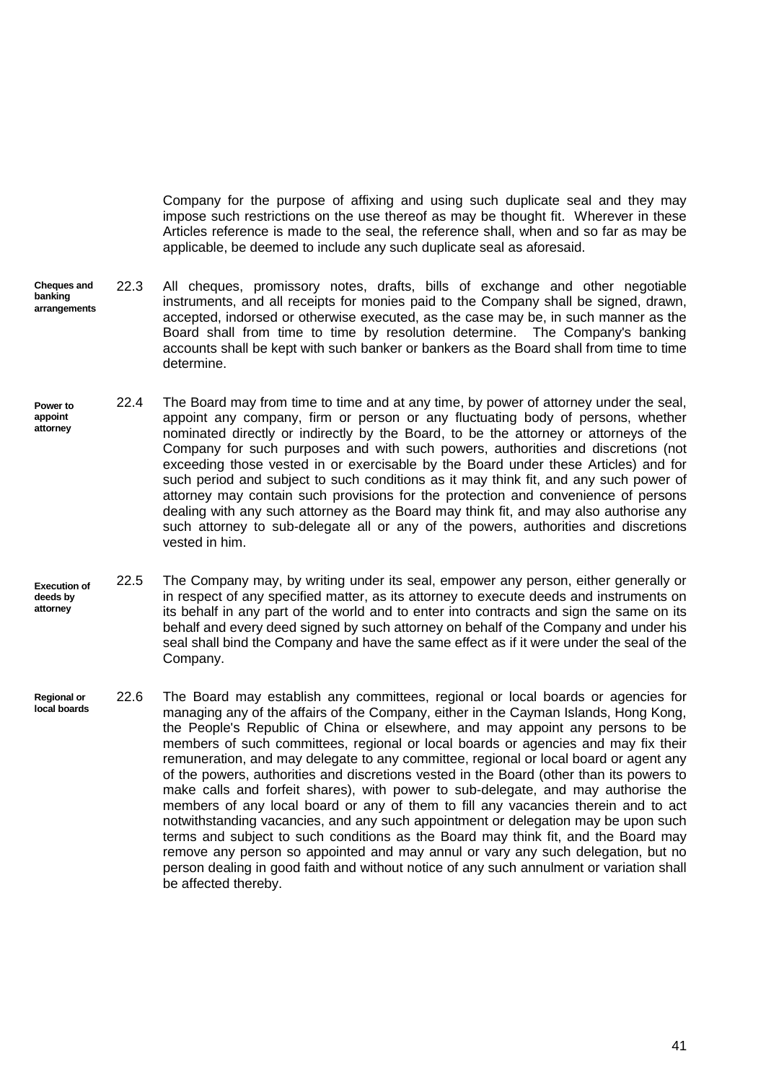Company for the purpose of affixing and using such duplicate seal and they may impose such restrictions on the use thereof as may be thought fit. Wherever in these Articles reference is made to the seal, the reference shall, when and so far as may be applicable, be deemed to include any such duplicate seal as aforesaid.

- **Cheques and banking arrangements** 22.3 All cheques, promissory notes, drafts, bills of exchange and other negotiable instruments, and all receipts for monies paid to the Company shall be signed, drawn, accepted, indorsed or otherwise executed, as the case may be, in such manner as the Board shall from time to time by resolution determine. The Company's banking accounts shall be kept with such banker or bankers as the Board shall from time to time determine.
- **Power to appoint attorney** 22.4 The Board may from time to time and at any time, by power of attorney under the seal, appoint any company, firm or person or any fluctuating body of persons, whether nominated directly or indirectly by the Board, to be the attorney or attorneys of the Company for such purposes and with such powers, authorities and discretions (not exceeding those vested in or exercisable by the Board under these Articles) and for such period and subject to such conditions as it may think fit, and any such power of attorney may contain such provisions for the protection and convenience of persons dealing with any such attorney as the Board may think fit, and may also authorise any such attorney to sub-delegate all or any of the powers, authorities and discretions vested in him.
- **Execution of deeds by attorney** 22.5 The Company may, by writing under its seal, empower any person, either generally or in respect of any specified matter, as its attorney to execute deeds and instruments on its behalf in any part of the world and to enter into contracts and sign the same on its behalf and every deed signed by such attorney on behalf of the Company and under his seal shall bind the Company and have the same effect as if it were under the seal of the Company.
- **Regional or local boards** 22.6 The Board may establish any committees, regional or local boards or agencies for managing any of the affairs of the Company, either in the Cayman Islands, Hong Kong, the People's Republic of China or elsewhere, and may appoint any persons to be members of such committees, regional or local boards or agencies and may fix their remuneration, and may delegate to any committee, regional or local board or agent any of the powers, authorities and discretions vested in the Board (other than its powers to make calls and forfeit shares), with power to sub-delegate, and may authorise the members of any local board or any of them to fill any vacancies therein and to act notwithstanding vacancies, and any such appointment or delegation may be upon such terms and subject to such conditions as the Board may think fit, and the Board may remove any person so appointed and may annul or vary any such delegation, but no person dealing in good faith and without notice of any such annulment or variation shall be affected thereby.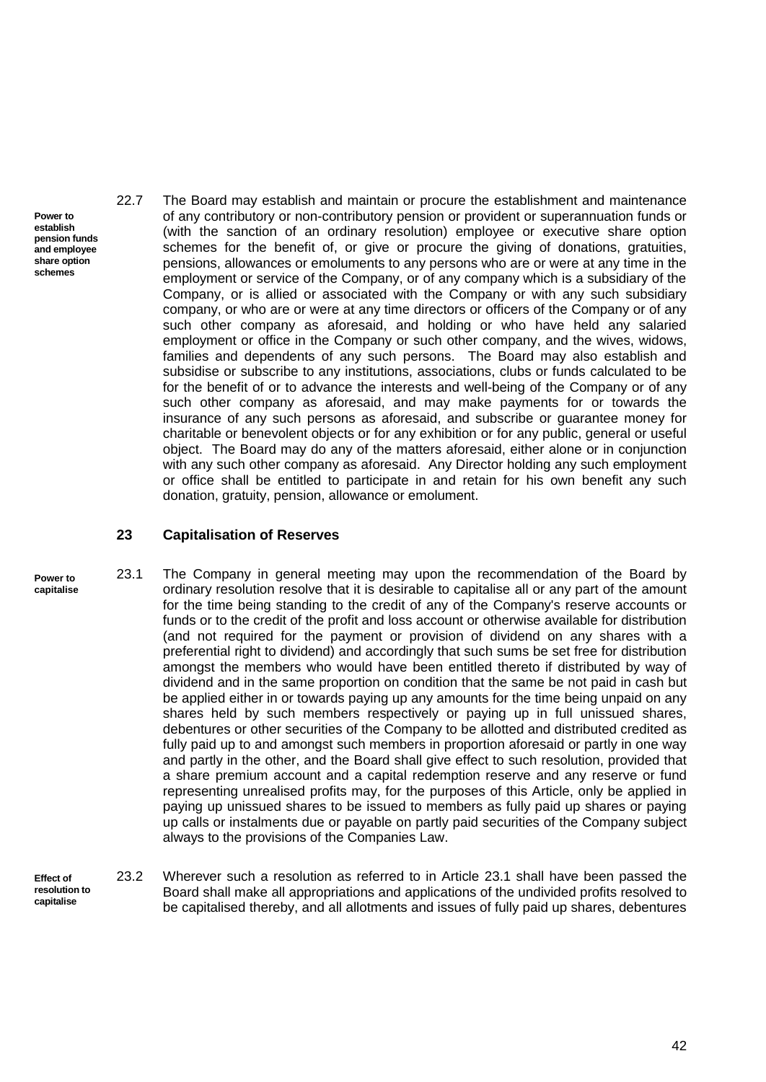- **Power to establish pension funds and employee share option schemes**
- 22.7 The Board may establish and maintain or procure the establishment and maintenance of any contributory or non-contributory pension or provident or superannuation funds or (with the sanction of an ordinary resolution) employee or executive share option schemes for the benefit of, or give or procure the giving of donations, gratuities, pensions, allowances or emoluments to any persons who are or were at any time in the employment or service of the Company, or of any company which is a subsidiary of the Company, or is allied or associated with the Company or with any such subsidiary company, or who are or were at any time directors or officers of the Company or of any such other company as aforesaid, and holding or who have held any salaried employment or office in the Company or such other company, and the wives, widows, families and dependents of any such persons. The Board may also establish and subsidise or subscribe to any institutions, associations, clubs or funds calculated to be for the benefit of or to advance the interests and well-being of the Company or of any such other company as aforesaid, and may make payments for or towards the insurance of any such persons as aforesaid, and subscribe or guarantee money for charitable or benevolent objects or for any exhibition or for any public, general or useful object. The Board may do any of the matters aforesaid, either alone or in conjunction with any such other company as aforesaid. Any Director holding any such employment or office shall be entitled to participate in and retain for his own benefit any such donation, gratuity, pension, allowance or emolument.

#### <span id="page-48-1"></span><span id="page-48-0"></span>**23 Capitalisation of Reserves**

- **Power to capitalise** 23.1 The Company in general meeting may upon the recommendation of the Board by ordinary resolution resolve that it is desirable to capitalise all or any part of the amount for the time being standing to the credit of any of the Company's reserve accounts or funds or to the credit of the profit and loss account or otherwise available for distribution (and not required for the payment or provision of dividend on any shares with a preferential right to dividend) and accordingly that such sums be set free for distribution amongst the members who would have been entitled thereto if distributed by way of dividend and in the same proportion on condition that the same be not paid in cash but be applied either in or towards paying up any amounts for the time being unpaid on any shares held by such members respectively or paying up in full unissued shares, debentures or other securities of the Company to be allotted and distributed credited as fully paid up to and amongst such members in proportion aforesaid or partly in one way and partly in the other, and the Board shall give effect to such resolution, provided that a share premium account and a capital redemption reserve and any reserve or fund representing unrealised profits may, for the purposes of this Article, only be applied in paying up unissued shares to be issued to members as fully paid up shares or paying up calls or instalments due or payable on partly paid securities of the Company subject always to the provisions of the Companies Law.
- <span id="page-48-2"></span>**Effect of resolution to capitalise** 23.2 Wherever such a resolution as referred to in Article [23.1](#page-48-1) shall have been passed the Board shall make all appropriations and applications of the undivided profits resolved to be capitalised thereby, and all allotments and issues of fully paid up shares, debentures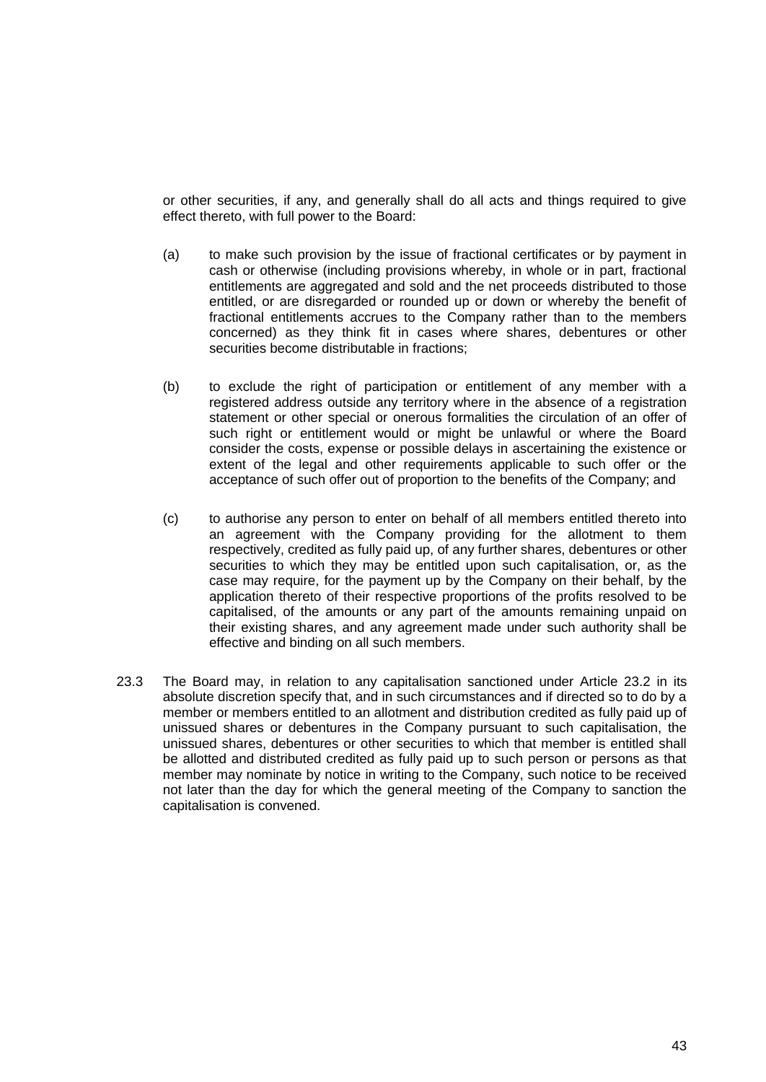or other securities, if any, and generally shall do all acts and things required to give effect thereto, with full power to the Board:

- (a) to make such provision by the issue of fractional certificates or by payment in cash or otherwise (including provisions whereby, in whole or in part, fractional entitlements are aggregated and sold and the net proceeds distributed to those entitled, or are disregarded or rounded up or down or whereby the benefit of fractional entitlements accrues to the Company rather than to the members concerned) as they think fit in cases where shares, debentures or other securities become distributable in fractions;
- (b) to exclude the right of participation or entitlement of any member with a registered address outside any territory where in the absence of a registration statement or other special or onerous formalities the circulation of an offer of such right or entitlement would or might be unlawful or where the Board consider the costs, expense or possible delays in ascertaining the existence or extent of the legal and other requirements applicable to such offer or the acceptance of such offer out of proportion to the benefits of the Company; and
- (c) to authorise any person to enter on behalf of all members entitled thereto into an agreement with the Company providing for the allotment to them respectively, credited as fully paid up, of any further shares, debentures or other securities to which they may be entitled upon such capitalisation, or, as the case may require, for the payment up by the Company on their behalf, by the application thereto of their respective proportions of the profits resolved to be capitalised, of the amounts or any part of the amounts remaining unpaid on their existing shares, and any agreement made under such authority shall be effective and binding on all such members.
- 23.3 The Board may, in relation to any capitalisation sanctioned under Article [23.2](#page-48-2) in its absolute discretion specify that, and in such circumstances and if directed so to do by a member or members entitled to an allotment and distribution credited as fully paid up of unissued shares or debentures in the Company pursuant to such capitalisation, the unissued shares, debentures or other securities to which that member is entitled shall be allotted and distributed credited as fully paid up to such person or persons as that member may nominate by notice in writing to the Company, such notice to be received not later than the day for which the general meeting of the Company to sanction the capitalisation is convened.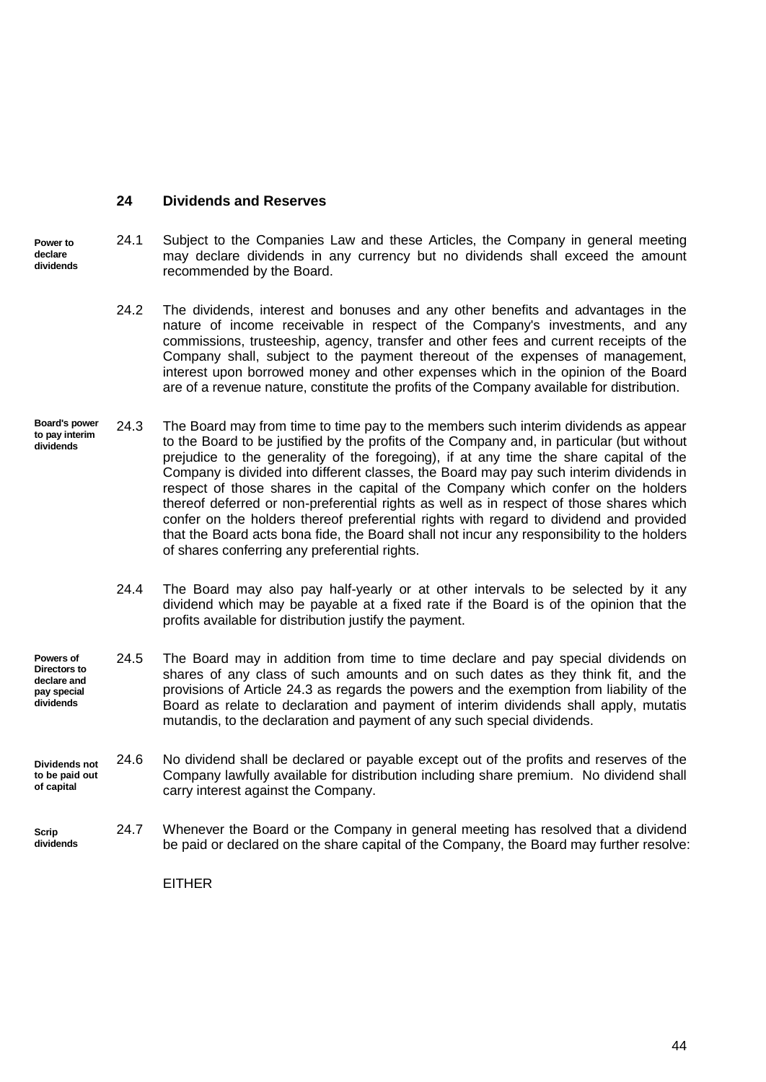#### <span id="page-50-0"></span>**24 Dividends and Reserves**

**Power to declare dividends** 24.1 Subject to the Companies Law and these Articles, the Company in general meeting may declare dividends in any currency but no dividends shall exceed the amount recommended by the Board.

- 24.2 The dividends, interest and bonuses and any other benefits and advantages in the nature of income receivable in respect of the Company's investments, and any commissions, trusteeship, agency, transfer and other fees and current receipts of the Company shall, subject to the payment thereout of the expenses of management, interest upon borrowed money and other expenses which in the opinion of the Board are of a revenue nature, constitute the profits of the Company available for distribution.
- <span id="page-50-1"></span>**Board's power to pay interim dividends** 24.3 The Board may from time to time pay to the members such interim dividends as appear to the Board to be justified by the profits of the Company and, in particular (but without prejudice to the generality of the foregoing), if at any time the share capital of the Company is divided into different classes, the Board may pay such interim dividends in respect of those shares in the capital of the Company which confer on the holders thereof deferred or non-preferential rights as well as in respect of those shares which confer on the holders thereof preferential rights with regard to dividend and provided that the Board acts bona fide, the Board shall not incur any responsibility to the holders of shares conferring any preferential rights.
	- 24.4 The Board may also pay half-yearly or at other intervals to be selected by it any dividend which may be payable at a fixed rate if the Board is of the opinion that the profits available for distribution justify the payment.
- **Powers of Directors to declare and pay special dividends** 24.5 The Board may in addition from time to time declare and pay special dividends on shares of any class of such amounts and on such dates as they think fit, and the provisions of Article [24.3](#page-50-1) as regards the powers and the exemption from liability of the Board as relate to declaration and payment of interim dividends shall apply, mutatis mutandis, to the declaration and payment of any such special dividends.

**Dividends not to be paid out of capital** 24.6 No dividend shall be declared or payable except out of the profits and reserves of the Company lawfully available for distribution including share premium. No dividend shall carry interest against the Company.

<span id="page-50-2"></span>**Scrip dividends** 24.7 Whenever the Board or the Company in general meeting has resolved that a dividend be paid or declared on the share capital of the Company, the Board may further resolve:

EITHER

44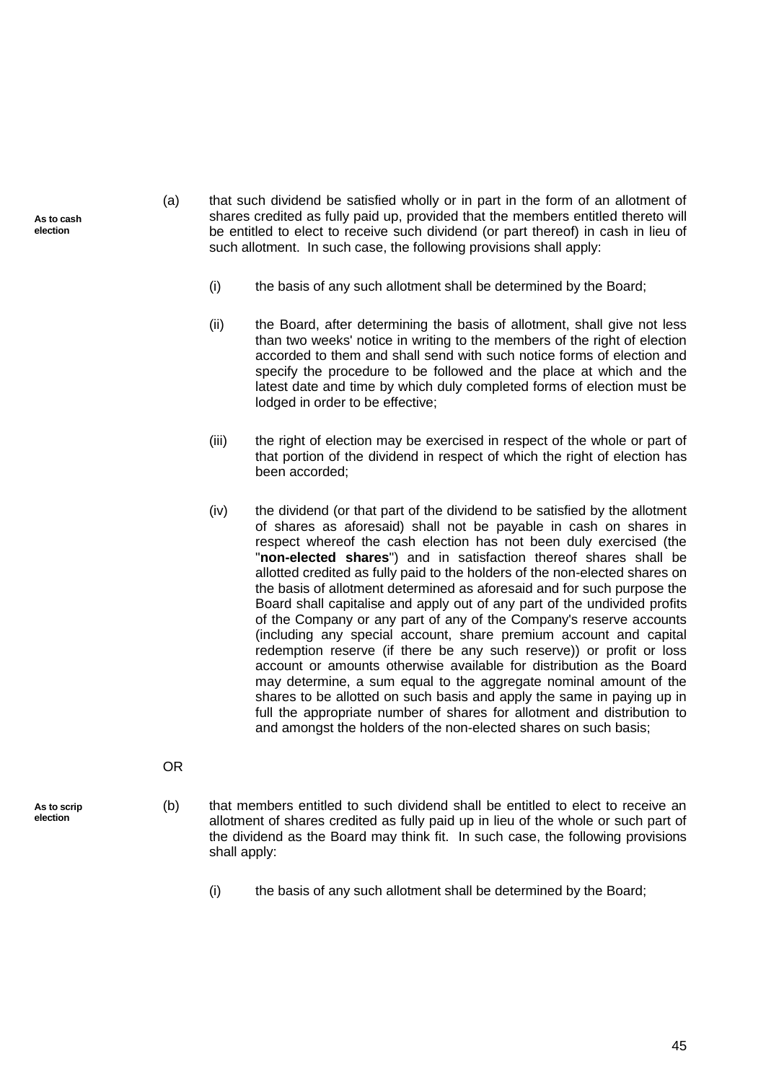- <span id="page-51-0"></span>(a) that such dividend be satisfied wholly or in part in the form of an allotment of shares credited as fully paid up, provided that the members entitled thereto will be entitled to elect to receive such dividend (or part thereof) in cash in lieu of such allotment. In such case, the following provisions shall apply:
	- (i) the basis of any such allotment shall be determined by the Board;
	- (ii) the Board, after determining the basis of allotment, shall give not less than two weeks' notice in writing to the members of the right of election accorded to them and shall send with such notice forms of election and specify the procedure to be followed and the place at which and the latest date and time by which duly completed forms of election must be lodged in order to be effective;
	- (iii) the right of election may be exercised in respect of the whole or part of that portion of the dividend in respect of which the right of election has been accorded;
	- (iv) the dividend (or that part of the dividend to be satisfied by the allotment of shares as aforesaid) shall not be payable in cash on shares in respect whereof the cash election has not been duly exercised (the "**non-elected shares**") and in satisfaction thereof shares shall be allotted credited as fully paid to the holders of the non-elected shares on the basis of allotment determined as aforesaid and for such purpose the Board shall capitalise and apply out of any part of the undivided profits of the Company or any part of any of the Company's reserve accounts (including any special account, share premium account and capital redemption reserve (if there be any such reserve)) or profit or loss account or amounts otherwise available for distribution as the Board may determine, a sum equal to the aggregate nominal amount of the shares to be allotted on such basis and apply the same in paying up in full the appropriate number of shares for allotment and distribution to and amongst the holders of the non-elected shares on such basis;
- **As to scrip**

**election**

OR

- <span id="page-51-1"></span>(b) that members entitled to such dividend shall be entitled to elect to receive an allotment of shares credited as fully paid up in lieu of the whole or such part of the dividend as the Board may think fit. In such case, the following provisions shall apply:
	- (i) the basis of any such allotment shall be determined by the Board;

**As to cash election**

45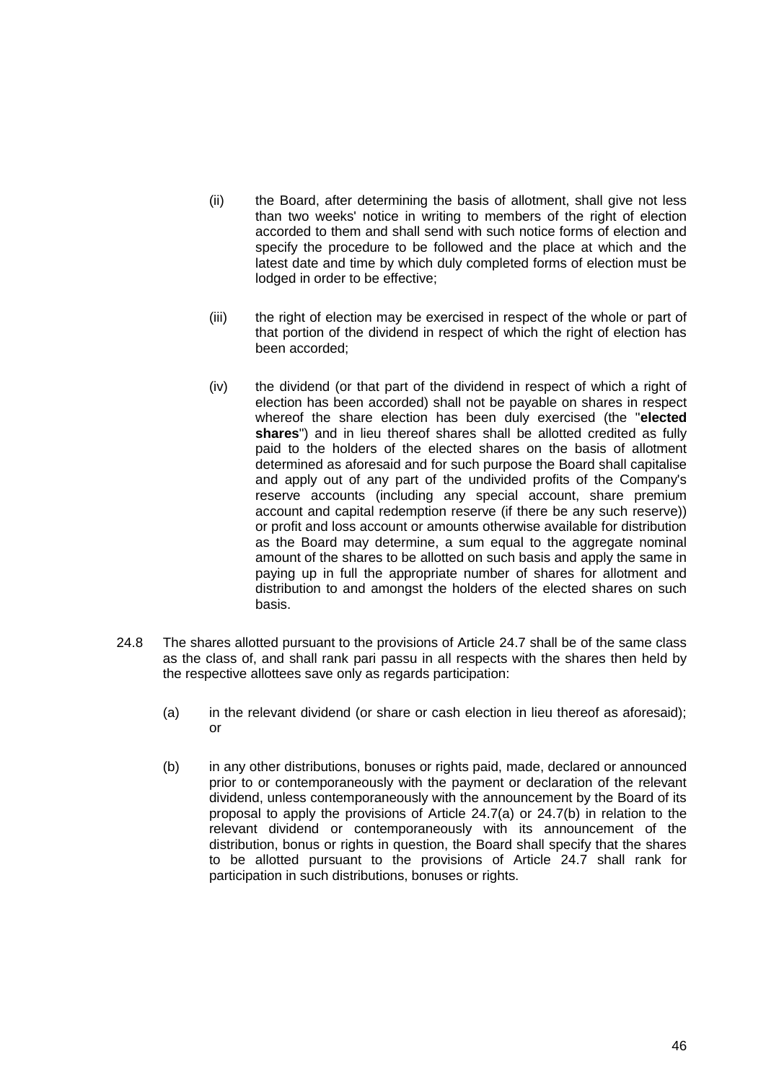- (ii) the Board, after determining the basis of allotment, shall give not less than two weeks' notice in writing to members of the right of election accorded to them and shall send with such notice forms of election and specify the procedure to be followed and the place at which and the latest date and time by which duly completed forms of election must be lodged in order to be effective;
- (iii) the right of election may be exercised in respect of the whole or part of that portion of the dividend in respect of which the right of election has been accorded;
- (iv) the dividend (or that part of the dividend in respect of which a right of election has been accorded) shall not be payable on shares in respect whereof the share election has been duly exercised (the "**elected shares**") and in lieu thereof shares shall be allotted credited as fully paid to the holders of the elected shares on the basis of allotment determined as aforesaid and for such purpose the Board shall capitalise and apply out of any part of the undivided profits of the Company's reserve accounts (including any special account, share premium account and capital redemption reserve (if there be any such reserve)) or profit and loss account or amounts otherwise available for distribution as the Board may determine, a sum equal to the aggregate nominal amount of the shares to be allotted on such basis and apply the same in paying up in full the appropriate number of shares for allotment and distribution to and amongst the holders of the elected shares on such basis.
- <span id="page-52-0"></span>24.8 The shares allotted pursuant to the provisions of Article [24.7](#page-50-2) shall be of the same class as the class of, and shall rank pari passu in all respects with the shares then held by the respective allottees save only as regards participation:
	- (a) in the relevant dividend (or share or cash election in lieu thereof as aforesaid); or
	- (b) in any other distributions, bonuses or rights paid, made, declared or announced prior to or contemporaneously with the payment or declaration of the relevant dividend, unless contemporaneously with the announcement by the Board of its proposal to apply the provisions of Article [24.7\(a\)](#page-51-0) or [24.7\(b\)](#page-51-1) in relation to the relevant dividend or contemporaneously with its announcement of the distribution, bonus or rights in question, the Board shall specify that the shares to be allotted pursuant to the provisions of Article [24.7](#page-50-2) shall rank for participation in such distributions, bonuses or rights.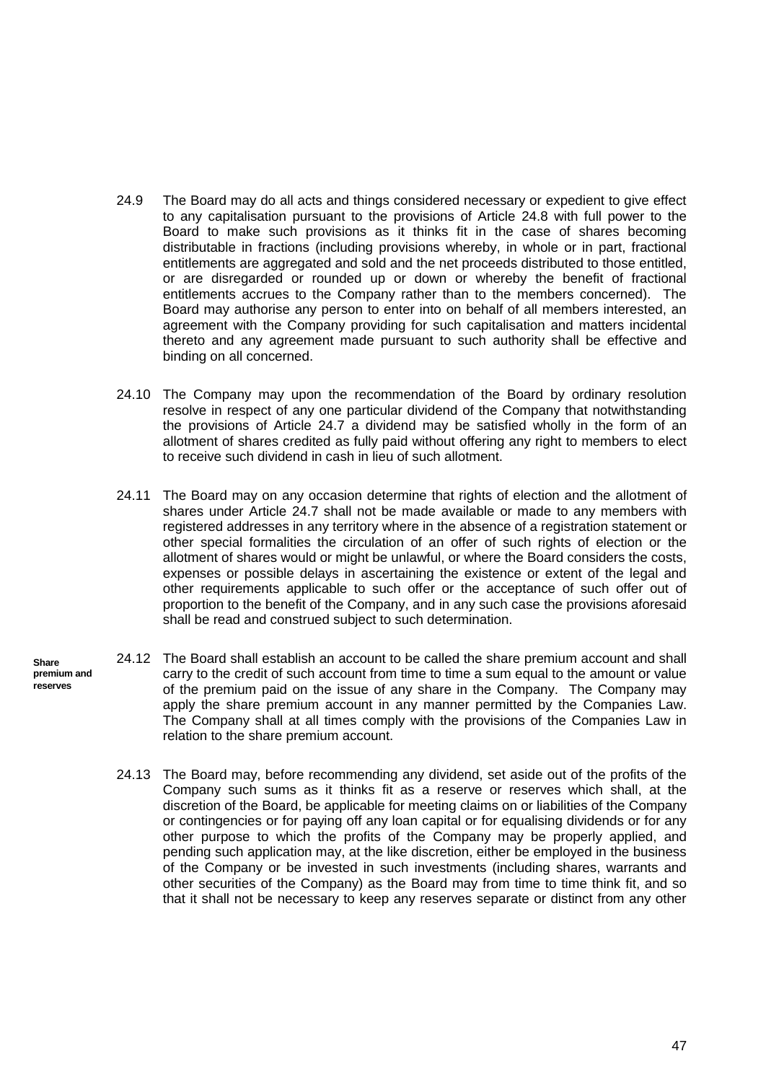- 24.9 The Board may do all acts and things considered necessary or expedient to give effect to any capitalisation pursuant to the provisions of Article [24.8](#page-52-0) with full power to the Board to make such provisions as it thinks fit in the case of shares becoming distributable in fractions (including provisions whereby, in whole or in part, fractional entitlements are aggregated and sold and the net proceeds distributed to those entitled, or are disregarded or rounded up or down or whereby the benefit of fractional entitlements accrues to the Company rather than to the members concerned). The Board may authorise any person to enter into on behalf of all members interested, an agreement with the Company providing for such capitalisation and matters incidental thereto and any agreement made pursuant to such authority shall be effective and binding on all concerned.
- 24.10 The Company may upon the recommendation of the Board by ordinary resolution resolve in respect of any one particular dividend of the Company that notwithstanding the provisions of Article [24.7](#page-50-2) a dividend may be satisfied wholly in the form of an allotment of shares credited as fully paid without offering any right to members to elect to receive such dividend in cash in lieu of such allotment.
- 24.11 The Board may on any occasion determine that rights of election and the allotment of shares under Article [24.7](#page-50-2) shall not be made available or made to any members with registered addresses in any territory where in the absence of a registration statement or other special formalities the circulation of an offer of such rights of election or the allotment of shares would or might be unlawful, or where the Board considers the costs, expenses or possible delays in ascertaining the existence or extent of the legal and other requirements applicable to such offer or the acceptance of such offer out of proportion to the benefit of the Company, and in any such case the provisions aforesaid shall be read and construed subject to such determination.
- 24.12 The Board shall establish an account to be called the share premium account and shall carry to the credit of such account from time to time a sum equal to the amount or value of the premium paid on the issue of any share in the Company. The Company may apply the share premium account in any manner permitted by the Companies Law. The Company shall at all times comply with the provisions of the Companies Law in relation to the share premium account.
	- 24.13 The Board may, before recommending any dividend, set aside out of the profits of the Company such sums as it thinks fit as a reserve or reserves which shall, at the discretion of the Board, be applicable for meeting claims on or liabilities of the Company or contingencies or for paying off any loan capital or for equalising dividends or for any other purpose to which the profits of the Company may be properly applied, and pending such application may, at the like discretion, either be employed in the business of the Company or be invested in such investments (including shares, warrants and other securities of the Company) as the Board may from time to time think fit, and so that it shall not be necessary to keep any reserves separate or distinct from any other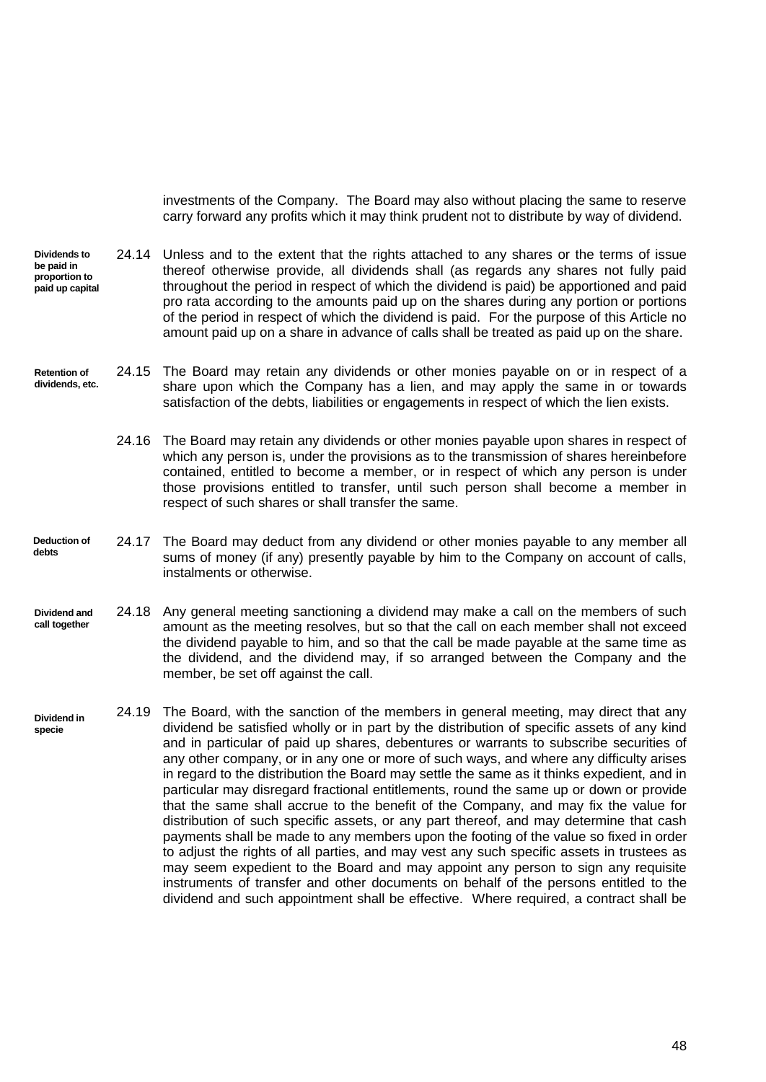investments of the Company. The Board may also without placing the same to reserve carry forward any profits which it may think prudent not to distribute by way of dividend.

**Dividends to be paid in proportion to paid up capital** 24.14 Unless and to the extent that the rights attached to any shares or the terms of issue thereof otherwise provide, all dividends shall (as regards any shares not fully paid throughout the period in respect of which the dividend is paid) be apportioned and paid pro rata according to the amounts paid up on the shares during any portion or portions of the period in respect of which the dividend is paid. For the purpose of this Article no amount paid up on a share in advance of calls shall be treated as paid up on the share.

**Retention of dividends, etc.** 24.15 The Board may retain any dividends or other monies payable on or in respect of a share upon which the Company has a lien, and may apply the same in or towards satisfaction of the debts, liabilities or engagements in respect of which the lien exists.

> 24.16 The Board may retain any dividends or other monies payable upon shares in respect of which any person is, under the provisions as to the transmission of shares hereinbefore contained, entitled to become a member, or in respect of which any person is under those provisions entitled to transfer, until such person shall become a member in respect of such shares or shall transfer the same.

- **Deduction of debts** 24.17 The Board may deduct from any dividend or other monies payable to any member all sums of money (if any) presently payable by him to the Company on account of calls, instalments or otherwise.
- **Dividend and call together** 24.18 Any general meeting sanctioning a dividend may make a call on the members of such amount as the meeting resolves, but so that the call on each member shall not exceed the dividend payable to him, and so that the call be made payable at the same time as the dividend, and the dividend may, if so arranged between the Company and the member, be set off against the call.
- **Dividend in specie** 24.19 The Board, with the sanction of the members in general meeting, may direct that any dividend be satisfied wholly or in part by the distribution of specific assets of any kind and in particular of paid up shares, debentures or warrants to subscribe securities of any other company, or in any one or more of such ways, and where any difficulty arises in regard to the distribution the Board may settle the same as it thinks expedient, and in particular may disregard fractional entitlements, round the same up or down or provide that the same shall accrue to the benefit of the Company, and may fix the value for distribution of such specific assets, or any part thereof, and may determine that cash payments shall be made to any members upon the footing of the value so fixed in order to adjust the rights of all parties, and may vest any such specific assets in trustees as may seem expedient to the Board and may appoint any person to sign any requisite instruments of transfer and other documents on behalf of the persons entitled to the dividend and such appointment shall be effective. Where required, a contract shall be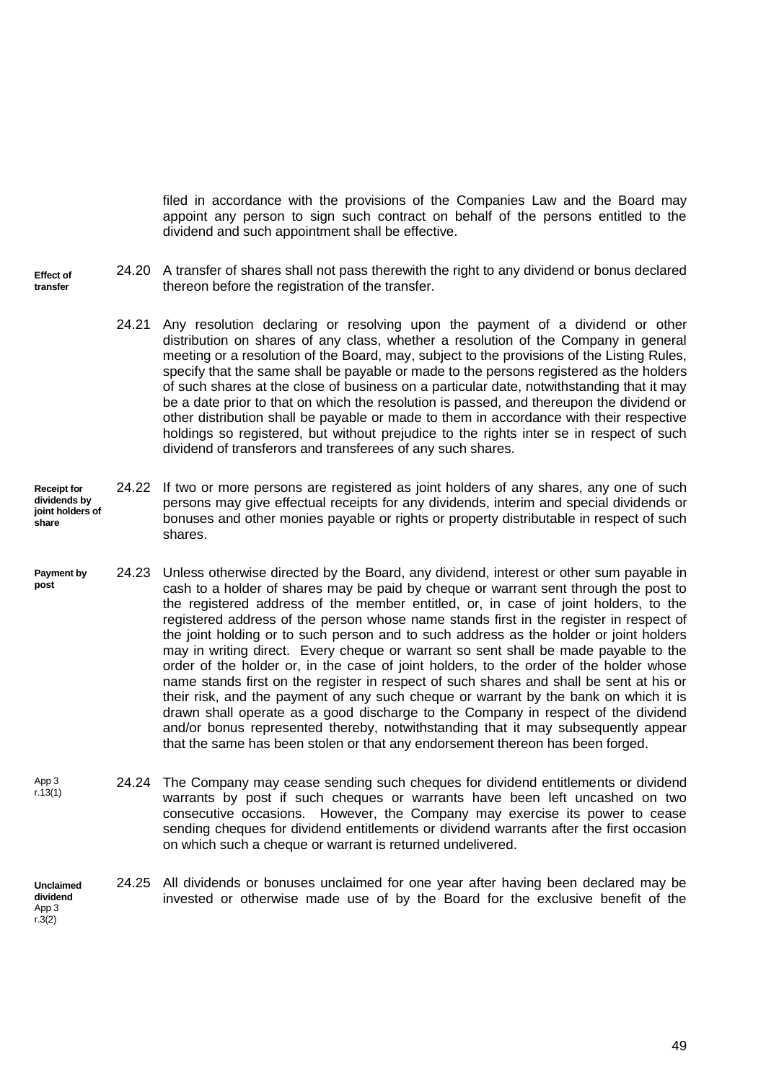filed in accordance with the provisions of the Companies Law and the Board may appoint any person to sign such contract on behalf of the persons entitled to the dividend and such appointment shall be effective.

- **Effect of transfer** 24.20 A transfer of shares shall not pass therewith the right to any dividend or bonus declared thereon before the registration of the transfer.
	- 24.21 Any resolution declaring or resolving upon the payment of a dividend or other distribution on shares of any class, whether a resolution of the Company in general meeting or a resolution of the Board, may, subject to the provisions of the Listing Rules, specify that the same shall be payable or made to the persons registered as the holders of such shares at the close of business on a particular date, notwithstanding that it may be a date prior to that on which the resolution is passed, and thereupon the dividend or other distribution shall be payable or made to them in accordance with their respective holdings so registered, but without prejudice to the rights inter se in respect of such dividend of transferors and transferees of any such shares.
- **Receipt for dividends by joint holders of share** 24.22 If two or more persons are registered as joint holders of any shares, any one of such persons may give effectual receipts for any dividends, interim and special dividends or bonuses and other monies payable or rights or property distributable in respect of such shares.
- **Payment by post** 24.23 Unless otherwise directed by the Board, any dividend, interest or other sum payable in cash to a holder of shares may be paid by cheque or warrant sent through the post to the registered address of the member entitled, or, in case of joint holders, to the registered address of the person whose name stands first in the register in respect of the joint holding or to such person and to such address as the holder or joint holders may in writing direct. Every cheque or warrant so sent shall be made payable to the order of the holder or, in the case of joint holders, to the order of the holder whose name stands first on the register in respect of such shares and shall be sent at his or their risk, and the payment of any such cheque or warrant by the bank on which it is drawn shall operate as a good discharge to the Company in respect of the dividend and/or bonus represented thereby, notwithstanding that it may subsequently appear that the same has been stolen or that any endorsement thereon has been forged.
- App 3 r.13(1) 24.24 The Company may cease sending such cheques for dividend entitlements or dividend warrants by post if such cheques or warrants have been left uncashed on two consecutive occasions. However, the Company may exercise its power to cease sending cheques for dividend entitlements or dividend warrants after the first occasion on which such a cheque or warrant is returned undelivered.
- **Unclaimed dividend** App 3 24.25 All dividends or bonuses unclaimed for one year after having been declared may be invested or otherwise made use of by the Board for the exclusive benefit of the

 $r.3(2)$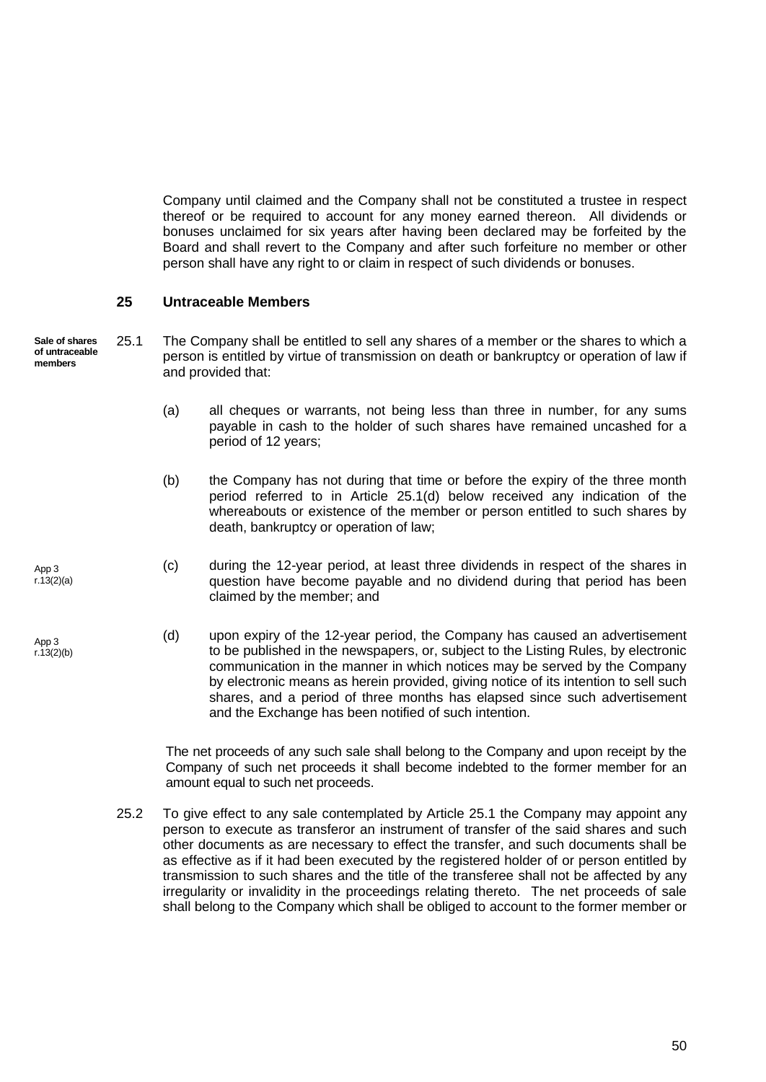Company until claimed and the Company shall not be constituted a trustee in respect thereof or be required to account for any money earned thereon. All dividends or bonuses unclaimed for six years after having been declared may be forfeited by the Board and shall revert to the Company and after such forfeiture no member or other person shall have any right to or claim in respect of such dividends or bonuses.

## <span id="page-56-0"></span>**25 Untraceable Members**

**Sale of shares of untraceable members**

<span id="page-56-2"></span>25.1 The Company shall be entitled to sell any shares of a member or the shares to which a person is entitled by virtue of transmission on death or bankruptcy or operation of law if and provided that:

- (a) all cheques or warrants, not being less than three in number, for any sums payable in cash to the holder of such shares have remained uncashed for a period of 12 years;
- (b) the Company has not during that time or before the expiry of the three month period referred to in Article [25.1\(d\)](#page-56-1) below received any indication of the whereabouts or existence of the member or person entitled to such shares by death, bankruptcy or operation of law;
- <span id="page-56-1"></span>(c) during the 12-year period, at least three dividends in respect of the shares in question have become payable and no dividend during that period has been claimed by the member; and
	- (d) upon expiry of the 12-year period, the Company has caused an advertisement to be published in the newspapers, or, subject to the Listing Rules, by electronic communication in the manner in which notices may be served by the Company by electronic means as herein provided, giving notice of its intention to sell such shares, and a period of three months has elapsed since such advertisement and the Exchange has been notified of such intention.

The net proceeds of any such sale shall belong to the Company and upon receipt by the Company of such net proceeds it shall become indebted to the former member for an amount equal to such net proceeds.

25.2 To give effect to any sale contemplated by Article [25.1](#page-56-2) the Company may appoint any person to execute as transferor an instrument of transfer of the said shares and such other documents as are necessary to effect the transfer, and such documents shall be as effective as if it had been executed by the registered holder of or person entitled by transmission to such shares and the title of the transferee shall not be affected by any irregularity or invalidity in the proceedings relating thereto. The net proceeds of sale shall belong to the Company which shall be obliged to account to the former member or

App 3 r.13(2)(a)

App 3  $r.13(2)(b)$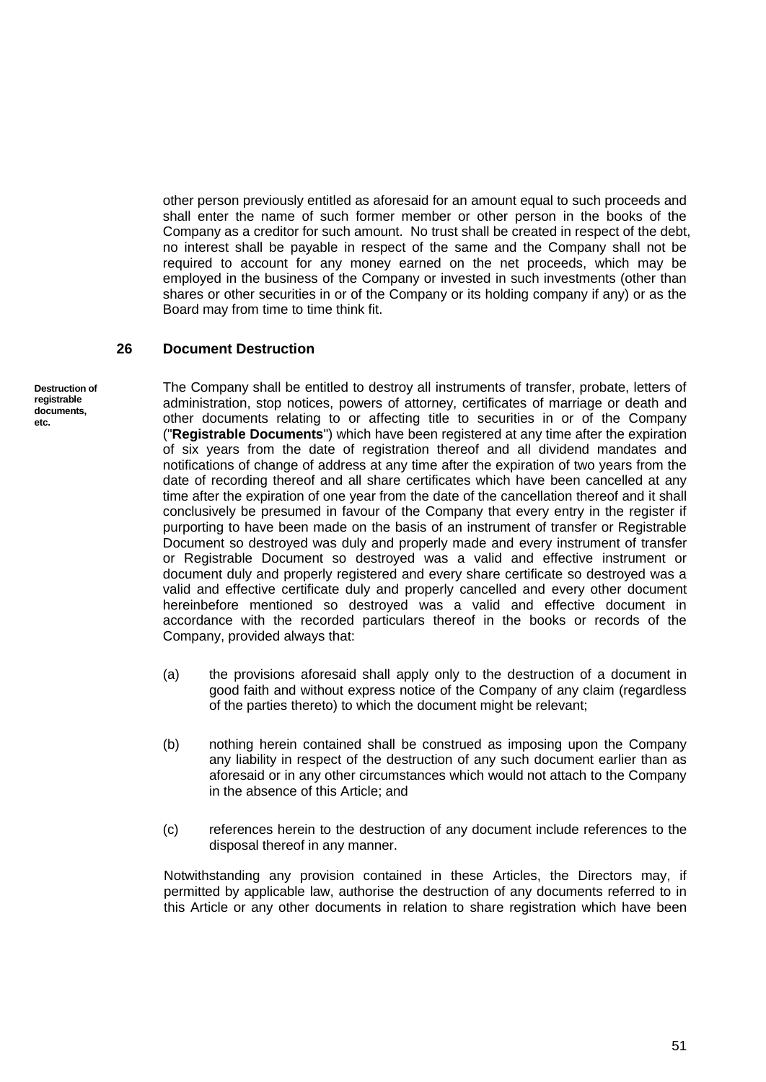other person previously entitled as aforesaid for an amount equal to such proceeds and shall enter the name of such former member or other person in the books of the Company as a creditor for such amount. No trust shall be created in respect of the debt, no interest shall be payable in respect of the same and the Company shall not be required to account for any money earned on the net proceeds, which may be employed in the business of the Company or invested in such investments (other than shares or other securities in or of the Company or its holding company if any) or as the Board may from time to time think fit.

#### <span id="page-57-0"></span>**26 Document Destruction**

**Destruction of registrable documents, etc.**

The Company shall be entitled to destroy all instruments of transfer, probate, letters of administration, stop notices, powers of attorney, certificates of marriage or death and other documents relating to or affecting title to securities in or of the Company ("**Registrable Documents**") which have been registered at any time after the expiration of six years from the date of registration thereof and all dividend mandates and notifications of change of address at any time after the expiration of two years from the date of recording thereof and all share certificates which have been cancelled at any time after the expiration of one year from the date of the cancellation thereof and it shall conclusively be presumed in favour of the Company that every entry in the register if purporting to have been made on the basis of an instrument of transfer or Registrable Document so destroyed was duly and properly made and every instrument of transfer or Registrable Document so destroyed was a valid and effective instrument or document duly and properly registered and every share certificate so destroyed was a valid and effective certificate duly and properly cancelled and every other document hereinbefore mentioned so destroyed was a valid and effective document in accordance with the recorded particulars thereof in the books or records of the Company, provided always that:

- (a) the provisions aforesaid shall apply only to the destruction of a document in good faith and without express notice of the Company of any claim (regardless of the parties thereto) to which the document might be relevant;
- (b) nothing herein contained shall be construed as imposing upon the Company any liability in respect of the destruction of any such document earlier than as aforesaid or in any other circumstances which would not attach to the Company in the absence of this Article; and
- (c) references herein to the destruction of any document include references to the disposal thereof in any manner.

Notwithstanding any provision contained in these Articles, the Directors may, if permitted by applicable law, authorise the destruction of any documents referred to in this Article or any other documents in relation to share registration which have been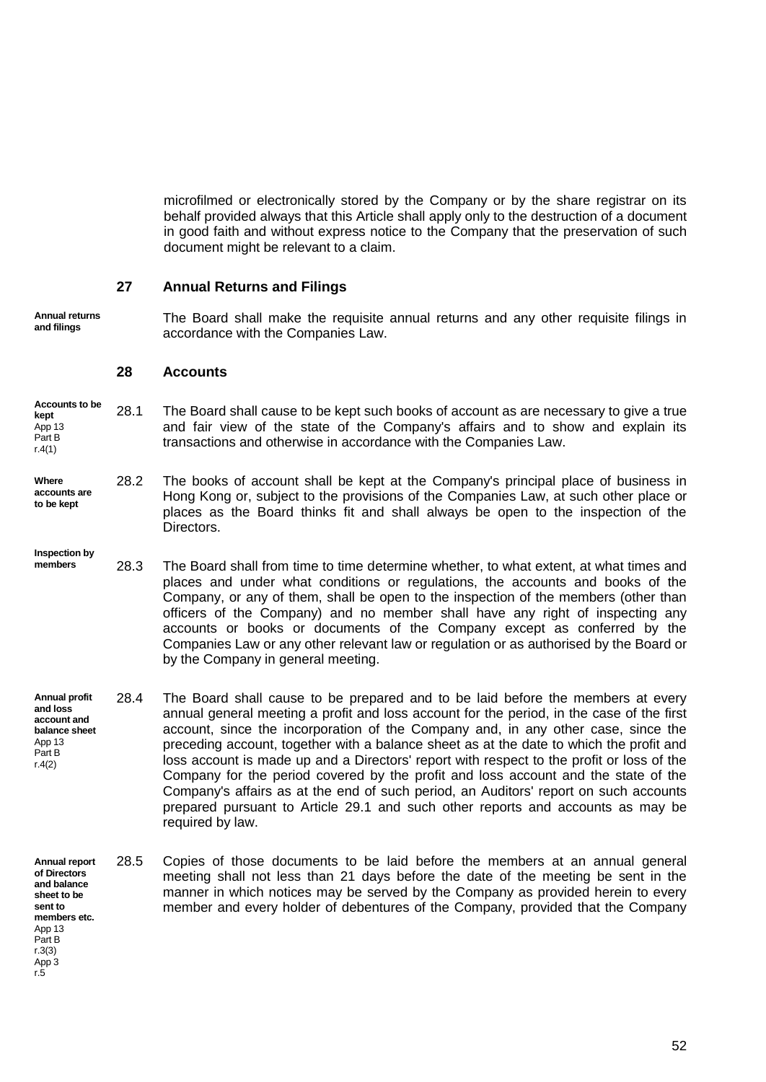microfilmed or electronically stored by the Company or by the share registrar on its behalf provided always that this Article shall apply only to the destruction of a document in good faith and without express notice to the Company that the preservation of such document might be relevant to a claim.

## <span id="page-58-0"></span>**27 Annual Returns and Filings**

**Annual returns and filings**

The Board shall make the requisite annual returns and any other requisite filings in accordance with the Companies Law.

#### <span id="page-58-1"></span>**28 Accounts**

- **Accounts to be kept** App 13 Part B r.4(1) 28.1 The Board shall cause to be kept such books of account as are necessary to give a true and fair view of the state of the Company's affairs and to show and explain its transactions and otherwise in accordance with the Companies Law.
- **Where accounts are to be kept** 28.2 The books of account shall be kept at the Company's principal place of business in Hong Kong or, subject to the provisions of the Companies Law, at such other place or places as the Board thinks fit and shall always be open to the inspection of the Directors.

**Inspection by** 

- **members** 28.3 The Board shall from time to time determine whether, to what extent, at what times and places and under what conditions or regulations, the accounts and books of the Company, or any of them, shall be open to the inspection of the members (other than officers of the Company) and no member shall have any right of inspecting any accounts or books or documents of the Company except as conferred by the Companies Law or any other relevant law or regulation or as authorised by the Board or by the Company in general meeting.
- **Annual profit and loss account and balance sheet** App 13 Part B r.4(2) 28.4 The Board shall cause to be prepared and to be laid before the members at every annual general meeting a profit and loss account for the period, in the case of the first account, since the incorporation of the Company and, in any other case, since the preceding account, together with a balance sheet as at the date to which the profit and loss account is made up and a Directors' report with respect to the profit or loss of the Company for the period covered by the profit and loss account and the state of the Company's affairs as at the end of such period, an Auditors' report on such accounts prepared pursuant to Article [29.1](#page-59-1) and such other reports and accounts as may be required by law.
- <span id="page-58-2"></span>**Annual report of Directors**  28.5 Copies of those documents to be laid before the members at an annual general meeting shall not less than 21 days before the date of the meeting be sent in the manner in which notices may be served by the Company as provided herein to every member and every holder of debentures of the Company, provided that the Company

**and balance sheet to be sent to members etc.** App 13 Part B r.3(3) App 3 r.5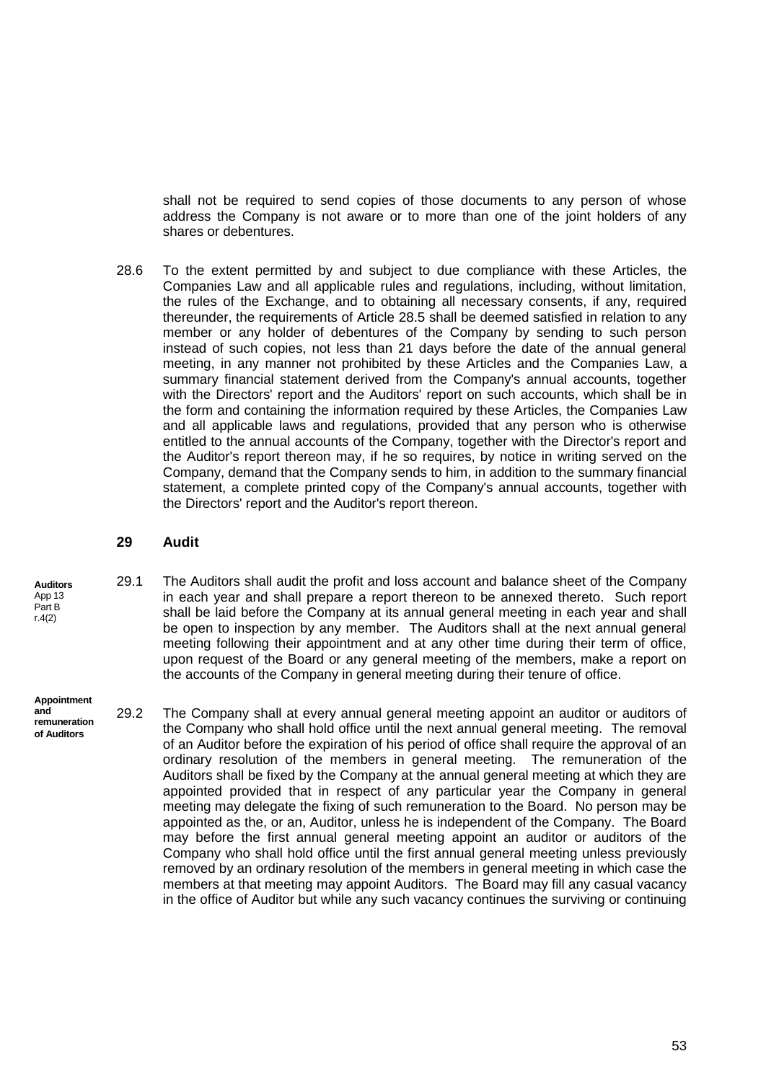shall not be required to send copies of those documents to any person of whose address the Company is not aware or to more than one of the joint holders of any shares or debentures.

28.6 To the extent permitted by and subject to due compliance with these Articles, the Companies Law and all applicable rules and regulations, including, without limitation, the rules of the Exchange, and to obtaining all necessary consents, if any, required thereunder, the requirements of Article [28.5](#page-58-2) shall be deemed satisfied in relation to any member or any holder of debentures of the Company by sending to such person instead of such copies, not less than 21 days before the date of the annual general meeting, in any manner not prohibited by these Articles and the Companies Law, a summary financial statement derived from the Company's annual accounts, together with the Directors' report and the Auditors' report on such accounts, which shall be in the form and containing the information required by these Articles, the Companies Law and all applicable laws and regulations, provided that any person who is otherwise entitled to the annual accounts of the Company, together with the Director's report and the Auditor's report thereon may, if he so requires, by notice in writing served on the Company, demand that the Company sends to him, in addition to the summary financial statement, a complete printed copy of the Company's annual accounts, together with the Directors' report and the Auditor's report thereon.

<span id="page-59-1"></span>29.1 The Auditors shall audit the profit and loss account and balance sheet of the Company

in each year and shall prepare a report thereon to be annexed thereto. Such report shall be laid before the Company at its annual general meeting in each year and shall

### <span id="page-59-0"></span>**29 Audit**

**Auditors** App 13 Part B r.4(2)

**and** 

**Appointment**  be open to inspection by any member. The Auditors shall at the next annual general meeting following their appointment and at any other time during their term of office, upon request of the Board or any general meeting of the members, make a report on the accounts of the Company in general meeting during their tenure of office.

**remuneration of Auditors** 29.2 The Company shall at every annual general meeting appoint an auditor or auditors of the Company who shall hold office until the next annual general meeting. The removal of an Auditor before the expiration of his period of office shall require the approval of an ordinary resolution of the members in general meeting. The remuneration of the Auditors shall be fixed by the Company at the annual general meeting at which they are appointed provided that in respect of any particular year the Company in general meeting may delegate the fixing of such remuneration to the Board. No person may be appointed as the, or an, Auditor, unless he is independent of the Company. The Board may before the first annual general meeting appoint an auditor or auditors of the Company who shall hold office until the first annual general meeting unless previously removed by an ordinary resolution of the members in general meeting in which case the members at that meeting may appoint Auditors. The Board may fill any casual vacancy in the office of Auditor but while any such vacancy continues the surviving or continuing

53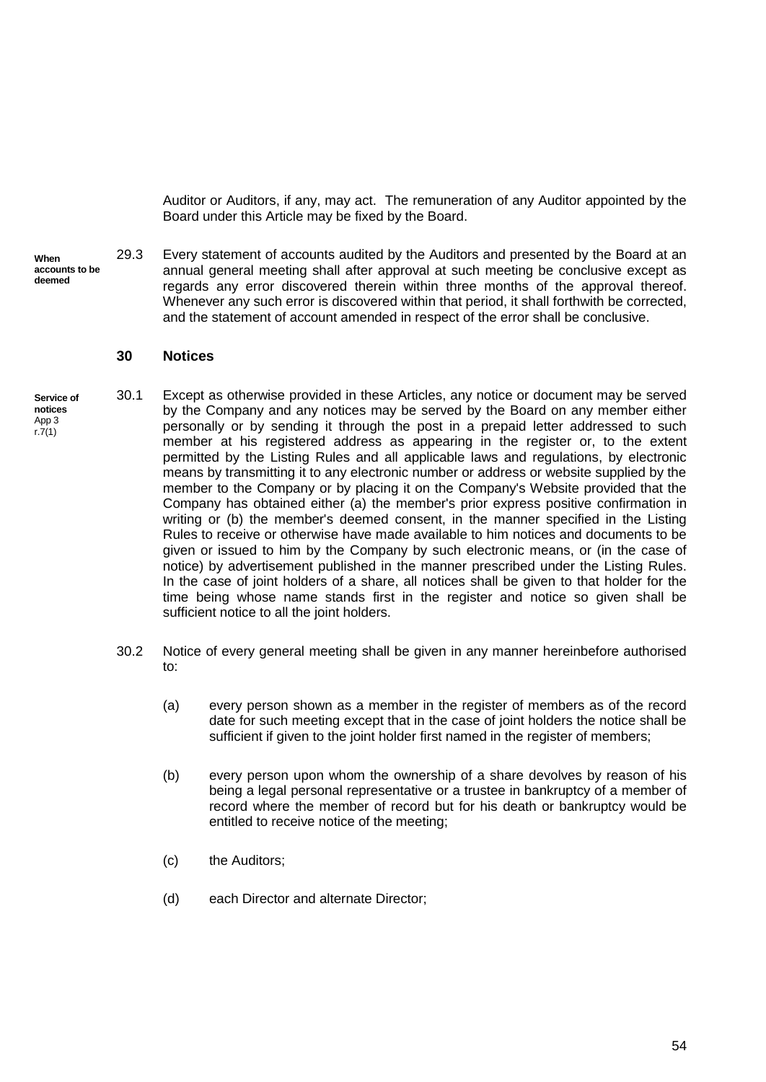Auditor or Auditors, if any, may act. The remuneration of any Auditor appointed by the Board under this Article may be fixed by the Board.

**When accounts to be deemed** 

**settled**

29.3 Every statement of accounts audited by the Auditors and presented by the Board at an annual general meeting shall after approval at such meeting be conclusive except as regards any error discovered therein within three months of the approval thereof. Whenever any such error is discovered within that period, it shall forthwith be corrected, and the statement of account amended in respect of the error shall be conclusive.

#### <span id="page-60-0"></span>**30 Notices**

- **Service of notices** App 3  $r.7(1)$ 30.1 Except as otherwise provided in these Articles, any notice or document may be served by the Company and any notices may be served by the Board on any member either personally or by sending it through the post in a prepaid letter addressed to such member at his registered address as appearing in the register or, to the extent permitted by the Listing Rules and all applicable laws and regulations, by electronic means by transmitting it to any electronic number or address or website supplied by the member to the Company or by placing it on the Company's Website provided that the Company has obtained either (a) the member's prior express positive confirmation in writing or (b) the member's deemed consent, in the manner specified in the Listing Rules to receive or otherwise have made available to him notices and documents to be given or issued to him by the Company by such electronic means, or (in the case of notice) by advertisement published in the manner prescribed under the Listing Rules. In the case of joint holders of a share, all notices shall be given to that holder for the time being whose name stands first in the register and notice so given shall be sufficient notice to all the joint holders.
	- 30.2 Notice of every general meeting shall be given in any manner hereinbefore authorised to:
		- (a) every person shown as a member in the register of members as of the record date for such meeting except that in the case of joint holders the notice shall be sufficient if given to the joint holder first named in the register of members;
		- (b) every person upon whom the ownership of a share devolves by reason of his being a legal personal representative or a trustee in bankruptcy of a member of record where the member of record but for his death or bankruptcy would be entitled to receive notice of the meeting;
		- (c) the Auditors;
		- (d) each Director and alternate Director;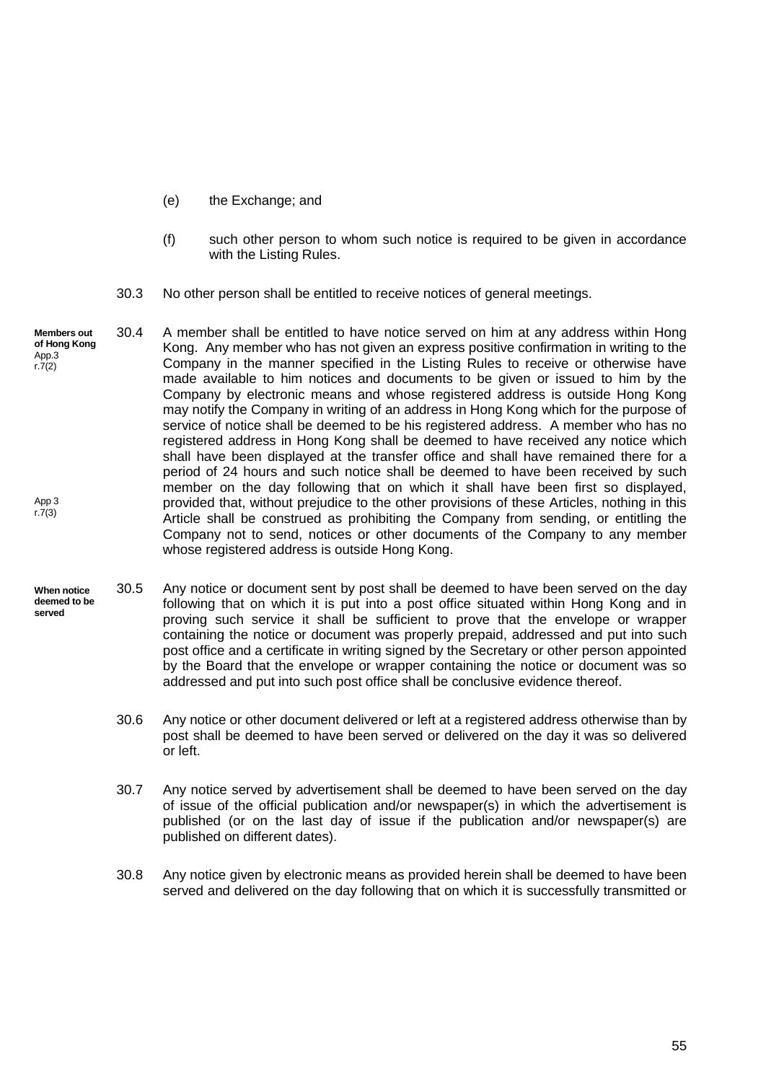- (e) the Exchange; and
- (f) such other person to whom such notice is required to be given in accordance with the Listing Rules.
- 30.3 No other person shall be entitled to receive notices of general meetings.
- **Members out of Hong Kong** App.3 r.7(2) App 3  $r.7(3)$ 30.4 A member shall be entitled to have notice served on him at any address within Hong Kong. Any member who has not given an express positive confirmation in writing to the Company in the manner specified in the Listing Rules to receive or otherwise have made available to him notices and documents to be given or issued to him by the Company by electronic means and whose registered address is outside Hong Kong may notify the Company in writing of an address in Hong Kong which for the purpose of service of notice shall be deemed to be his registered address. A member who has no registered address in Hong Kong shall be deemed to have received any notice which shall have been displayed at the transfer office and shall have remained there for a period of 24 hours and such notice shall be deemed to have been received by such member on the day following that on which it shall have been first so displayed, provided that, without prejudice to the other provisions of these Articles, nothing in this Article shall be construed as prohibiting the Company from sending, or entitling the Company not to send, notices or other documents of the Company to any member whose registered address is outside Hong Kong.
- **When notice deemed to be served** 30.5 Any notice or document sent by post shall be deemed to have been served on the day following that on which it is put into a post office situated within Hong Kong and in proving such service it shall be sufficient to prove that the envelope or wrapper containing the notice or document was properly prepaid, addressed and put into such post office and a certificate in writing signed by the Secretary or other person appointed by the Board that the envelope or wrapper containing the notice or document was so addressed and put into such post office shall be conclusive evidence thereof.
	- 30.6 Any notice or other document delivered or left at a registered address otherwise than by post shall be deemed to have been served or delivered on the day it was so delivered or left.
	- 30.7 Any notice served by advertisement shall be deemed to have been served on the day of issue of the official publication and/or newspaper(s) in which the advertisement is published (or on the last day of issue if the publication and/or newspaper(s) are published on different dates).
	- 30.8 Any notice given by electronic means as provided herein shall be deemed to have been served and delivered on the day following that on which it is successfully transmitted or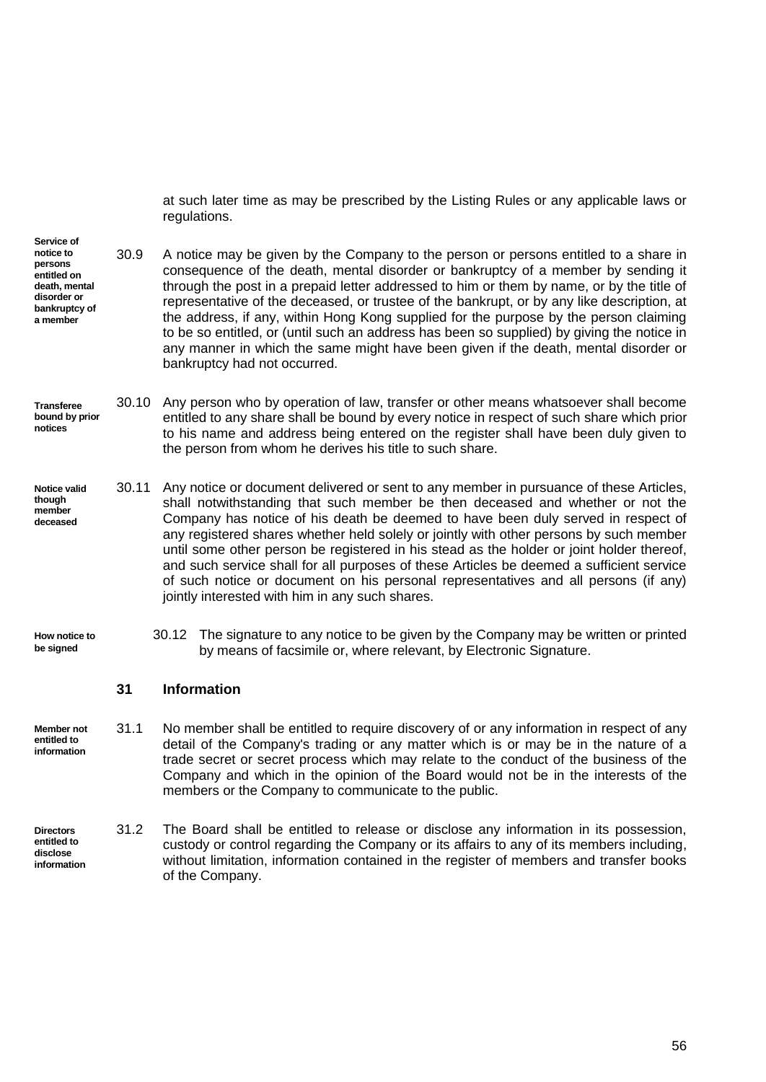at such later time as may be prescribed by the Listing Rules or any applicable laws or regulations.

**Service of notice to persons entitled on death, mental disorder or bankruptcy of a member** 30.9 A notice may be given by the Company to the person or persons entitled to a share in consequence of the death, mental disorder or bankruptcy of a member by sending it through the post in a prepaid letter addressed to him or them by name, or by the title of representative of the deceased, or trustee of the bankrupt, or by any like description, at the address, if any, within Hong Kong supplied for the purpose by the person claiming to be so entitled, or (until such an address has been so supplied) by giving the notice in any manner in which the same might have been given if the death, mental disorder or bankruptcy had not occurred.

#### **Transferee bound by prior notices** 30.10 Any person who by operation of law, transfer or other means whatsoever shall become entitled to any share shall be bound by every notice in respect of such share which prior to his name and address being entered on the register shall have been duly given to the person from whom he derives his title to such share.

**Notice valid though member deceased** 30.11 Any notice or document delivered or sent to any member in pursuance of these Articles, shall notwithstanding that such member be then deceased and whether or not the Company has notice of his death be deemed to have been duly served in respect of any registered shares whether held solely or jointly with other persons by such member until some other person be registered in his stead as the holder or joint holder thereof, and such service shall for all purposes of these Articles be deemed a sufficient service of such notice or document on his personal representatives and all persons (if any) jointly interested with him in any such shares.

**How notice to be signed**

30.12 The signature to any notice to be given by the Company may be written or printed by means of facsimile or, where relevant, by Electronic Signature.

#### <span id="page-62-0"></span>**31 Information**

**Member not entitled to information** 31.1 No member shall be entitled to require discovery of or any information in respect of any detail of the Company's trading or any matter which is or may be in the nature of a trade secret or secret process which may relate to the conduct of the business of the Company and which in the opinion of the Board would not be in the interests of the members or the Company to communicate to the public.

**Directors entitled to disclose information** 31.2 The Board shall be entitled to release or disclose any information in its possession, custody or control regarding the Company or its affairs to any of its members including, without limitation, information contained in the register of members and transfer books of the Company.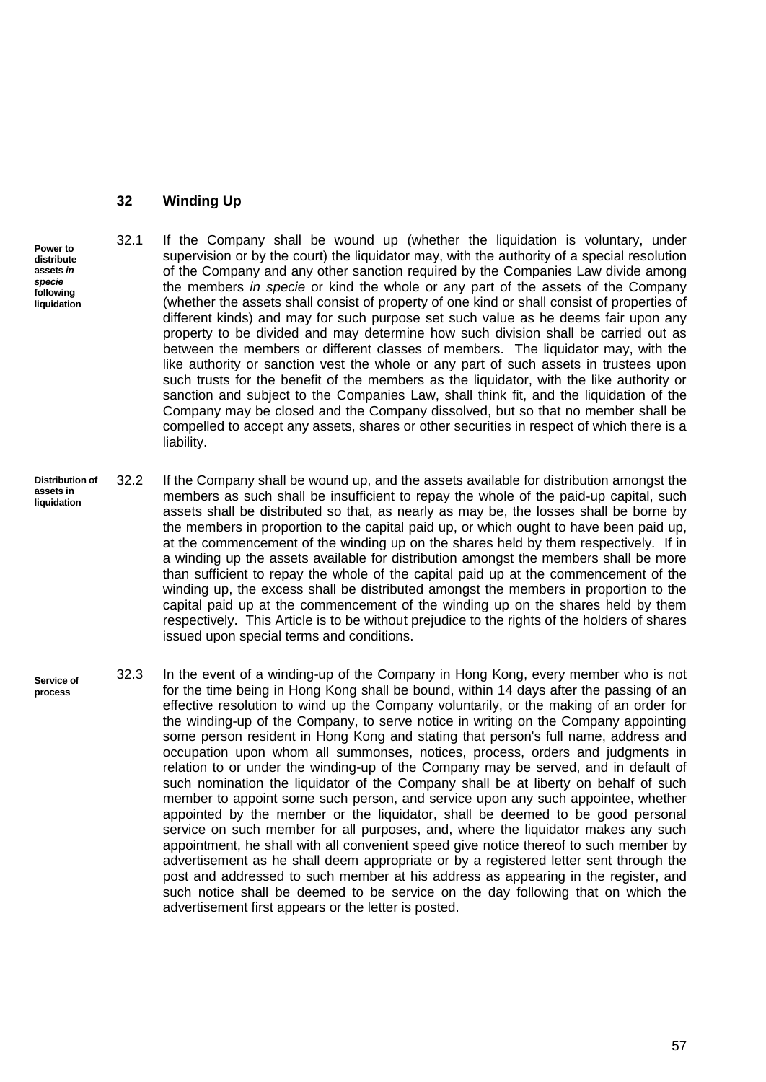#### <span id="page-63-0"></span>**32 Winding Up**

liability.

- 32.1 If the Company shall be wound up (whether the liquidation is voluntary, under supervision or by the court) the liquidator may, with the authority of a special resolution of the Company and any other sanction required by the Companies Law divide among the members *in specie* or kind the whole or any part of the assets of the Company (whether the assets shall consist of property of one kind or shall consist of properties of different kinds) and may for such purpose set such value as he deems fair upon any property to be divided and may determine how such division shall be carried out as between the members or different classes of members. The liquidator may, with the like authority or sanction vest the whole or any part of such assets in trustees upon such trusts for the benefit of the members as the liquidator, with the like authority or sanction and subject to the Companies Law, shall think fit, and the liquidation of the Company may be closed and the Company dissolved, but so that no member shall be
- **Distribution of assets in liquidation** 32.2 If the Company shall be wound up, and the assets available for distribution amongst the members as such shall be insufficient to repay the whole of the paid-up capital, such assets shall be distributed so that, as nearly as may be, the losses shall be borne by the members in proportion to the capital paid up, or which ought to have been paid up, at the commencement of the winding up on the shares held by them respectively. If in a winding up the assets available for distribution amongst the members shall be more than sufficient to repay the whole of the capital paid up at the commencement of the winding up, the excess shall be distributed amongst the members in proportion to the capital paid up at the commencement of the winding up on the shares held by them respectively. This Article is to be without prejudice to the rights of the holders of shares issued upon special terms and conditions.

compelled to accept any assets, shares or other securities in respect of which there is a

**Service of process** 32.3 In the event of a winding-up of the Company in Hong Kong, every member who is not for the time being in Hong Kong shall be bound, within 14 days after the passing of an effective resolution to wind up the Company voluntarily, or the making of an order for the winding-up of the Company, to serve notice in writing on the Company appointing some person resident in Hong Kong and stating that person's full name, address and occupation upon whom all summonses, notices, process, orders and judgments in relation to or under the winding-up of the Company may be served, and in default of such nomination the liquidator of the Company shall be at liberty on behalf of such member to appoint some such person, and service upon any such appointee, whether appointed by the member or the liquidator, shall be deemed to be good personal service on such member for all purposes, and, where the liquidator makes any such appointment, he shall with all convenient speed give notice thereof to such member by advertisement as he shall deem appropriate or by a registered letter sent through the post and addressed to such member at his address as appearing in the register, and such notice shall be deemed to be service on the day following that on which the advertisement first appears or the letter is posted.